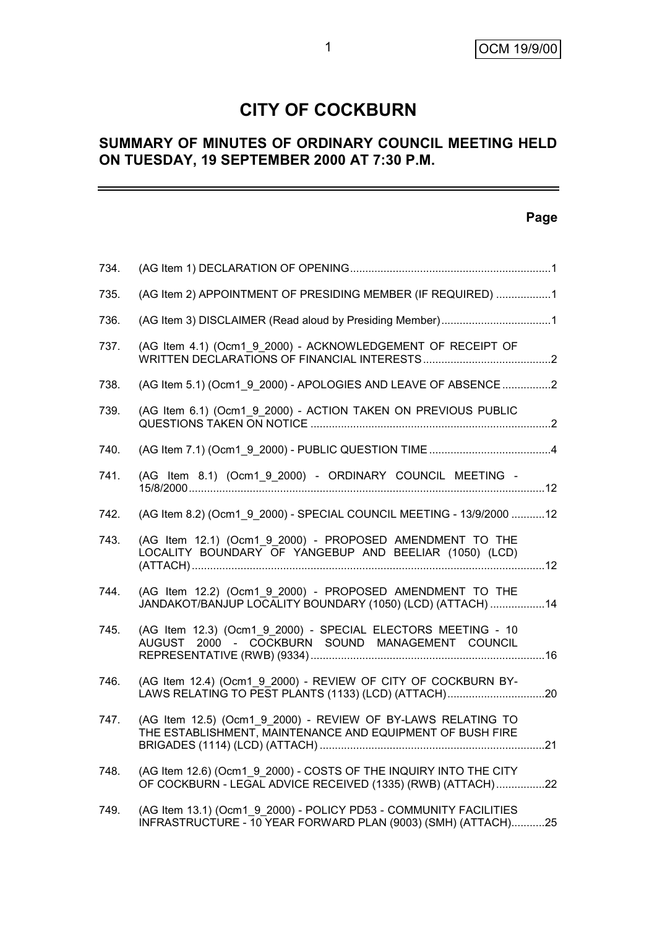# **CITY OF COCKBURN**

## **SUMMARY OF MINUTES OF ORDINARY COUNCIL MEETING HELD ON TUESDAY, 19 SEPTEMBER 2000 AT 7:30 P.M.**

### **Page**

| 734. |                                                                                                                                    |  |
|------|------------------------------------------------------------------------------------------------------------------------------------|--|
| 735. | (AG Item 2) APPOINTMENT OF PRESIDING MEMBER (IF REQUIRED) 1                                                                        |  |
| 736. |                                                                                                                                    |  |
| 737. | (AG Item 4.1) (Ocm1_9_2000) - ACKNOWLEDGEMENT OF RECEIPT OF                                                                        |  |
| 738. | (AG Item 5.1) (Ocm1_9_2000) - APOLOGIES AND LEAVE OF ABSENCE 2                                                                     |  |
| 739. | (AG Item 6.1) (Ocm1 9 2000) - ACTION TAKEN ON PREVIOUS PUBLIC                                                                      |  |
| 740. |                                                                                                                                    |  |
| 741. | (AG Item 8.1) (Ocm1_9_2000) - ORDINARY COUNCIL MEETING -                                                                           |  |
| 742. | (AG Item 8.2) (Ocm1 9 2000) - SPECIAL COUNCIL MEETING - 13/9/2000 12                                                               |  |
| 743. | (AG Item 12.1) (Ocm1 9 2000) - PROPOSED AMENDMENT TO THE<br>LOCALITY BOUNDARY OF YANGEBUP AND BEELIAR (1050) (LCD)                 |  |
| 744. | (AG Item 12.2) (Ocm1_9_2000) - PROPOSED AMENDMENT TO THE<br>JANDAKOT/BANJUP LOCALITY BOUNDARY (1050) (LCD) (ATTACH) 14             |  |
| 745. | (AG Item 12.3) (Ocm1_9_2000) - SPECIAL ELECTORS MEETING - 10<br>2000 - COCKBURN SOUND MANAGEMENT COUNCIL<br>AUGUST                 |  |
| 746. | (AG Item 12.4) (Ocm1 9 2000) - REVIEW OF CITY OF COCKBURN BY-<br>LAWS RELATING TO PEST PLANTS (1133) (LCD) (ATTACH)20              |  |
| 747. | (AG Item 12.5) (Ocm1 9 2000) - REVIEW OF BY-LAWS RELATING TO<br>THE ESTABLISHMENT, MAINTENANCE AND EQUIPMENT OF BUSH FIRE          |  |
| 748. | (AG Item 12.6) (Ocm1 9 2000) - COSTS OF THE INQUIRY INTO THE CITY<br>OF COCKBURN - LEGAL ADVICE RECEIVED (1335) (RWB) (ATTACH)22   |  |
| 749. | (AG Item 13.1) (Ocm1 9 2000) - POLICY PD53 - COMMUNITY FACILITIES<br>INFRASTRUCTURE - 10 YEAR FORWARD PLAN (9003) (SMH) (ATTACH)25 |  |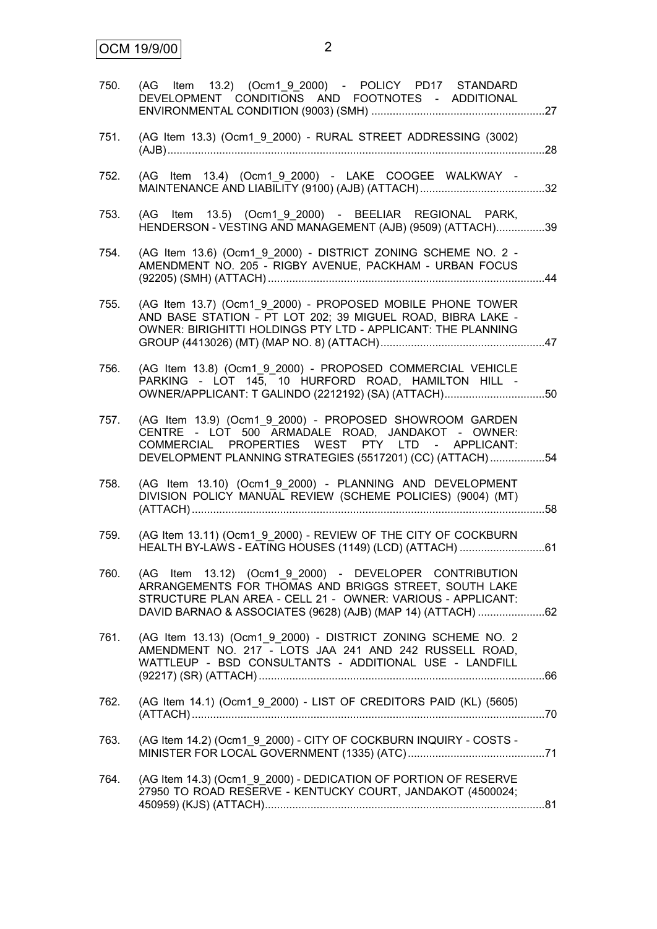| 750. | (AG Item 13.2) (Ocm1_9_2000) - POLICY PD17 STANDARD<br>DEVELOPMENT CONDITIONS AND FOOTNOTES - ADDITIONAL                                                                                                                                       |  |
|------|------------------------------------------------------------------------------------------------------------------------------------------------------------------------------------------------------------------------------------------------|--|
| 751. | (AG Item 13.3) (Ocm1_9_2000) - RURAL STREET ADDRESSING (3002)<br>.28                                                                                                                                                                           |  |
| 752. | (AG Item 13.4) (Ocm1 9 2000) - LAKE COOGEE WALKWAY -<br>.32                                                                                                                                                                                    |  |
| 753. | (AG Item 13.5) (Ocm1_9_2000) - BEELIAR REGIONAL PARK,<br>HENDERSON - VESTING AND MANAGEMENT (AJB) (9509) (ATTACH)39                                                                                                                            |  |
| 754. | (AG Item 13.6) (Ocm1_9_2000) - DISTRICT ZONING SCHEME NO. 2 -<br>AMENDMENT NO. 205 - RIGBY AVENUE, PACKHAM - URBAN FOCUS<br>.44                                                                                                                |  |
| 755. | (AG Item 13.7) (Ocm1 9 2000) - PROPOSED MOBILE PHONE TOWER<br>AND BASE STATION - PT LOT 202; 39 MIGUEL ROAD, BIBRA LAKE -<br>OWNER: BIRIGHITTI HOLDINGS PTY LTD - APPLICANT: THE PLANNING                                                      |  |
| 756. | (AG Item 13.8) (Ocm1_9_2000) - PROPOSED COMMERCIAL VEHICLE<br>PARKING - LOT 145, 10 HURFORD ROAD, HAMILTON HILL -<br>OWNER/APPLICANT: T GALINDO (2212192) (SA) (ATTACH)50                                                                      |  |
| 757. | (AG Item 13.9) (Ocm1 9 2000) - PROPOSED SHOWROOM GARDEN<br>CENTRE - LOT 500 ARMADALE ROAD, JANDAKOT - OWNER:<br>COMMERCIAL PROPERTIES WEST PTY LTD - APPLICANT:<br>DEVELOPMENT PLANNING STRATEGIES (5517201) (CC) (ATTACH) 54                  |  |
| 758. | (AG Item 13.10) (Ocm1 9 2000) - PLANNING AND DEVELOPMENT<br>DIVISION POLICY MANUAL REVIEW (SCHEME POLICIES) (9004) (MT)<br>58                                                                                                                  |  |
| 759. | (AG Item 13.11) (Ocm1 9 2000) - REVIEW OF THE CITY OF COCKBURN<br>HEALTH BY-LAWS - EATING HOUSES (1149) (LCD) (ATTACH) 61                                                                                                                      |  |
| 760. | (AG Item 13.12) (Ocm1_9_2000) - DEVELOPER CONTRIBUTION<br>ARRANGEMENTS FOR THOMAS AND BRIGGS STREET, SOUTH LAKE<br>STRUCTURE PLAN AREA - CELL 21 - OWNER: VARIOUS - APPLICANT:<br>DAVID BARNAO & ASSOCIATES (9628) (AJB) (MAP 14) (ATTACH) 62  |  |
| 761. | (AG Item 13.13) (Ocm1 9 2000) - DISTRICT ZONING SCHEME NO. 2<br>AMENDMENT NO. 217 - LOTS JAA 241 AND 242 RUSSELL ROAD,<br>WATTLEUP - BSD CONSULTANTS - ADDITIONAL USE - LANDFILL<br>(92217) (SR) (ATTACH) …………………………………………………………………………………………66 |  |
| 762. | (AG Item 14.1) (Ocm1_9_2000) - LIST OF CREDITORS PAID (KL) (5605)                                                                                                                                                                              |  |
| 763. | (AG Item 14.2) (Ocm1_9_2000) - CITY OF COCKBURN INQUIRY - COSTS -                                                                                                                                                                              |  |
| 764. | (AG Item 14.3) (Ocm1_9_2000) - DEDICATION OF PORTION OF RESERVE<br>27950 TO ROAD RESERVE - KENTUCKY COURT, JANDAKOT (4500024;                                                                                                                  |  |
|      |                                                                                                                                                                                                                                                |  |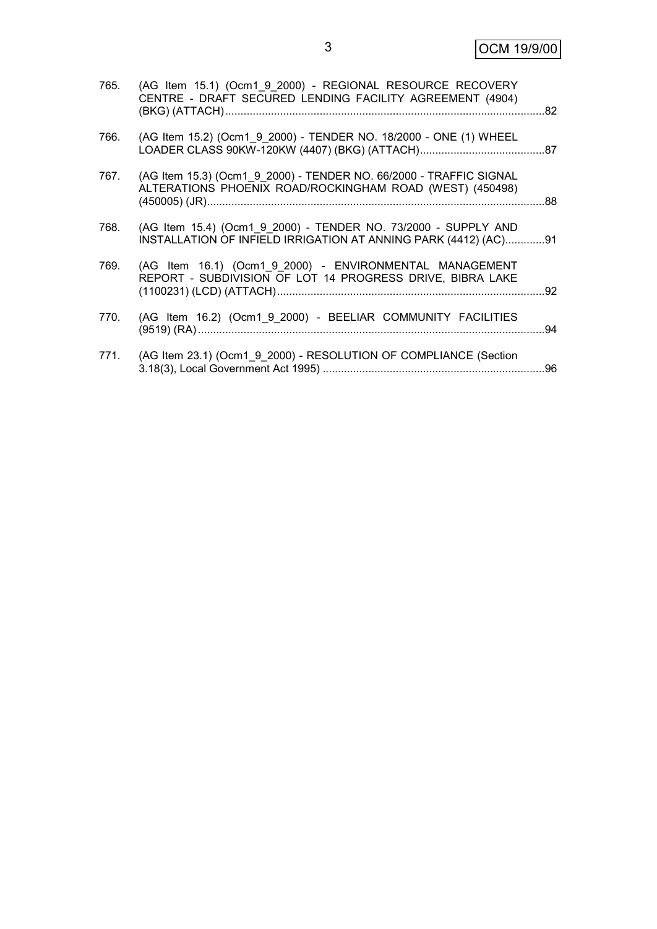| 765. | (AG Item 15.1) (Ocm1 9 2000) - REGIONAL RESOURCE RECOVERY<br>CENTRE - DRAFT SECURED LENDING FACILITY AGREEMENT (4904)             |  |
|------|-----------------------------------------------------------------------------------------------------------------------------------|--|
| 766. | (AG Item 15.2) (Ocm1 9 2000) - TENDER NO. 18/2000 - ONE (1) WHEEL                                                                 |  |
| 767. | (AG Item 15.3) (Ocm1 9 2000) - TENDER NO. 66/2000 - TRAFFIC SIGNAL<br>ALTERATIONS PHOENIX ROAD/ROCKINGHAM ROAD (WEST) (450498)    |  |
| 768. | (AG Item 15.4) (Ocm1_9_2000) - TENDER NO. 73/2000 - SUPPLY AND<br>INSTALLATION OF INFIELD IRRIGATION AT ANNING PARK (4412) (AC)91 |  |
| 769. | (AG Item 16.1) (Ocm1 9 2000) - ENVIRONMENTAL MANAGEMENT<br>REPORT - SUBDIVISION OF LOT 14 PROGRESS DRIVE, BIBRA LAKE              |  |
| 770. | (AG Item 16.2) (Ocm1_9_2000) - BEELIAR COMMUNITY FACILITIES                                                                       |  |
| 771. | (AG Item 23.1) (Ocm1_9_2000) - RESOLUTION OF COMPLIANCE (Section                                                                  |  |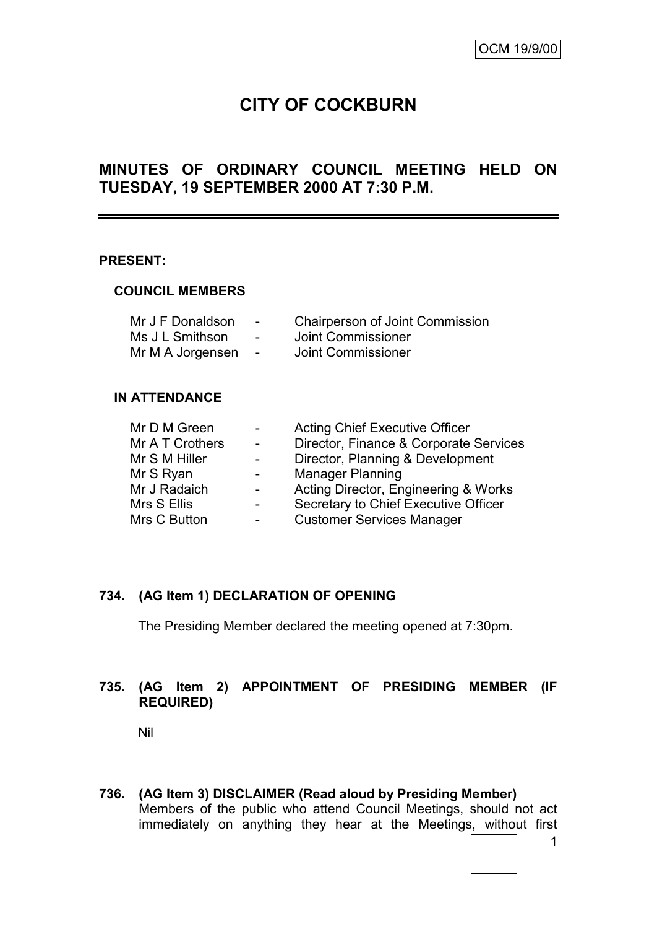# **CITY OF COCKBURN**

## **MINUTES OF ORDINARY COUNCIL MEETING HELD ON TUESDAY, 19 SEPTEMBER 2000 AT 7:30 P.M.**

#### **PRESENT:**

#### **COUNCIL MEMBERS**

| Mr J F Donaldson | $\overline{\phantom{a}}$ | <b>Chairperson of Joint Commission</b> |
|------------------|--------------------------|----------------------------------------|
| Ms J L Smithson  | $\overline{\phantom{0}}$ | Joint Commissioner                     |
| Mr M A Jorgensen | $\overline{\phantom{a}}$ | Joint Commissioner                     |

#### **IN ATTENDANCE**

|   | <b>Acting Chief Executive Officer</b>  |
|---|----------------------------------------|
|   | Director, Finance & Corporate Services |
|   | Director, Planning & Development       |
| - | <b>Manager Planning</b>                |
|   | Acting Director, Engineering & Works   |
|   | Secretary to Chief Executive Officer   |
|   | <b>Customer Services Manager</b>       |
|   |                                        |

### **734. (AG Item 1) DECLARATION OF OPENING**

The Presiding Member declared the meeting opened at 7:30pm.

### **735. (AG Item 2) APPOINTMENT OF PRESIDING MEMBER (IF REQUIRED)**

Nil

**736. (AG Item 3) DISCLAIMER (Read aloud by Presiding Member)** Members of the public who attend Council Meetings, should not act immediately on anything they hear at the Meetings, without first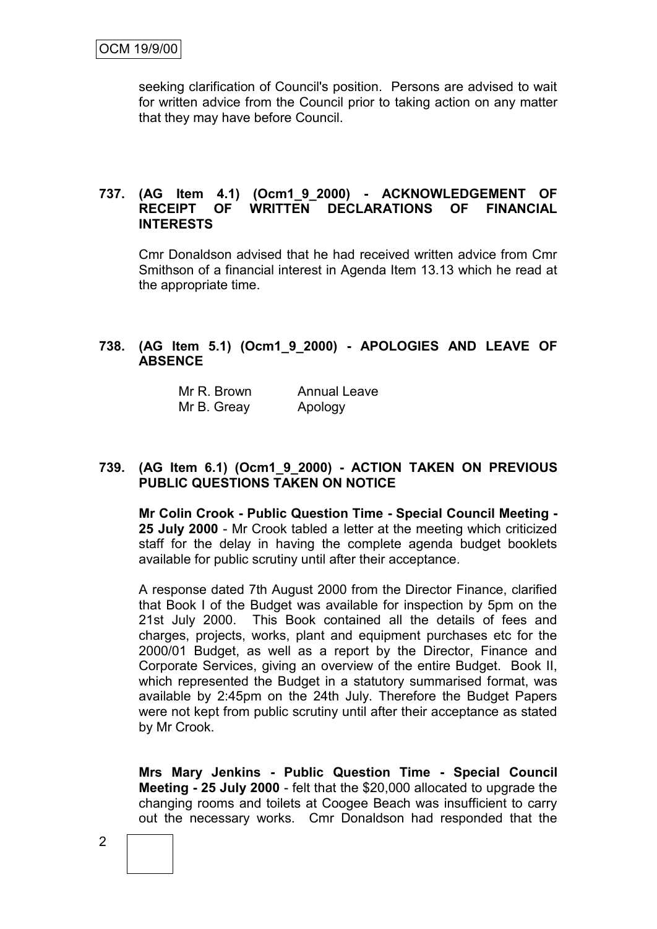seeking clarification of Council's position. Persons are advised to wait for written advice from the Council prior to taking action on any matter that they may have before Council.

#### **737. (AG Item 4.1) (Ocm1\_9\_2000) - ACKNOWLEDGEMENT OF RECEIPT OF WRITTEN DECLARATIONS OF FINANCIAL INTERESTS**

Cmr Donaldson advised that he had received written advice from Cmr Smithson of a financial interest in Agenda Item 13.13 which he read at the appropriate time.

#### **738. (AG Item 5.1) (Ocm1\_9\_2000) - APOLOGIES AND LEAVE OF ABSENCE**

| Mr R. Brown | <b>Annual Leave</b> |
|-------------|---------------------|
| Mr B. Greay | Apology             |

#### **739. (AG Item 6.1) (Ocm1\_9\_2000) - ACTION TAKEN ON PREVIOUS PUBLIC QUESTIONS TAKEN ON NOTICE**

**Mr Colin Crook - Public Question Time - Special Council Meeting - 25 July 2000** - Mr Crook tabled a letter at the meeting which criticized staff for the delay in having the complete agenda budget booklets available for public scrutiny until after their acceptance.

A response dated 7th August 2000 from the Director Finance, clarified that Book I of the Budget was available for inspection by 5pm on the 21st July 2000. This Book contained all the details of fees and charges, projects, works, plant and equipment purchases etc for the 2000/01 Budget, as well as a report by the Director, Finance and Corporate Services, giving an overview of the entire Budget. Book II, which represented the Budget in a statutory summarised format, was available by 2:45pm on the 24th July. Therefore the Budget Papers were not kept from public scrutiny until after their acceptance as stated by Mr Crook.

**Mrs Mary Jenkins - Public Question Time - Special Council Meeting - 25 July 2000** - felt that the \$20,000 allocated to upgrade the changing rooms and toilets at Coogee Beach was insufficient to carry out the necessary works. Cmr Donaldson had responded that the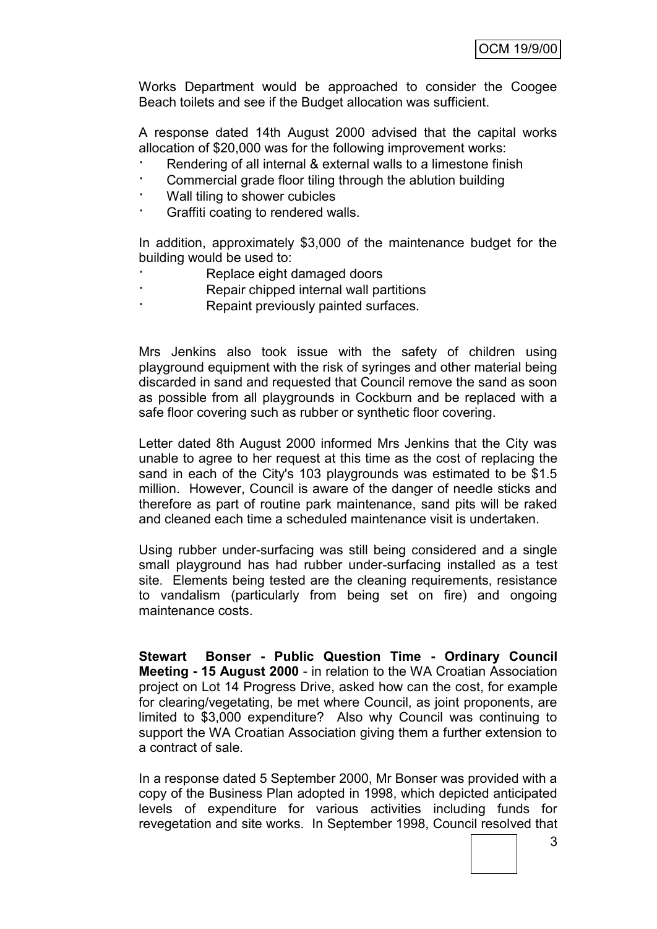Works Department would be approached to consider the Coogee Beach toilets and see if the Budget allocation was sufficient.

A response dated 14th August 2000 advised that the capital works allocation of \$20,000 was for the following improvement works:

- Rendering of all internal & external walls to a limestone finish
- · Commercial grade floor tiling through the ablution building
- · Wall tiling to shower cubicles
- · Graffiti coating to rendered walls.

In addition, approximately \$3,000 of the maintenance budget for the building would be used to:

- Replace eight damaged doors
- · Repair chipped internal wall partitions
- Repaint previously painted surfaces.

Mrs Jenkins also took issue with the safety of children using playground equipment with the risk of syringes and other material being discarded in sand and requested that Council remove the sand as soon as possible from all playgrounds in Cockburn and be replaced with a safe floor covering such as rubber or synthetic floor covering.

Letter dated 8th August 2000 informed Mrs Jenkins that the City was unable to agree to her request at this time as the cost of replacing the sand in each of the City's 103 playgrounds was estimated to be \$1.5 million. However, Council is aware of the danger of needle sticks and therefore as part of routine park maintenance, sand pits will be raked and cleaned each time a scheduled maintenance visit is undertaken.

Using rubber under-surfacing was still being considered and a single small playground has had rubber under-surfacing installed as a test site. Elements being tested are the cleaning requirements, resistance to vandalism (particularly from being set on fire) and ongoing maintenance costs.

**Stewart Bonser - Public Question Time - Ordinary Council Meeting - 15 August 2000** - in relation to the WA Croatian Association project on Lot 14 Progress Drive, asked how can the cost, for example for clearing/vegetating, be met where Council, as joint proponents, are limited to \$3,000 expenditure? Also why Council was continuing to support the WA Croatian Association giving them a further extension to a contract of sale.

In a response dated 5 September 2000, Mr Bonser was provided with a copy of the Business Plan adopted in 1998, which depicted anticipated levels of expenditure for various activities including funds for revegetation and site works. In September 1998, Council resolved that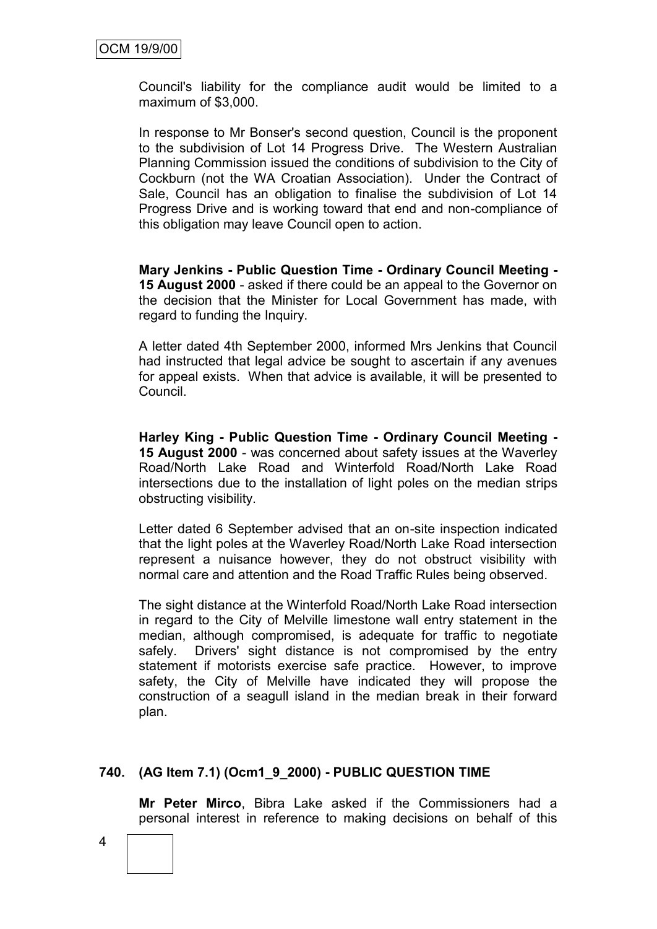Council's liability for the compliance audit would be limited to a maximum of \$3,000.

In response to Mr Bonser's second question, Council is the proponent to the subdivision of Lot 14 Progress Drive. The Western Australian Planning Commission issued the conditions of subdivision to the City of Cockburn (not the WA Croatian Association). Under the Contract of Sale, Council has an obligation to finalise the subdivision of Lot 14 Progress Drive and is working toward that end and non-compliance of this obligation may leave Council open to action.

**Mary Jenkins - Public Question Time - Ordinary Council Meeting - 15 August 2000** - asked if there could be an appeal to the Governor on the decision that the Minister for Local Government has made, with regard to funding the Inquiry.

A letter dated 4th September 2000, informed Mrs Jenkins that Council had instructed that legal advice be sought to ascertain if any avenues for appeal exists. When that advice is available, it will be presented to Council.

**Harley King - Public Question Time - Ordinary Council Meeting - 15 August 2000** - was concerned about safety issues at the Waverley Road/North Lake Road and Winterfold Road/North Lake Road intersections due to the installation of light poles on the median strips obstructing visibility.

Letter dated 6 September advised that an on-site inspection indicated that the light poles at the Waverley Road/North Lake Road intersection represent a nuisance however, they do not obstruct visibility with normal care and attention and the Road Traffic Rules being observed.

The sight distance at the Winterfold Road/North Lake Road intersection in regard to the City of Melville limestone wall entry statement in the median, although compromised, is adequate for traffic to negotiate safely. Drivers' sight distance is not compromised by the entry statement if motorists exercise safe practice. However, to improve safety, the City of Melville have indicated they will propose the construction of a seagull island in the median break in their forward plan.

#### **740. (AG Item 7.1) (Ocm1\_9\_2000) - PUBLIC QUESTION TIME**

**Mr Peter Mirco**, Bibra Lake asked if the Commissioners had a personal interest in reference to making decisions on behalf of this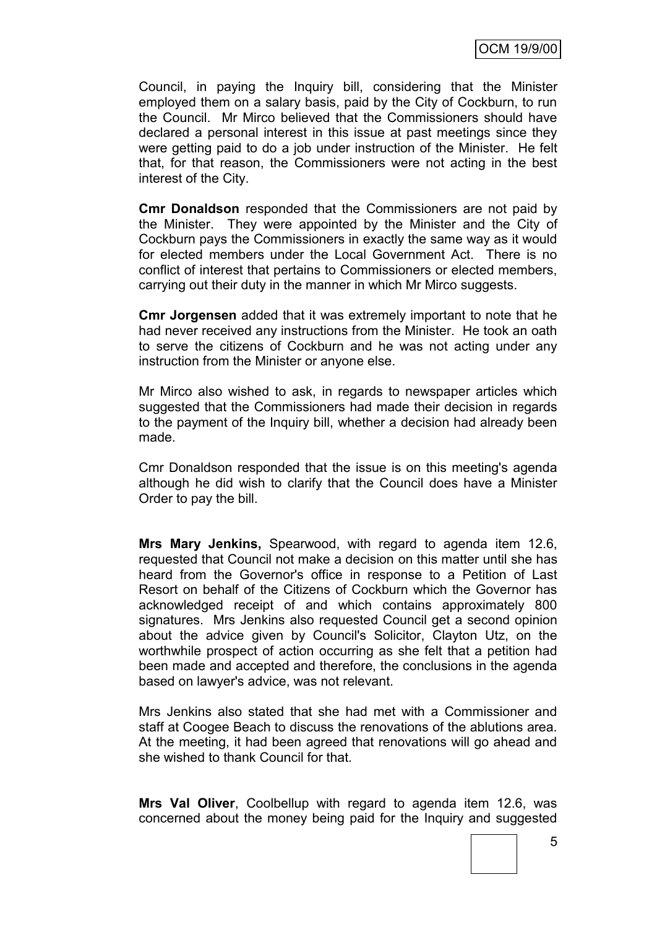Council, in paying the Inquiry bill, considering that the Minister employed them on a salary basis, paid by the City of Cockburn, to run the Council. Mr Mirco believed that the Commissioners should have declared a personal interest in this issue at past meetings since they were getting paid to do a job under instruction of the Minister. He felt that, for that reason, the Commissioners were not acting in the best interest of the City.

**Cmr Donaldson** responded that the Commissioners are not paid by the Minister. They were appointed by the Minister and the City of Cockburn pays the Commissioners in exactly the same way as it would for elected members under the Local Government Act. There is no conflict of interest that pertains to Commissioners or elected members, carrying out their duty in the manner in which Mr Mirco suggests.

**Cmr Jorgensen** added that it was extremely important to note that he had never received any instructions from the Minister. He took an oath to serve the citizens of Cockburn and he was not acting under any instruction from the Minister or anyone else.

Mr Mirco also wished to ask, in regards to newspaper articles which suggested that the Commissioners had made their decision in regards to the payment of the Inquiry bill, whether a decision had already been made.

Cmr Donaldson responded that the issue is on this meeting's agenda although he did wish to clarify that the Council does have a Minister Order to pay the bill.

**Mrs Mary Jenkins,** Spearwood, with regard to agenda item 12.6, requested that Council not make a decision on this matter until she has heard from the Governor's office in response to a Petition of Last Resort on behalf of the Citizens of Cockburn which the Governor has acknowledged receipt of and which contains approximately 800 signatures. Mrs Jenkins also requested Council get a second opinion about the advice given by Council's Solicitor, Clayton Utz, on the worthwhile prospect of action occurring as she felt that a petition had been made and accepted and therefore, the conclusions in the agenda based on lawyer's advice, was not relevant.

Mrs Jenkins also stated that she had met with a Commissioner and staff at Coogee Beach to discuss the renovations of the ablutions area. At the meeting, it had been agreed that renovations will go ahead and she wished to thank Council for that.

**Mrs Val Oliver**, Coolbellup with regard to agenda item 12.6, was concerned about the money being paid for the Inquiry and suggested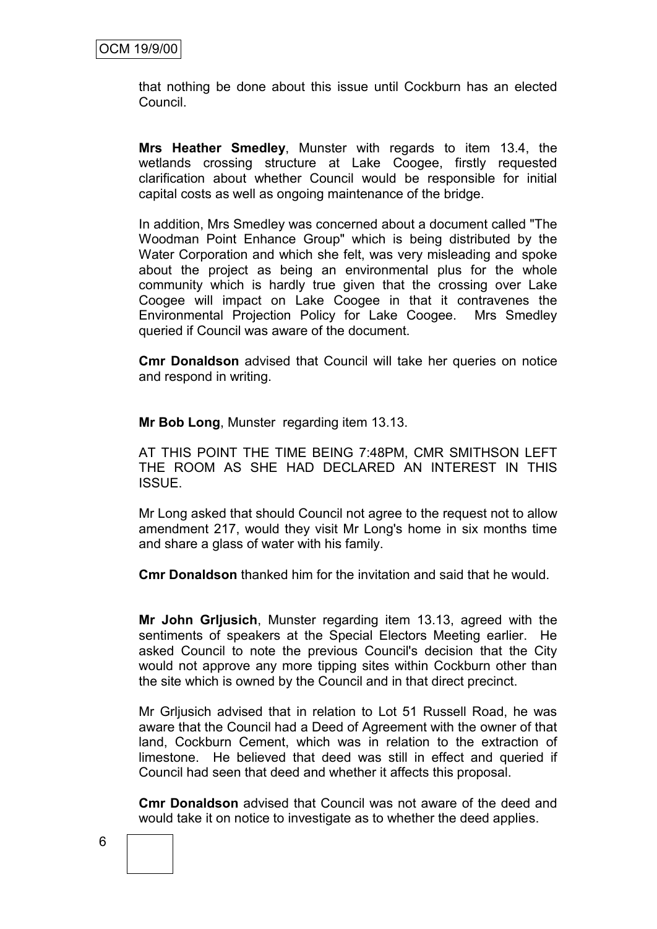that nothing be done about this issue until Cockburn has an elected Council.

**Mrs Heather Smedley**, Munster with regards to item 13.4, the wetlands crossing structure at Lake Coogee, firstly requested clarification about whether Council would be responsible for initial capital costs as well as ongoing maintenance of the bridge.

In addition, Mrs Smedley was concerned about a document called "The Woodman Point Enhance Group" which is being distributed by the Water Corporation and which she felt, was very misleading and spoke about the project as being an environmental plus for the whole community which is hardly true given that the crossing over Lake Coogee will impact on Lake Coogee in that it contravenes the Environmental Projection Policy for Lake Coogee. Mrs Smedley queried if Council was aware of the document.

**Cmr Donaldson** advised that Council will take her queries on notice and respond in writing.

**Mr Bob Long**, Munster regarding item 13.13.

AT THIS POINT THE TIME BEING 7:48PM, CMR SMITHSON LEFT THE ROOM AS SHE HAD DECLARED AN INTEREST IN THIS ISSUE.

Mr Long asked that should Council not agree to the request not to allow amendment 217, would they visit Mr Long's home in six months time and share a glass of water with his family.

**Cmr Donaldson** thanked him for the invitation and said that he would.

**Mr John Grljusich**, Munster regarding item 13.13, agreed with the sentiments of speakers at the Special Electors Meeting earlier. He asked Council to note the previous Council's decision that the City would not approve any more tipping sites within Cockburn other than the site which is owned by the Council and in that direct precinct.

Mr Grljusich advised that in relation to Lot 51 Russell Road, he was aware that the Council had a Deed of Agreement with the owner of that land, Cockburn Cement, which was in relation to the extraction of limestone. He believed that deed was still in effect and queried if Council had seen that deed and whether it affects this proposal.

**Cmr Donaldson** advised that Council was not aware of the deed and would take it on notice to investigate as to whether the deed applies.

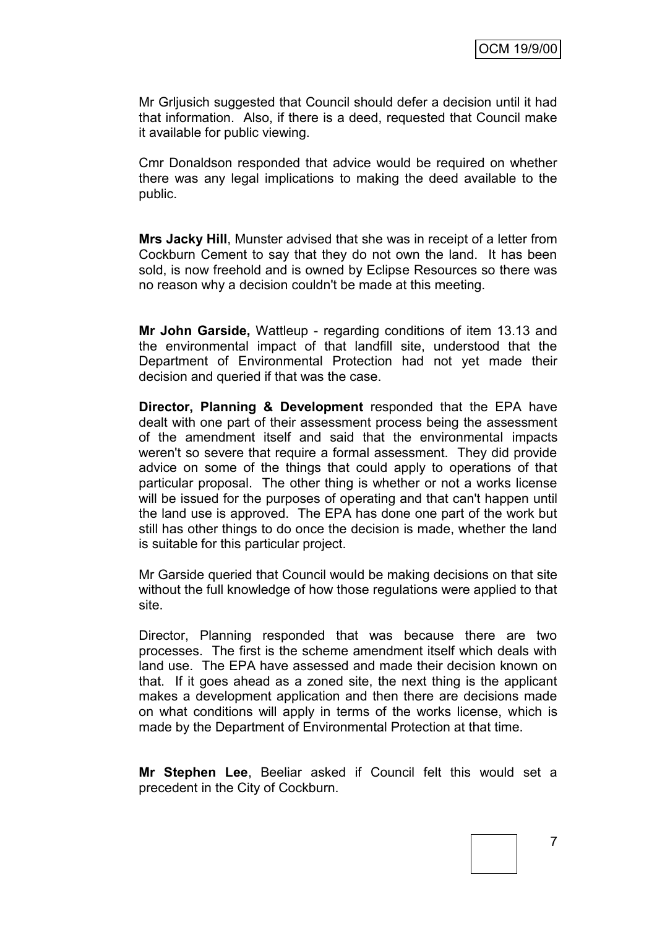Mr Grljusich suggested that Council should defer a decision until it had that information. Also, if there is a deed, requested that Council make it available for public viewing.

Cmr Donaldson responded that advice would be required on whether there was any legal implications to making the deed available to the public.

**Mrs Jacky Hill**, Munster advised that she was in receipt of a letter from Cockburn Cement to say that they do not own the land. It has been sold, is now freehold and is owned by Eclipse Resources so there was no reason why a decision couldn't be made at this meeting.

**Mr John Garside,** Wattleup - regarding conditions of item 13.13 and the environmental impact of that landfill site, understood that the Department of Environmental Protection had not yet made their decision and queried if that was the case.

**Director, Planning & Development** responded that the EPA have dealt with one part of their assessment process being the assessment of the amendment itself and said that the environmental impacts weren't so severe that require a formal assessment. They did provide advice on some of the things that could apply to operations of that particular proposal. The other thing is whether or not a works license will be issued for the purposes of operating and that can't happen until the land use is approved. The EPA has done one part of the work but still has other things to do once the decision is made, whether the land is suitable for this particular project.

Mr Garside queried that Council would be making decisions on that site without the full knowledge of how those regulations were applied to that site.

Director, Planning responded that was because there are two processes. The first is the scheme amendment itself which deals with land use. The EPA have assessed and made their decision known on that. If it goes ahead as a zoned site, the next thing is the applicant makes a development application and then there are decisions made on what conditions will apply in terms of the works license, which is made by the Department of Environmental Protection at that time.

**Mr Stephen Lee**, Beeliar asked if Council felt this would set a precedent in the City of Cockburn.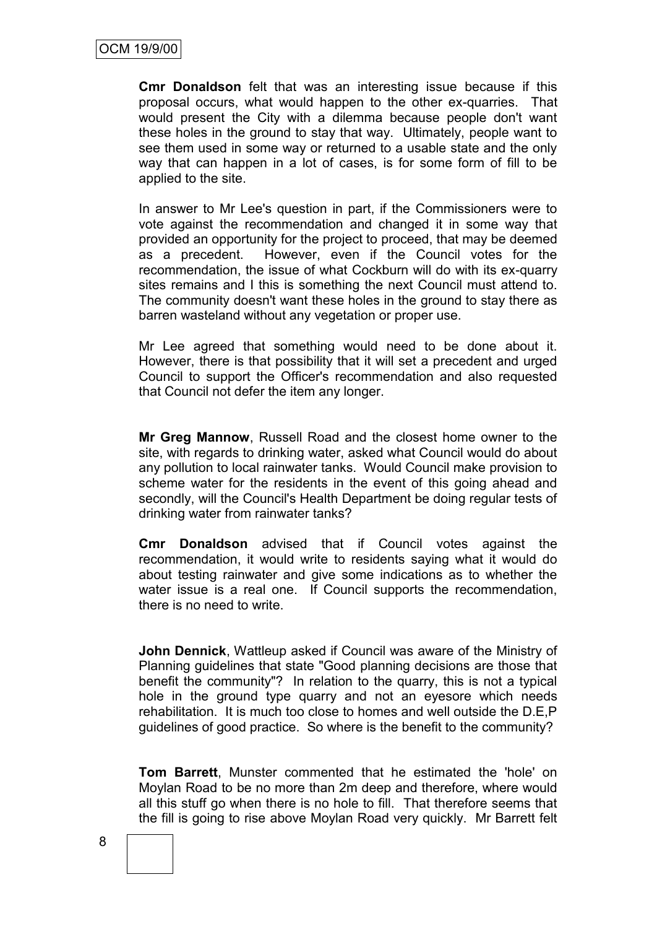**Cmr Donaldson** felt that was an interesting issue because if this proposal occurs, what would happen to the other ex-quarries. That would present the City with a dilemma because people don't want these holes in the ground to stay that way. Ultimately, people want to see them used in some way or returned to a usable state and the only way that can happen in a lot of cases, is for some form of fill to be applied to the site.

In answer to Mr Lee's question in part, if the Commissioners were to vote against the recommendation and changed it in some way that provided an opportunity for the project to proceed, that may be deemed as a precedent. However, even if the Council votes for the recommendation, the issue of what Cockburn will do with its ex-quarry sites remains and I this is something the next Council must attend to. The community doesn't want these holes in the ground to stay there as barren wasteland without any vegetation or proper use.

Mr Lee agreed that something would need to be done about it. However, there is that possibility that it will set a precedent and urged Council to support the Officer's recommendation and also requested that Council not defer the item any longer.

**Mr Greg Mannow**, Russell Road and the closest home owner to the site, with regards to drinking water, asked what Council would do about any pollution to local rainwater tanks. Would Council make provision to scheme water for the residents in the event of this going ahead and secondly, will the Council's Health Department be doing regular tests of drinking water from rainwater tanks?

**Cmr Donaldson** advised that if Council votes against the recommendation, it would write to residents saying what it would do about testing rainwater and give some indications as to whether the water issue is a real one. If Council supports the recommendation, there is no need to write.

**John Dennick**, Wattleup asked if Council was aware of the Ministry of Planning guidelines that state "Good planning decisions are those that benefit the community"? In relation to the quarry, this is not a typical hole in the ground type quarry and not an eyesore which needs rehabilitation. It is much too close to homes and well outside the D.E,P guidelines of good practice. So where is the benefit to the community?

**Tom Barrett**, Munster commented that he estimated the 'hole' on Moylan Road to be no more than 2m deep and therefore, where would all this stuff go when there is no hole to fill. That therefore seems that the fill is going to rise above Moylan Road very quickly. Mr Barrett felt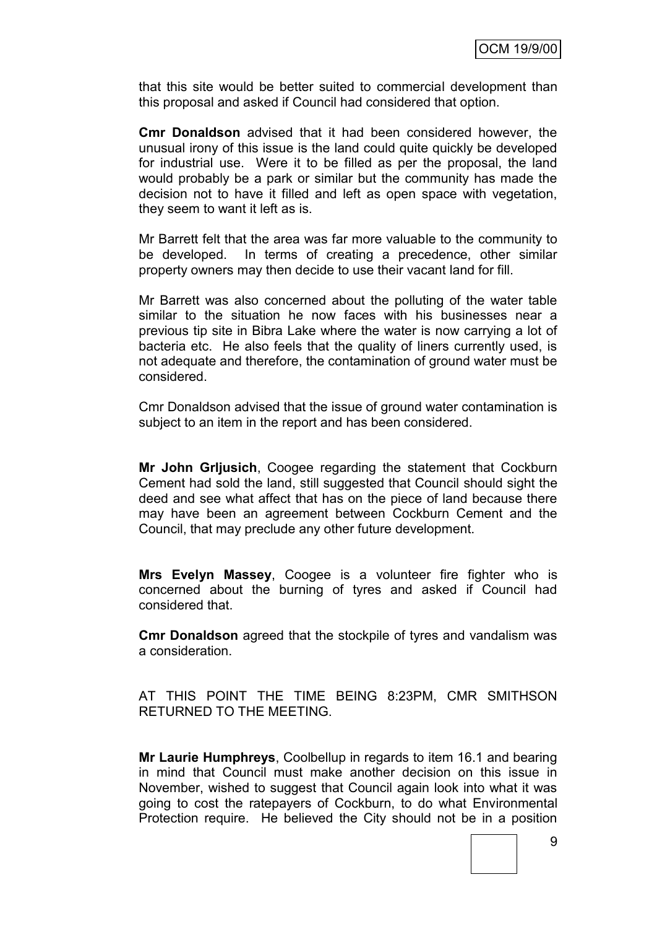that this site would be better suited to commercial development than this proposal and asked if Council had considered that option.

**Cmr Donaldson** advised that it had been considered however, the unusual irony of this issue is the land could quite quickly be developed for industrial use. Were it to be filled as per the proposal, the land would probably be a park or similar but the community has made the decision not to have it filled and left as open space with vegetation, they seem to want it left as is.

Mr Barrett felt that the area was far more valuable to the community to be developed. In terms of creating a precedence, other similar property owners may then decide to use their vacant land for fill.

Mr Barrett was also concerned about the polluting of the water table similar to the situation he now faces with his businesses near a previous tip site in Bibra Lake where the water is now carrying a lot of bacteria etc. He also feels that the quality of liners currently used, is not adequate and therefore, the contamination of ground water must be considered.

Cmr Donaldson advised that the issue of ground water contamination is subject to an item in the report and has been considered.

**Mr John Grljusich**, Coogee regarding the statement that Cockburn Cement had sold the land, still suggested that Council should sight the deed and see what affect that has on the piece of land because there may have been an agreement between Cockburn Cement and the Council, that may preclude any other future development.

**Mrs Evelyn Massey**, Coogee is a volunteer fire fighter who is concerned about the burning of tyres and asked if Council had considered that.

**Cmr Donaldson** agreed that the stockpile of tyres and vandalism was a consideration.

AT THIS POINT THE TIME BEING 8:23PM, CMR SMITHSON RETURNED TO THE MEETING.

**Mr Laurie Humphreys**, Coolbellup in regards to item 16.1 and bearing in mind that Council must make another decision on this issue in November, wished to suggest that Council again look into what it was going to cost the ratepayers of Cockburn, to do what Environmental Protection require. He believed the City should not be in a position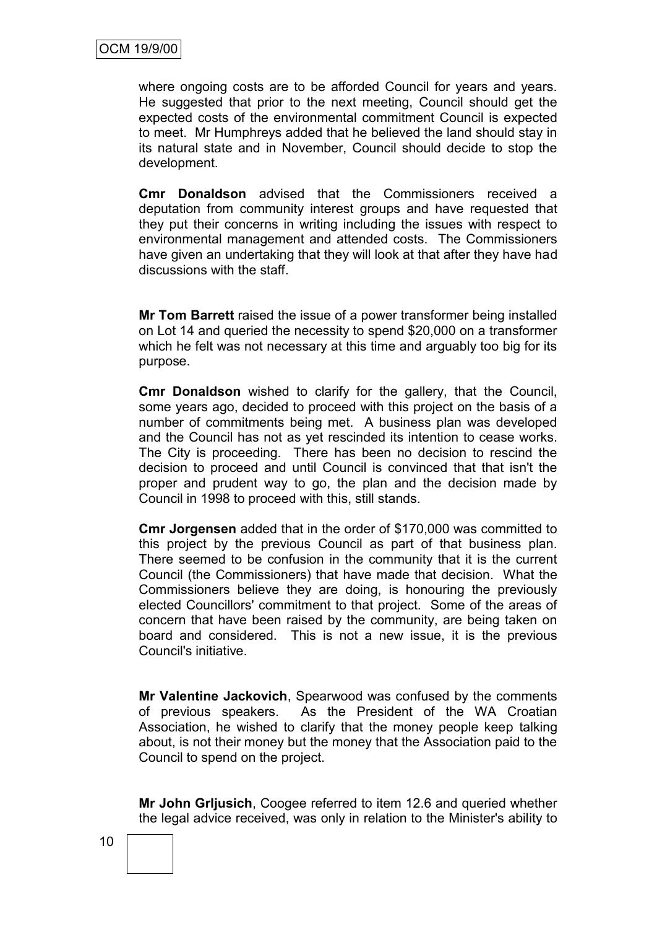where ongoing costs are to be afforded Council for years and years. He suggested that prior to the next meeting, Council should get the expected costs of the environmental commitment Council is expected to meet. Mr Humphreys added that he believed the land should stay in its natural state and in November, Council should decide to stop the development.

**Cmr Donaldson** advised that the Commissioners received a deputation from community interest groups and have requested that they put their concerns in writing including the issues with respect to environmental management and attended costs. The Commissioners have given an undertaking that they will look at that after they have had discussions with the staff.

**Mr Tom Barrett** raised the issue of a power transformer being installed on Lot 14 and queried the necessity to spend \$20,000 on a transformer which he felt was not necessary at this time and arguably too big for its purpose.

**Cmr Donaldson** wished to clarify for the gallery, that the Council, some years ago, decided to proceed with this project on the basis of a number of commitments being met. A business plan was developed and the Council has not as yet rescinded its intention to cease works. The City is proceeding. There has been no decision to rescind the decision to proceed and until Council is convinced that that isn't the proper and prudent way to go, the plan and the decision made by Council in 1998 to proceed with this, still stands.

**Cmr Jorgensen** added that in the order of \$170,000 was committed to this project by the previous Council as part of that business plan. There seemed to be confusion in the community that it is the current Council (the Commissioners) that have made that decision. What the Commissioners believe they are doing, is honouring the previously elected Councillors' commitment to that project. Some of the areas of concern that have been raised by the community, are being taken on board and considered. This is not a new issue, it is the previous Council's initiative.

**Mr Valentine Jackovich**, Spearwood was confused by the comments of previous speakers. As the President of the WA Croatian Association, he wished to clarify that the money people keep talking about, is not their money but the money that the Association paid to the Council to spend on the project.

**Mr John Grljusich**, Coogee referred to item 12.6 and queried whether the legal advice received, was only in relation to the Minister's ability to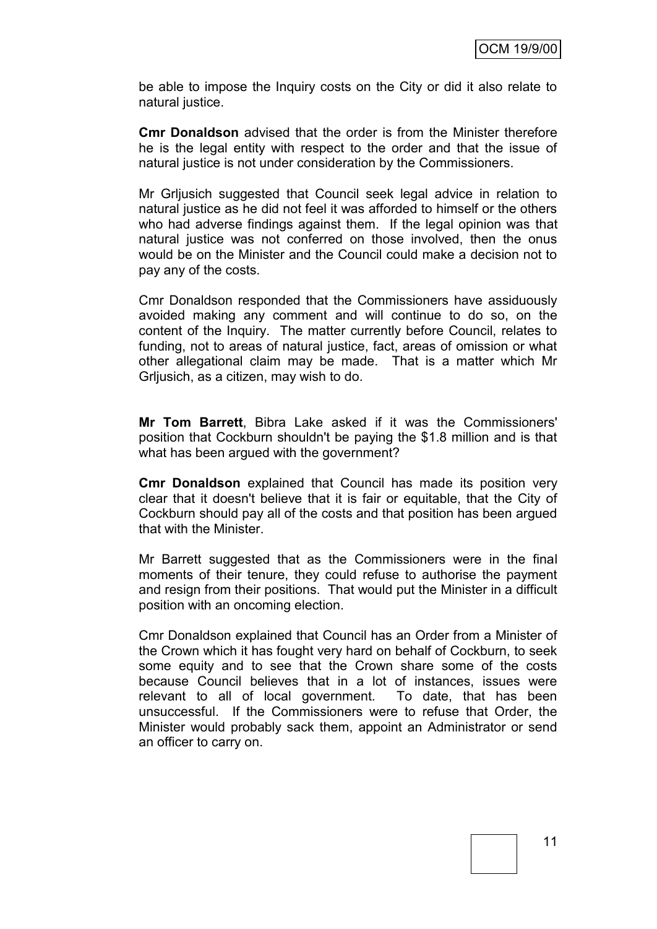be able to impose the Inquiry costs on the City or did it also relate to natural justice.

**Cmr Donaldson** advised that the order is from the Minister therefore he is the legal entity with respect to the order and that the issue of natural justice is not under consideration by the Commissioners.

Mr Grljusich suggested that Council seek legal advice in relation to natural justice as he did not feel it was afforded to himself or the others who had adverse findings against them. If the legal opinion was that natural justice was not conferred on those involved, then the onus would be on the Minister and the Council could make a decision not to pay any of the costs.

Cmr Donaldson responded that the Commissioners have assiduously avoided making any comment and will continue to do so, on the content of the Inquiry. The matter currently before Council, relates to funding, not to areas of natural justice, fact, areas of omission or what other allegational claim may be made. That is a matter which Mr Grljusich, as a citizen, may wish to do.

**Mr Tom Barrett**, Bibra Lake asked if it was the Commissioners' position that Cockburn shouldn't be paying the \$1.8 million and is that what has been argued with the government?

**Cmr Donaldson** explained that Council has made its position very clear that it doesn't believe that it is fair or equitable, that the City of Cockburn should pay all of the costs and that position has been argued that with the Minister.

Mr Barrett suggested that as the Commissioners were in the final moments of their tenure, they could refuse to authorise the payment and resign from their positions. That would put the Minister in a difficult position with an oncoming election.

Cmr Donaldson explained that Council has an Order from a Minister of the Crown which it has fought very hard on behalf of Cockburn, to seek some equity and to see that the Crown share some of the costs because Council believes that in a lot of instances, issues were relevant to all of local government. To date, that has been unsuccessful. If the Commissioners were to refuse that Order, the Minister would probably sack them, appoint an Administrator or send an officer to carry on.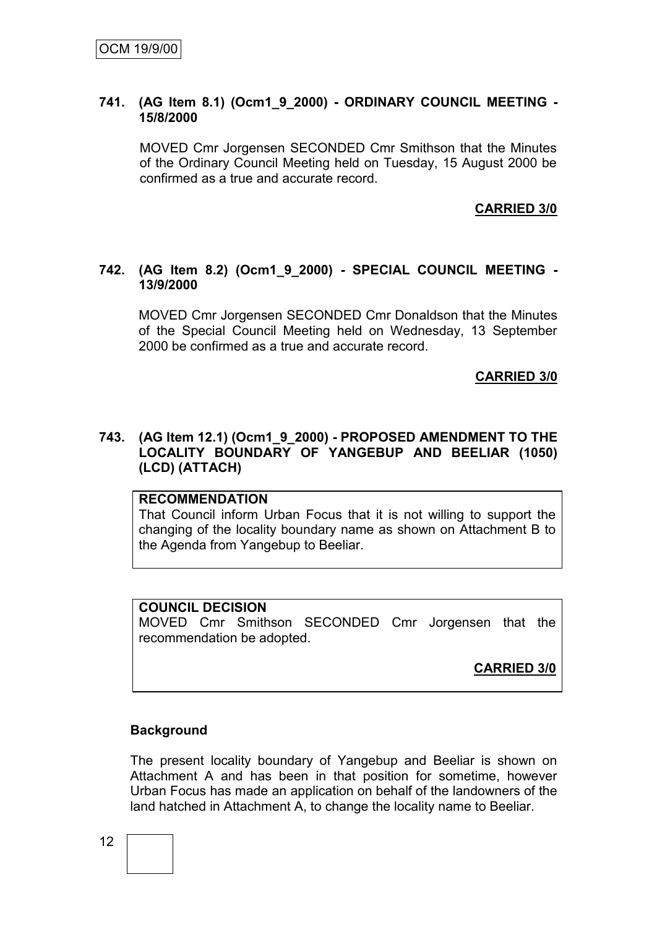#### **741. (AG Item 8.1) (Ocm1\_9\_2000) - ORDINARY COUNCIL MEETING - 15/8/2000**

MOVED Cmr Jorgensen SECONDED Cmr Smithson that the Minutes of the Ordinary Council Meeting held on Tuesday, 15 August 2000 be confirmed as a true and accurate record.

#### **CARRIED 3/0**

#### **742. (AG Item 8.2) (Ocm1\_9\_2000) - SPECIAL COUNCIL MEETING - 13/9/2000**

MOVED Cmr Jorgensen SECONDED Cmr Donaldson that the Minutes of the Special Council Meeting held on Wednesday, 13 September 2000 be confirmed as a true and accurate record.

#### **CARRIED 3/0**

#### **743. (AG Item 12.1) (Ocm1\_9\_2000) - PROPOSED AMENDMENT TO THE LOCALITY BOUNDARY OF YANGEBUP AND BEELIAR (1050) (LCD) (ATTACH)**

#### **RECOMMENDATION**

That Council inform Urban Focus that it is not willing to support the changing of the locality boundary name as shown on Attachment B to the Agenda from Yangebup to Beeliar.

#### **COUNCIL DECISION**

MOVED Cmr Smithson SECONDED Cmr Jorgensen that the recommendation be adopted.

**CARRIED 3/0**

#### **Background**

The present locality boundary of Yangebup and Beeliar is shown on Attachment A and has been in that position for sometime, however Urban Focus has made an application on behalf of the landowners of the land hatched in Attachment A, to change the locality name to Beeliar.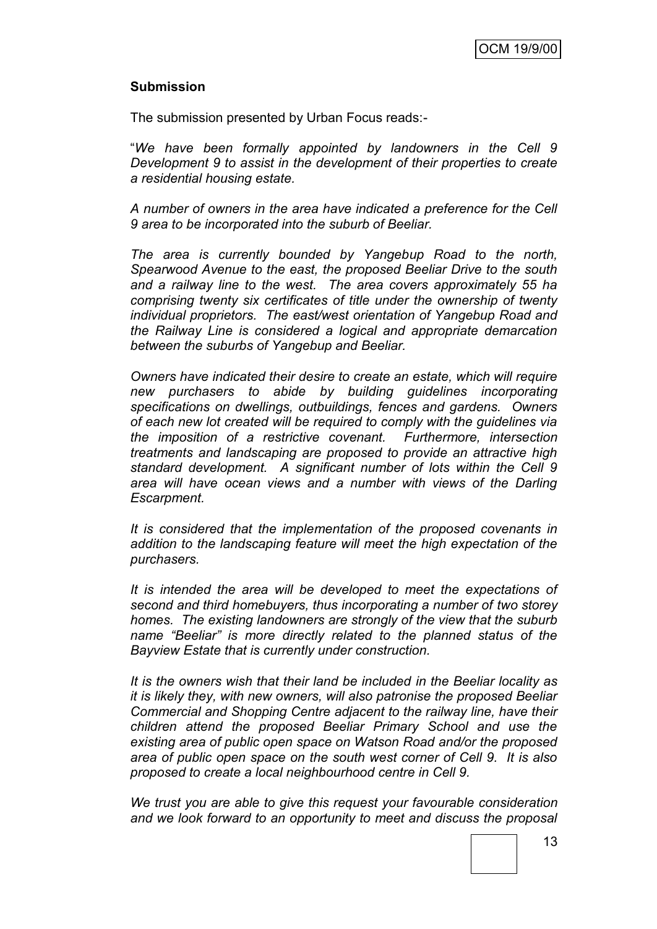#### **Submission**

The submission presented by Urban Focus reads:-

"*We have been formally appointed by landowners in the Cell 9 Development 9 to assist in the development of their properties to create a residential housing estate.*

*A number of owners in the area have indicated a preference for the Cell 9 area to be incorporated into the suburb of Beeliar.*

*The area is currently bounded by Yangebup Road to the north, Spearwood Avenue to the east, the proposed Beeliar Drive to the south and a railway line to the west. The area covers approximately 55 ha comprising twenty six certificates of title under the ownership of twenty individual proprietors. The east/west orientation of Yangebup Road and the Railway Line is considered a logical and appropriate demarcation between the suburbs of Yangebup and Beeliar.* 

*Owners have indicated their desire to create an estate, which will require new purchasers to abide by building guidelines incorporating specifications on dwellings, outbuildings, fences and gardens. Owners of each new lot created will be required to comply with the guidelines via the imposition of a restrictive covenant. Furthermore, intersection treatments and landscaping are proposed to provide an attractive high standard development. A significant number of lots within the Cell 9 area will have ocean views and a number with views of the Darling Escarpment.*

*It is considered that the implementation of the proposed covenants in addition to the landscaping feature will meet the high expectation of the purchasers.*

*It is intended the area will be developed to meet the expectations of second and third homebuyers, thus incorporating a number of two storey homes. The existing landowners are strongly of the view that the suburb name "Beeliar" is more directly related to the planned status of the Bayview Estate that is currently under construction.*

*It is the owners wish that their land be included in the Beeliar locality as it is likely they, with new owners, will also patronise the proposed Beeliar Commercial and Shopping Centre adjacent to the railway line, have their children attend the proposed Beeliar Primary School and use the existing area of public open space on Watson Road and/or the proposed area of public open space on the south west corner of Cell 9. It is also proposed to create a local neighbourhood centre in Cell 9.*

*We trust you are able to give this request your favourable consideration and we look forward to an opportunity to meet and discuss the proposal*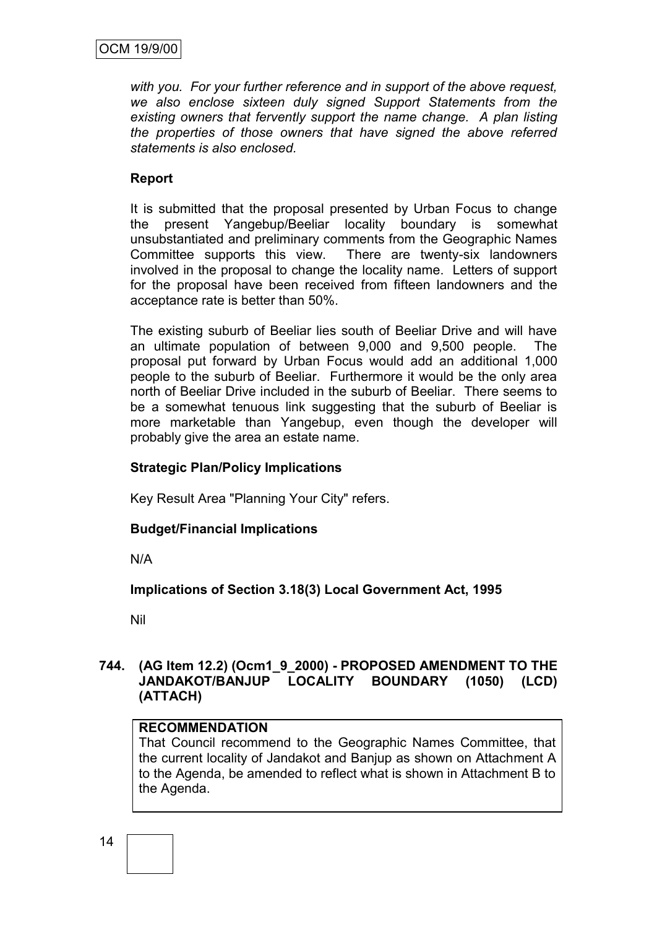*with you. For your further reference and in support of the above request, we also enclose sixteen duly signed Support Statements from the existing owners that fervently support the name change. A plan listing the properties of those owners that have signed the above referred statements is also enclosed.*

#### **Report**

It is submitted that the proposal presented by Urban Focus to change the present Yangebup/Beeliar locality boundary is somewhat unsubstantiated and preliminary comments from the Geographic Names Committee supports this view. There are twenty-six landowners involved in the proposal to change the locality name. Letters of support for the proposal have been received from fifteen landowners and the acceptance rate is better than 50%.

The existing suburb of Beeliar lies south of Beeliar Drive and will have an ultimate population of between 9,000 and 9,500 people. The proposal put forward by Urban Focus would add an additional 1,000 people to the suburb of Beeliar. Furthermore it would be the only area north of Beeliar Drive included in the suburb of Beeliar. There seems to be a somewhat tenuous link suggesting that the suburb of Beeliar is more marketable than Yangebup, even though the developer will probably give the area an estate name.

### **Strategic Plan/Policy Implications**

Key Result Area "Planning Your City" refers.

### **Budget/Financial Implications**

N/A

**Implications of Section 3.18(3) Local Government Act, 1995**

Nil

#### **744. (AG Item 12.2) (Ocm1\_9\_2000) - PROPOSED AMENDMENT TO THE JANDAKOT/BANJUP LOCALITY BOUNDARY (1050) (LCD) (ATTACH)**

#### **RECOMMENDATION**

That Council recommend to the Geographic Names Committee, that the current locality of Jandakot and Banjup as shown on Attachment A to the Agenda, be amended to reflect what is shown in Attachment B to the Agenda.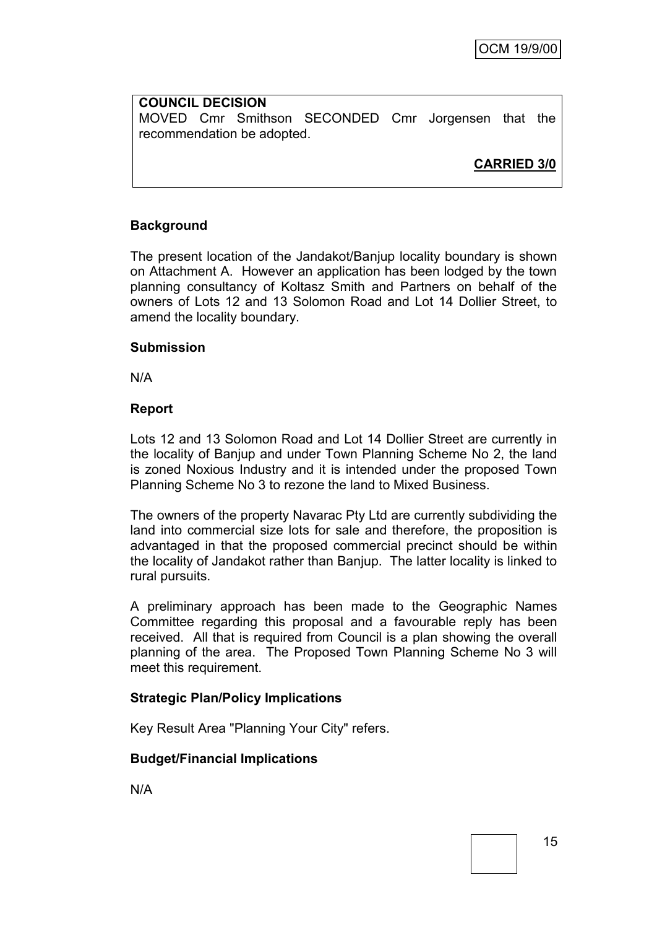**COUNCIL DECISION** MOVED Cmr Smithson SECONDED Cmr Jorgensen that the recommendation be adopted.

**CARRIED 3/0**

### **Background**

The present location of the Jandakot/Banjup locality boundary is shown on Attachment A. However an application has been lodged by the town planning consultancy of Koltasz Smith and Partners on behalf of the owners of Lots 12 and 13 Solomon Road and Lot 14 Dollier Street, to amend the locality boundary.

#### **Submission**

N/A

#### **Report**

Lots 12 and 13 Solomon Road and Lot 14 Dollier Street are currently in the locality of Banjup and under Town Planning Scheme No 2, the land is zoned Noxious Industry and it is intended under the proposed Town Planning Scheme No 3 to rezone the land to Mixed Business.

The owners of the property Navarac Pty Ltd are currently subdividing the land into commercial size lots for sale and therefore, the proposition is advantaged in that the proposed commercial precinct should be within the locality of Jandakot rather than Banjup. The latter locality is linked to rural pursuits.

A preliminary approach has been made to the Geographic Names Committee regarding this proposal and a favourable reply has been received. All that is required from Council is a plan showing the overall planning of the area. The Proposed Town Planning Scheme No 3 will meet this requirement.

### **Strategic Plan/Policy Implications**

Key Result Area "Planning Your City" refers.

### **Budget/Financial Implications**

N/A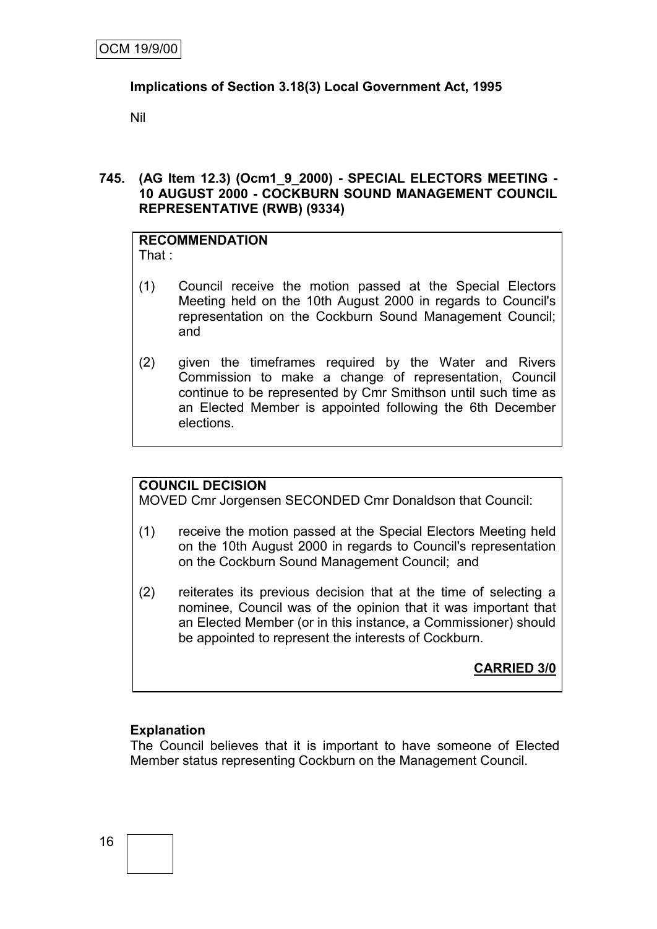#### **Implications of Section 3.18(3) Local Government Act, 1995**

Nil

#### **745. (AG Item 12.3) (Ocm1\_9\_2000) - SPECIAL ELECTORS MEETING - 10 AUGUST 2000 - COCKBURN SOUND MANAGEMENT COUNCIL REPRESENTATIVE (RWB) (9334)**

#### **RECOMMENDATION** That :

- (1) Council receive the motion passed at the Special Electors Meeting held on the 10th August 2000 in regards to Council's representation on the Cockburn Sound Management Council; and
- (2) given the timeframes required by the Water and Rivers Commission to make a change of representation, Council continue to be represented by Cmr Smithson until such time as an Elected Member is appointed following the 6th December elections.

### **COUNCIL DECISION**

MOVED Cmr Jorgensen SECONDED Cmr Donaldson that Council:

- (1) receive the motion passed at the Special Electors Meeting held on the 10th August 2000 in regards to Council's representation on the Cockburn Sound Management Council; and
- (2) reiterates its previous decision that at the time of selecting a nominee, Council was of the opinion that it was important that an Elected Member (or in this instance, a Commissioner) should be appointed to represent the interests of Cockburn.

**CARRIED 3/0**

#### **Explanation**

The Council believes that it is important to have someone of Elected Member status representing Cockburn on the Management Council.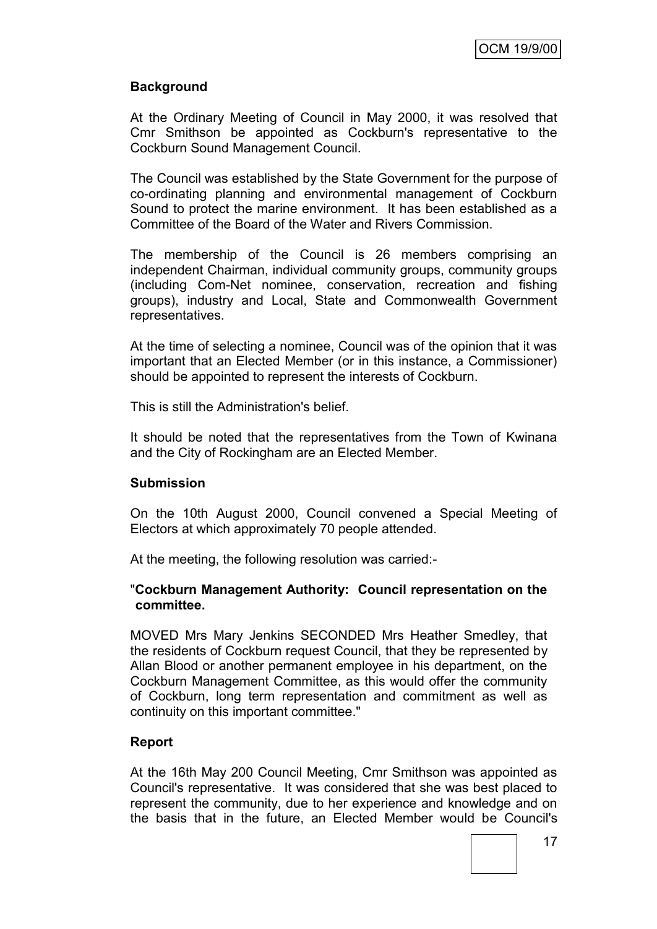### **Background**

At the Ordinary Meeting of Council in May 2000, it was resolved that Cmr Smithson be appointed as Cockburn's representative to the Cockburn Sound Management Council.

The Council was established by the State Government for the purpose of co-ordinating planning and environmental management of Cockburn Sound to protect the marine environment. It has been established as a Committee of the Board of the Water and Rivers Commission.

The membership of the Council is 26 members comprising an independent Chairman, individual community groups, community groups (including Com-Net nominee, conservation, recreation and fishing groups), industry and Local, State and Commonwealth Government representatives.

At the time of selecting a nominee, Council was of the opinion that it was important that an Elected Member (or in this instance, a Commissioner) should be appointed to represent the interests of Cockburn.

This is still the Administration's belief.

It should be noted that the representatives from the Town of Kwinana and the City of Rockingham are an Elected Member.

#### **Submission**

On the 10th August 2000, Council convened a Special Meeting of Electors at which approximately 70 people attended.

At the meeting, the following resolution was carried:-

#### "**Cockburn Management Authority: Council representation on the committee.**

MOVED Mrs Mary Jenkins SECONDED Mrs Heather Smedley, that the residents of Cockburn request Council, that they be represented by Allan Blood or another permanent employee in his department, on the Cockburn Management Committee, as this would offer the community of Cockburn, long term representation and commitment as well as continuity on this important committee."

#### **Report**

At the 16th May 200 Council Meeting, Cmr Smithson was appointed as Council's representative. It was considered that she was best placed to represent the community, due to her experience and knowledge and on the basis that in the future, an Elected Member would be Council's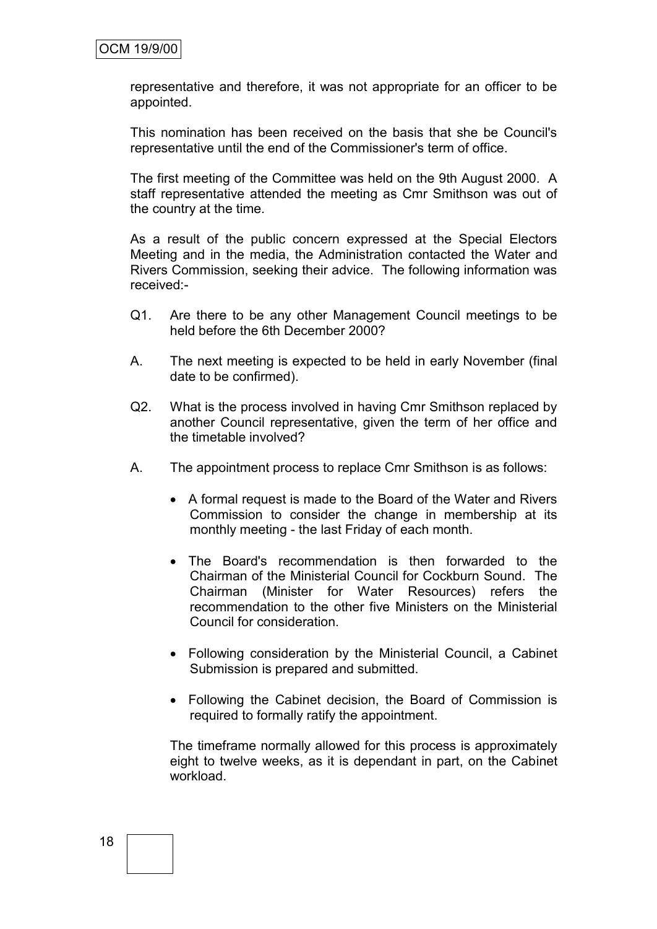representative and therefore, it was not appropriate for an officer to be appointed.

This nomination has been received on the basis that she be Council's representative until the end of the Commissioner's term of office.

The first meeting of the Committee was held on the 9th August 2000. A staff representative attended the meeting as Cmr Smithson was out of the country at the time.

As a result of the public concern expressed at the Special Electors Meeting and in the media, the Administration contacted the Water and Rivers Commission, seeking their advice. The following information was received:-

- Q1. Are there to be any other Management Council meetings to be held before the 6th December 2000?
- A. The next meeting is expected to be held in early November (final date to be confirmed).
- Q2. What is the process involved in having Cmr Smithson replaced by another Council representative, given the term of her office and the timetable involved?
- A. The appointment process to replace Cmr Smithson is as follows:
	- A formal request is made to the Board of the Water and Rivers Commission to consider the change in membership at its monthly meeting - the last Friday of each month.
	- The Board's recommendation is then forwarded to the Chairman of the Ministerial Council for Cockburn Sound. The Chairman (Minister for Water Resources) refers the recommendation to the other five Ministers on the Ministerial Council for consideration.
	- Following consideration by the Ministerial Council, a Cabinet Submission is prepared and submitted.
	- Following the Cabinet decision, the Board of Commission is required to formally ratify the appointment.

The timeframe normally allowed for this process is approximately eight to twelve weeks, as it is dependant in part, on the Cabinet workload.

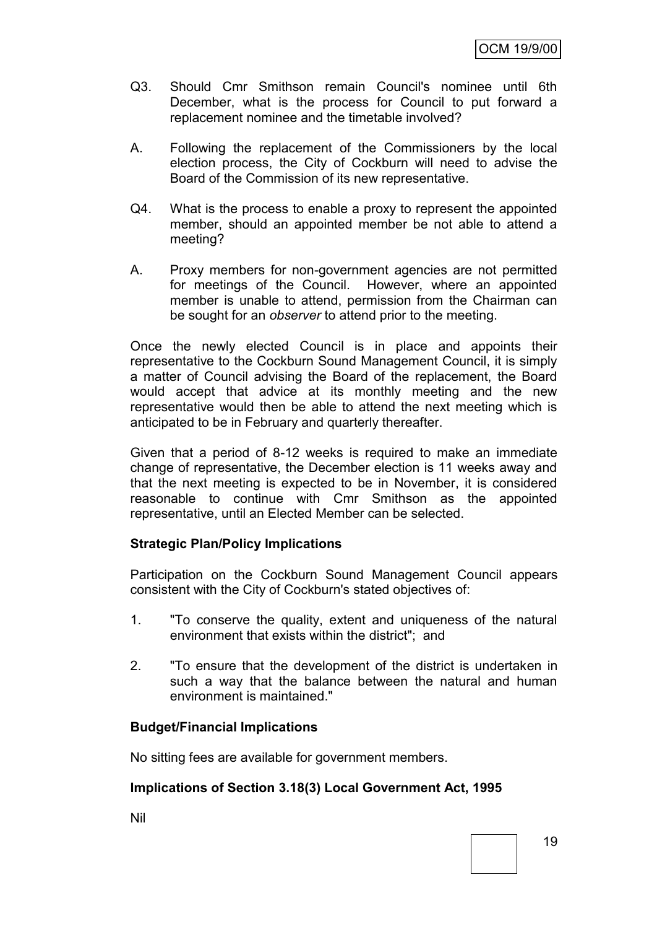- Q3. Should Cmr Smithson remain Council's nominee until 6th December, what is the process for Council to put forward a replacement nominee and the timetable involved?
- A. Following the replacement of the Commissioners by the local election process, the City of Cockburn will need to advise the Board of the Commission of its new representative.
- Q4. What is the process to enable a proxy to represent the appointed member, should an appointed member be not able to attend a meeting?
- A. Proxy members for non-government agencies are not permitted for meetings of the Council. However, where an appointed member is unable to attend, permission from the Chairman can be sought for an *observer* to attend prior to the meeting.

Once the newly elected Council is in place and appoints their representative to the Cockburn Sound Management Council, it is simply a matter of Council advising the Board of the replacement, the Board would accept that advice at its monthly meeting and the new representative would then be able to attend the next meeting which is anticipated to be in February and quarterly thereafter.

Given that a period of 8-12 weeks is required to make an immediate change of representative, the December election is 11 weeks away and that the next meeting is expected to be in November, it is considered reasonable to continue with Cmr Smithson as the appointed representative, until an Elected Member can be selected.

#### **Strategic Plan/Policy Implications**

Participation on the Cockburn Sound Management Council appears consistent with the City of Cockburn's stated objectives of:

- 1. "To conserve the quality, extent and uniqueness of the natural environment that exists within the district"; and
- 2. "To ensure that the development of the district is undertaken in such a way that the balance between the natural and human environment is maintained."

#### **Budget/Financial Implications**

No sitting fees are available for government members.

#### **Implications of Section 3.18(3) Local Government Act, 1995**

Nil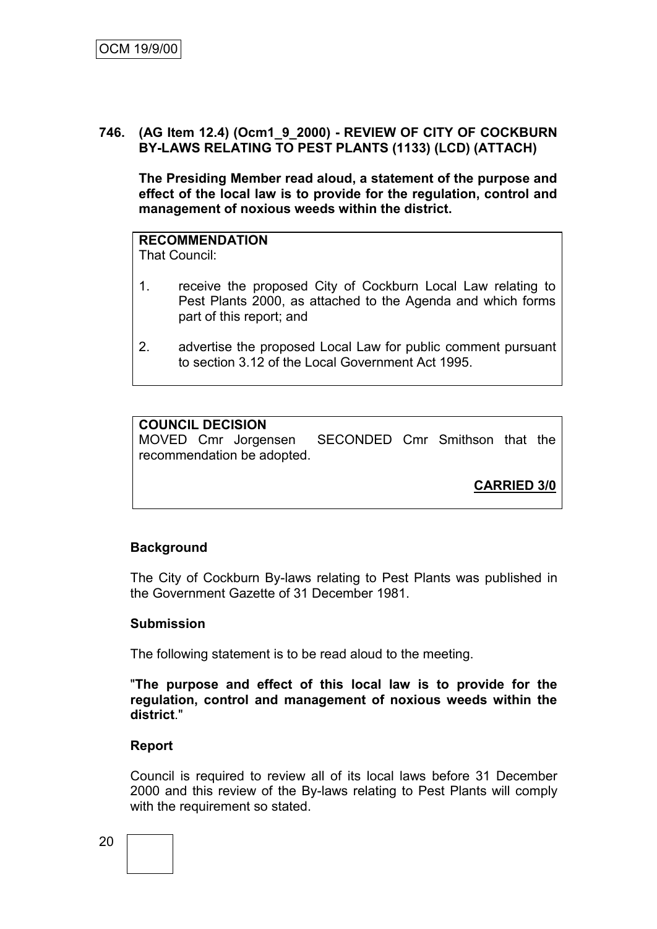#### **746. (AG Item 12.4) (Ocm1\_9\_2000) - REVIEW OF CITY OF COCKBURN BY-LAWS RELATING TO PEST PLANTS (1133) (LCD) (ATTACH)**

**The Presiding Member read aloud, a statement of the purpose and effect of the local law is to provide for the regulation, control and management of noxious weeds within the district.**

## **RECOMMENDATION**

That Council:

- 1. receive the proposed City of Cockburn Local Law relating to Pest Plants 2000, as attached to the Agenda and which forms part of this report; and
- 2. advertise the proposed Local Law for public comment pursuant to section 3.12 of the Local Government Act 1995.

#### **COUNCIL DECISION**

MOVED Cmr Jorgensen SECONDED Cmr Smithson that the recommendation be adopted.

**CARRIED 3/0**

#### **Background**

The City of Cockburn By-laws relating to Pest Plants was published in the Government Gazette of 31 December 1981.

#### **Submission**

The following statement is to be read aloud to the meeting.

"**The purpose and effect of this local law is to provide for the regulation, control and management of noxious weeds within the district**."

#### **Report**

Council is required to review all of its local laws before 31 December 2000 and this review of the By-laws relating to Pest Plants will comply with the requirement so stated.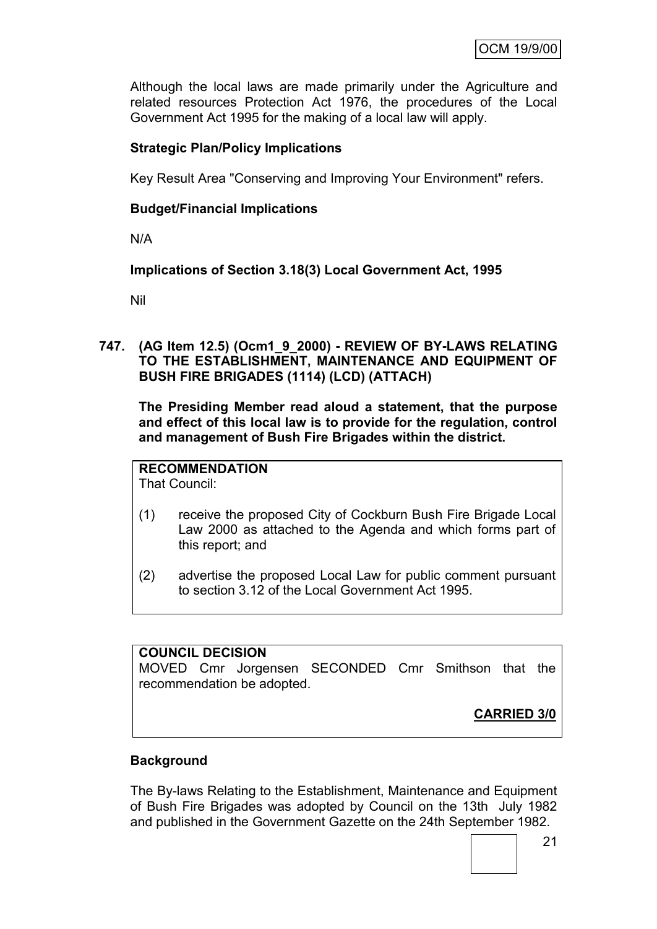Although the local laws are made primarily under the Agriculture and related resources Protection Act 1976, the procedures of the Local Government Act 1995 for the making of a local law will apply.

### **Strategic Plan/Policy Implications**

Key Result Area "Conserving and Improving Your Environment" refers.

#### **Budget/Financial Implications**

N/A

#### **Implications of Section 3.18(3) Local Government Act, 1995**

Nil

**747. (AG Item 12.5) (Ocm1\_9\_2000) - REVIEW OF BY-LAWS RELATING TO THE ESTABLISHMENT, MAINTENANCE AND EQUIPMENT OF BUSH FIRE BRIGADES (1114) (LCD) (ATTACH)**

**The Presiding Member read aloud a statement, that the purpose and effect of this local law is to provide for the regulation, control and management of Bush Fire Brigades within the district.**

#### **RECOMMENDATION**

That Council:

- (1) receive the proposed City of Cockburn Bush Fire Brigade Local Law 2000 as attached to the Agenda and which forms part of this report; and
- (2) advertise the proposed Local Law for public comment pursuant to section 3.12 of the Local Government Act 1995.

#### **COUNCIL DECISION**

MOVED Cmr Jorgensen SECONDED Cmr Smithson that the recommendation be adopted.

**CARRIED 3/0**

#### **Background**

The By-laws Relating to the Establishment, Maintenance and Equipment of Bush Fire Brigades was adopted by Council on the 13th July 1982 and published in the Government Gazette on the 24th September 1982.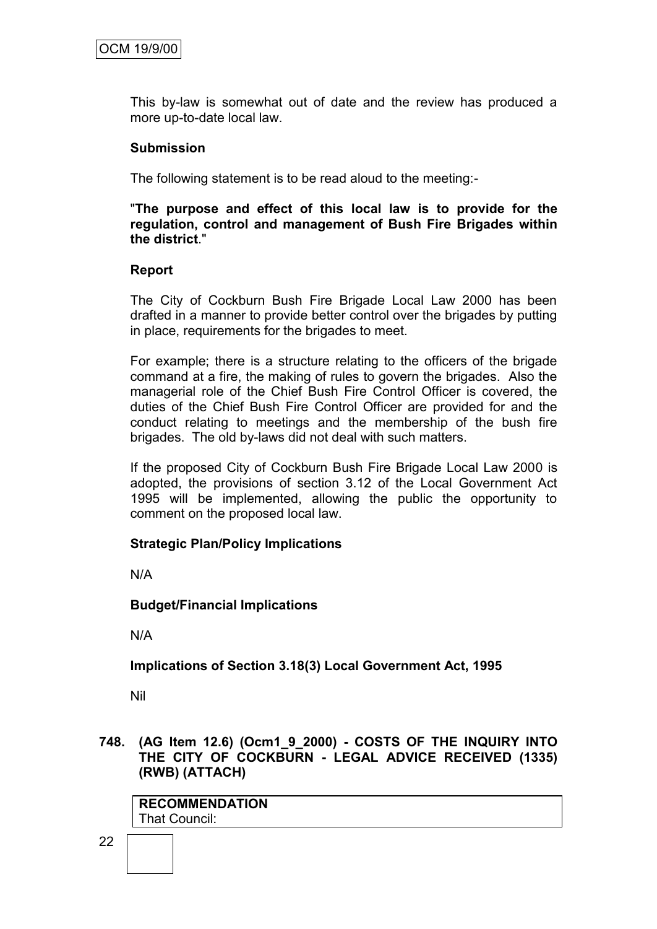This by-law is somewhat out of date and the review has produced a more up-to-date local law.

#### **Submission**

The following statement is to be read aloud to the meeting:-

"**The purpose and effect of this local law is to provide for the regulation, control and management of Bush Fire Brigades within the district**."

#### **Report**

The City of Cockburn Bush Fire Brigade Local Law 2000 has been drafted in a manner to provide better control over the brigades by putting in place, requirements for the brigades to meet.

For example; there is a structure relating to the officers of the brigade command at a fire, the making of rules to govern the brigades. Also the managerial role of the Chief Bush Fire Control Officer is covered, the duties of the Chief Bush Fire Control Officer are provided for and the conduct relating to meetings and the membership of the bush fire brigades. The old by-laws did not deal with such matters.

If the proposed City of Cockburn Bush Fire Brigade Local Law 2000 is adopted, the provisions of section 3.12 of the Local Government Act 1995 will be implemented, allowing the public the opportunity to comment on the proposed local law.

#### **Strategic Plan/Policy Implications**

N/A

#### **Budget/Financial Implications**

N/A

#### **Implications of Section 3.18(3) Local Government Act, 1995**

Nil

#### **748. (AG Item 12.6) (Ocm1\_9\_2000) - COSTS OF THE INQUIRY INTO THE CITY OF COCKBURN - LEGAL ADVICE RECEIVED (1335) (RWB) (ATTACH)**

**RECOMMENDATION** That Council: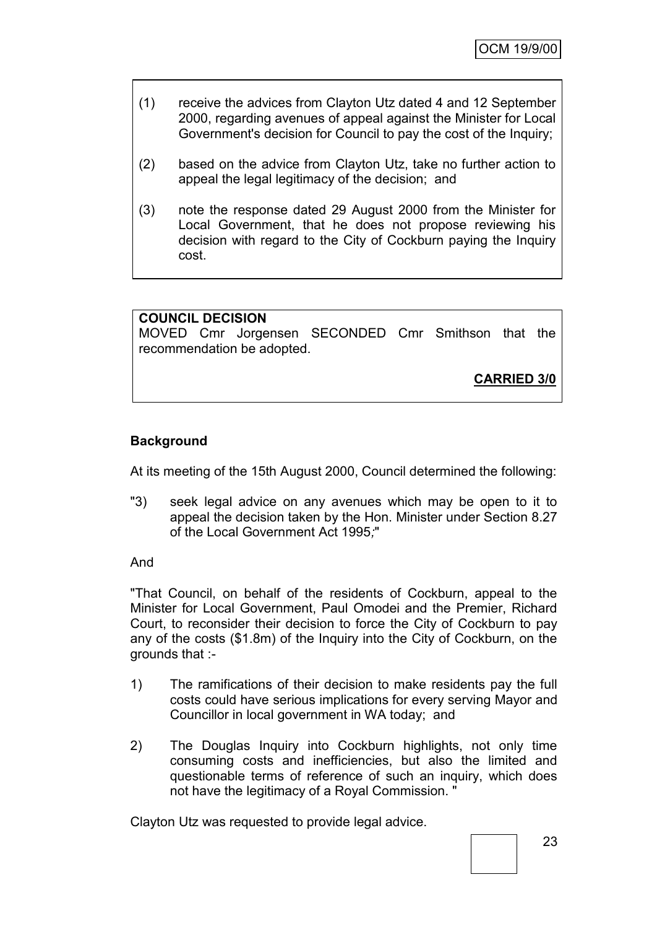| (1) | receive the advices from Clayton Utz dated 4 and 12 September     |
|-----|-------------------------------------------------------------------|
|     | 2000, regarding avenues of appeal against the Minister for Local  |
|     | Government's decision for Council to pay the cost of the Inquiry; |

- (2) based on the advice from Clayton Utz, take no further action to appeal the legal legitimacy of the decision; and
- (3) note the response dated 29 August 2000 from the Minister for Local Government, that he does not propose reviewing his decision with regard to the City of Cockburn paying the Inquiry cost.

## **COUNCIL DECISION** MOVED Cmr Jorgensen SECONDED Cmr Smithson that the recommendation be adopted.

**CARRIED 3/0**

## **Background**

At its meeting of the 15th August 2000, Council determined the following:

"3) seek legal advice on any avenues which may be open to it to appeal the decision taken by the Hon. Minister under Section 8.27 of the Local Government Act 1995*;*"

And

"That Council, on behalf of the residents of Cockburn, appeal to the Minister for Local Government, Paul Omodei and the Premier, Richard Court, to reconsider their decision to force the City of Cockburn to pay any of the costs (\$1.8m) of the Inquiry into the City of Cockburn, on the grounds that :-

- 1) The ramifications of their decision to make residents pay the full costs could have serious implications for every serving Mayor and Councillor in local government in WA today; and
- 2) The Douglas Inquiry into Cockburn highlights, not only time consuming costs and inefficiencies, but also the limited and questionable terms of reference of such an inquiry, which does not have the legitimacy of a Royal Commission. "

Clayton Utz was requested to provide legal advice.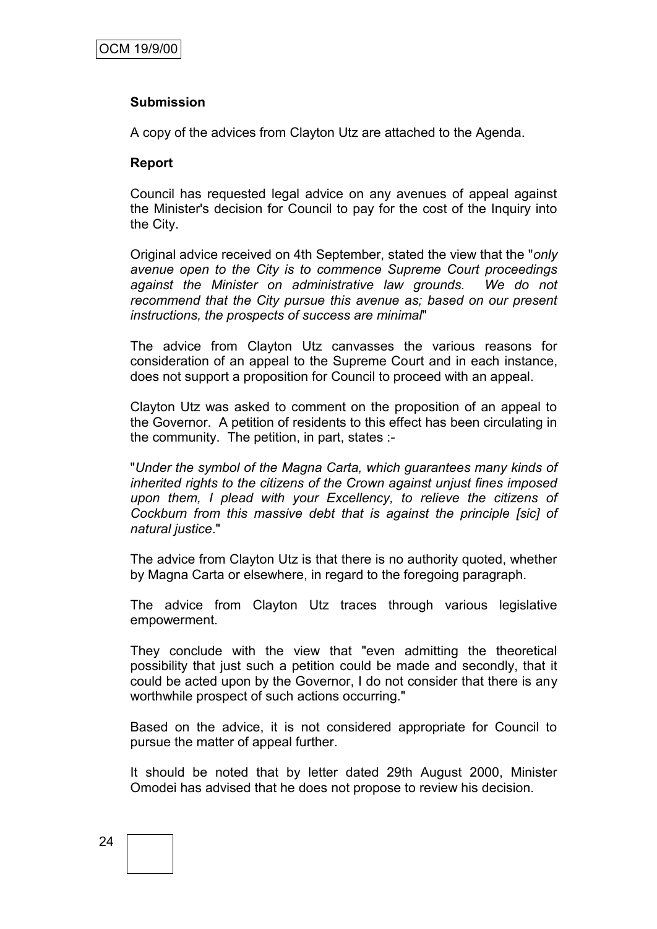#### **Submission**

A copy of the advices from Clayton Utz are attached to the Agenda.

#### **Report**

Council has requested legal advice on any avenues of appeal against the Minister's decision for Council to pay for the cost of the Inquiry into the City.

Original advice received on 4th September, stated the view that the "*only avenue open to the City is to commence Supreme Court proceedings against the Minister on administrative law grounds. We do not recommend that the City pursue this avenue as; based on our present instructions, the prospects of success are minimal*"

The advice from Clayton Utz canvasses the various reasons for consideration of an appeal to the Supreme Court and in each instance, does not support a proposition for Council to proceed with an appeal.

Clayton Utz was asked to comment on the proposition of an appeal to the Governor. A petition of residents to this effect has been circulating in the community. The petition, in part, states :-

"*Under the symbol of the Magna Carta, which guarantees many kinds of inherited rights to the citizens of the Crown against unjust fines imposed upon them, I plead with your Excellency, to relieve the citizens of Cockburn from this massive debt that is against the principle [sic] of natural justice*."

The advice from Clayton Utz is that there is no authority quoted, whether by Magna Carta or elsewhere, in regard to the foregoing paragraph.

The advice from Clayton Utz traces through various legislative empowerment.

They conclude with the view that "even admitting the theoretical possibility that just such a petition could be made and secondly, that it could be acted upon by the Governor, I do not consider that there is any worthwhile prospect of such actions occurring."

Based on the advice, it is not considered appropriate for Council to pursue the matter of appeal further.

It should be noted that by letter dated 29th August 2000, Minister Omodei has advised that he does not propose to review his decision.

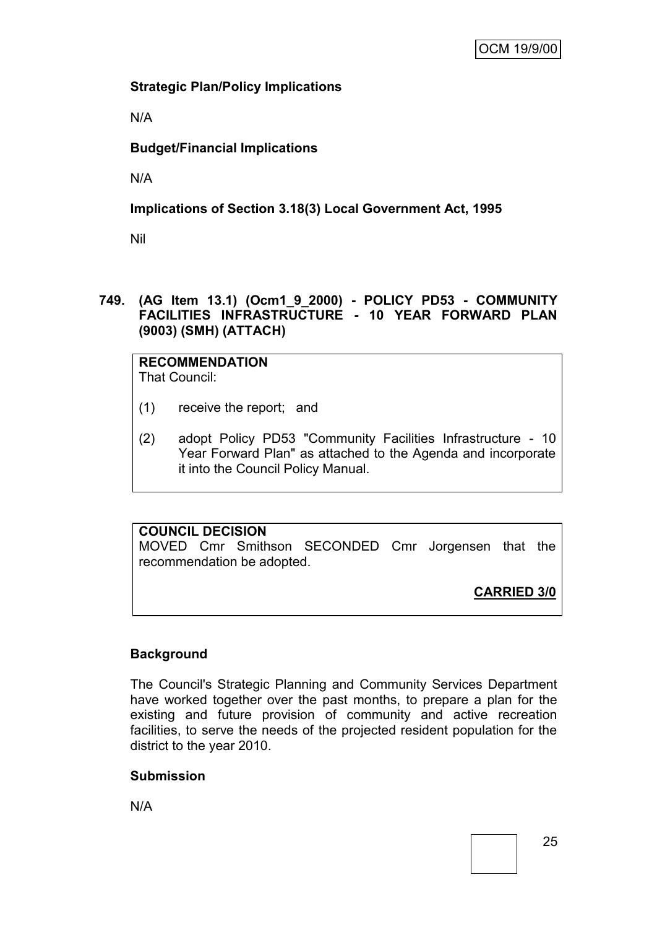## **Strategic Plan/Policy Implications**

N/A

## **Budget/Financial Implications**

N/A

## **Implications of Section 3.18(3) Local Government Act, 1995**

Nil

#### **749. (AG Item 13.1) (Ocm1\_9\_2000) - POLICY PD53 - COMMUNITY FACILITIES INFRASTRUCTURE - 10 YEAR FORWARD PLAN (9003) (SMH) (ATTACH)**

**RECOMMENDATION** That Council:

- (1) receive the report; and
- (2) adopt Policy PD53 "Community Facilities Infrastructure 10 Year Forward Plan" as attached to the Agenda and incorporate it into the Council Policy Manual.

## **COUNCIL DECISION**

MOVED Cmr Smithson SECONDED Cmr Jorgensen that the recommendation be adopted.

**CARRIED 3/0**

## **Background**

The Council's Strategic Planning and Community Services Department have worked together over the past months, to prepare a plan for the existing and future provision of community and active recreation facilities, to serve the needs of the projected resident population for the district to the year 2010.

### **Submission**

N/A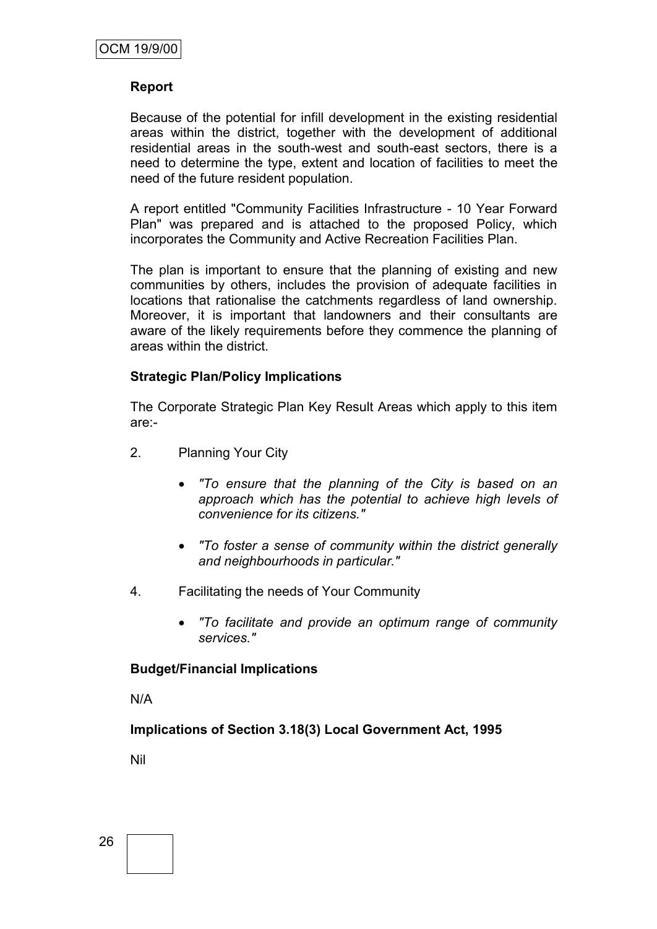#### **Report**

Because of the potential for infill development in the existing residential areas within the district, together with the development of additional residential areas in the south-west and south-east sectors, there is a need to determine the type, extent and location of facilities to meet the need of the future resident population.

A report entitled "Community Facilities Infrastructure - 10 Year Forward Plan" was prepared and is attached to the proposed Policy, which incorporates the Community and Active Recreation Facilities Plan.

The plan is important to ensure that the planning of existing and new communities by others, includes the provision of adequate facilities in locations that rationalise the catchments regardless of land ownership. Moreover, it is important that landowners and their consultants are aware of the likely requirements before they commence the planning of areas within the district.

#### **Strategic Plan/Policy Implications**

The Corporate Strategic Plan Key Result Areas which apply to this item are:-

- 2. Planning Your City
	- *"To ensure that the planning of the City is based on an approach which has the potential to achieve high levels of convenience for its citizens."*
	- *"To foster a sense of community within the district generally and neighbourhoods in particular."*
- 4. Facilitating the needs of Your Community
	- *"To facilitate and provide an optimum range of community services."*

#### **Budget/Financial Implications**

N/A

**Implications of Section 3.18(3) Local Government Act, 1995**

Nil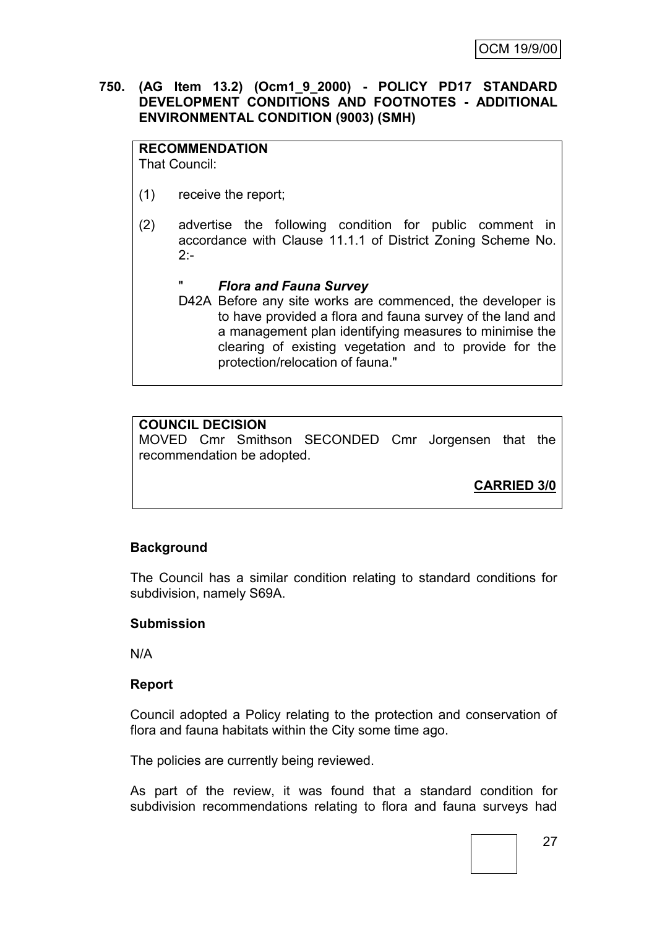#### **750. (AG Item 13.2) (Ocm1\_9\_2000) - POLICY PD17 STANDARD DEVELOPMENT CONDITIONS AND FOOTNOTES - ADDITIONAL ENVIRONMENTAL CONDITION (9003) (SMH)**

#### **RECOMMENDATION**

That Council:

- (1) receive the report;
- (2) advertise the following condition for public comment in accordance with Clause 11.1.1 of District Zoning Scheme No.  $2:$ 
	- " *Flora and Fauna Survey*
	- D42A Before any site works are commenced, the developer is to have provided a flora and fauna survey of the land and a management plan identifying measures to minimise the clearing of existing vegetation and to provide for the protection/relocation of fauna."

## **COUNCIL DECISION**

MOVED Cmr Smithson SECONDED Cmr Jorgensen that the recommendation be adopted.

**CARRIED 3/0**

### **Background**

The Council has a similar condition relating to standard conditions for subdivision, namely S69A.

#### **Submission**

N/A

#### **Report**

Council adopted a Policy relating to the protection and conservation of flora and fauna habitats within the City some time ago.

The policies are currently being reviewed.

As part of the review, it was found that a standard condition for subdivision recommendations relating to flora and fauna surveys had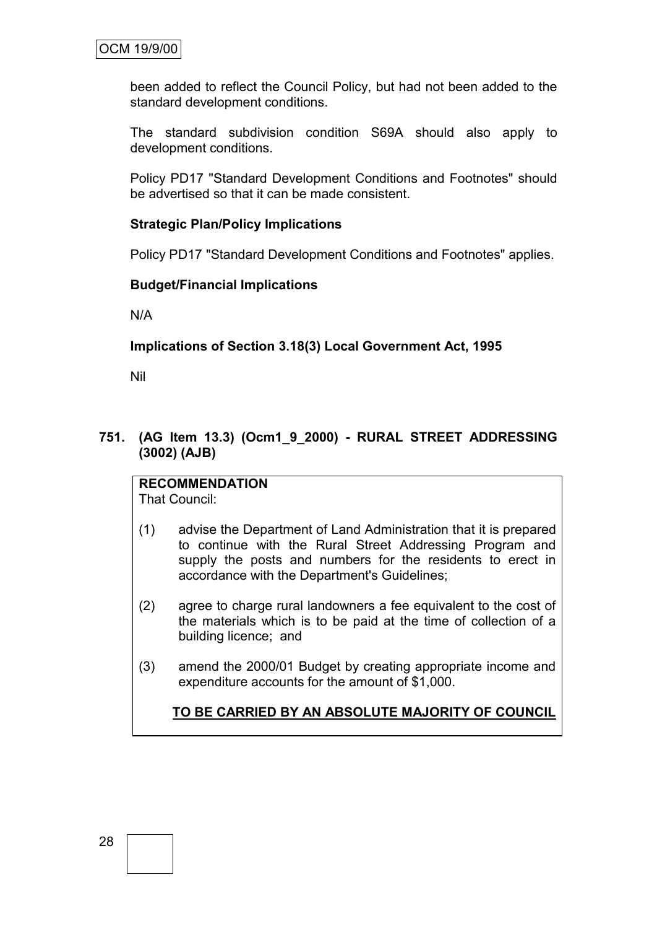been added to reflect the Council Policy, but had not been added to the standard development conditions.

The standard subdivision condition S69A should also apply to development conditions.

Policy PD17 "Standard Development Conditions and Footnotes" should be advertised so that it can be made consistent.

#### **Strategic Plan/Policy Implications**

Policy PD17 "Standard Development Conditions and Footnotes" applies.

#### **Budget/Financial Implications**

N/A

#### **Implications of Section 3.18(3) Local Government Act, 1995**

Nil

**751. (AG Item 13.3) (Ocm1\_9\_2000) - RURAL STREET ADDRESSING (3002) (AJB)**

**RECOMMENDATION** That Council:

- (1) advise the Department of Land Administration that it is prepared to continue with the Rural Street Addressing Program and supply the posts and numbers for the residents to erect in accordance with the Department's Guidelines;
- (2) agree to charge rural landowners a fee equivalent to the cost of the materials which is to be paid at the time of collection of a building licence; and
- (3) amend the 2000/01 Budget by creating appropriate income and expenditure accounts for the amount of \$1,000.

**TO BE CARRIED BY AN ABSOLUTE MAJORITY OF COUNCIL**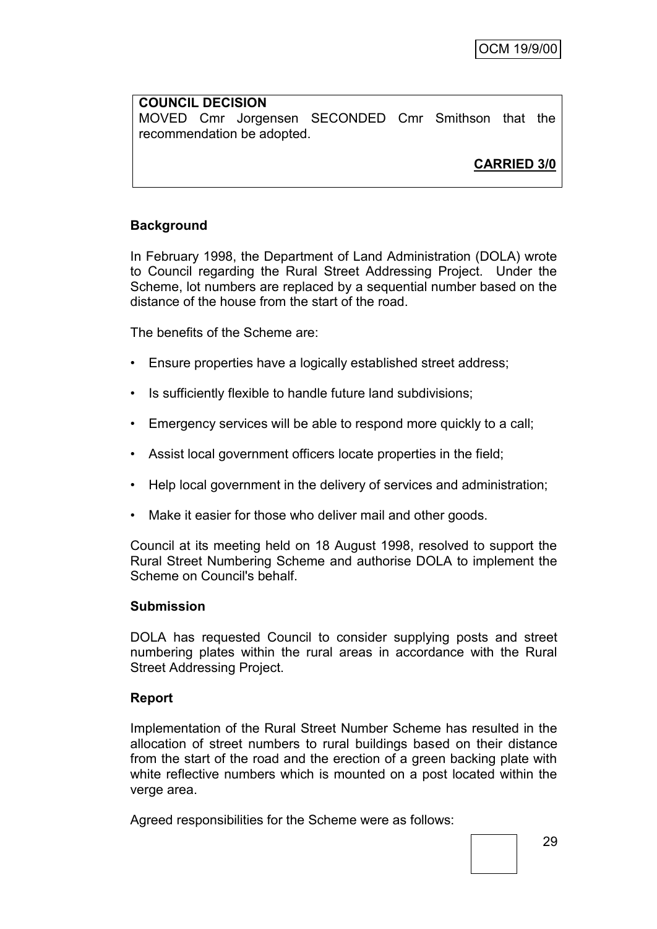#### **COUNCIL DECISION** MOVED Cmr Jorgensen SECONDED Cmr Smithson that the recommendation be adopted.

**CARRIED 3/0**

## **Background**

In February 1998, the Department of Land Administration (DOLA) wrote to Council regarding the Rural Street Addressing Project. Under the Scheme, lot numbers are replaced by a sequential number based on the distance of the house from the start of the road.

The benefits of the Scheme are:

- Ensure properties have a logically established street address;
- Is sufficiently flexible to handle future land subdivisions;
- Emergency services will be able to respond more quickly to a call;
- Assist local government officers locate properties in the field;
- Help local government in the delivery of services and administration;
- Make it easier for those who deliver mail and other goods.

Council at its meeting held on 18 August 1998, resolved to support the Rural Street Numbering Scheme and authorise DOLA to implement the Scheme on Council's behalf.

#### **Submission**

DOLA has requested Council to consider supplying posts and street numbering plates within the rural areas in accordance with the Rural Street Addressing Project.

#### **Report**

Implementation of the Rural Street Number Scheme has resulted in the allocation of street numbers to rural buildings based on their distance from the start of the road and the erection of a green backing plate with white reflective numbers which is mounted on a post located within the verge area.

Agreed responsibilities for the Scheme were as follows: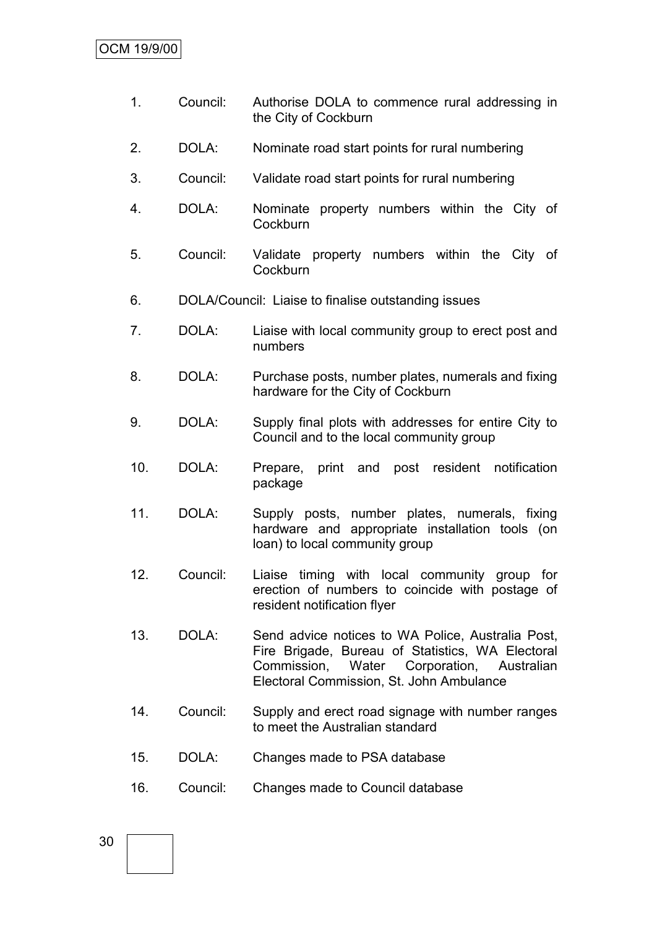- 1. Council: Authorise DOLA to commence rural addressing in the City of Cockburn
- 2. DOLA: Nominate road start points for rural numbering
- 3. Council: Validate road start points for rural numbering
- 4. DOLA: Nominate property numbers within the City of **Cockburn**
- 5. Council: Validate property numbers within the City of Cockburn
- 6. DOLA/Council: Liaise to finalise outstanding issues
- 7. DOLA: Liaise with local community group to erect post and numbers
- 8. DOLA: Purchase posts, number plates, numerals and fixing hardware for the City of Cockburn
- 9. DOLA: Supply final plots with addresses for entire City to Council and to the local community group
- 10. DOLA: Prepare, print and post resident notification package
- 11. DOLA: Supply posts, number plates, numerals, fixing hardware and appropriate installation tools (on loan) to local community group
- 12. Council: Liaise timing with local community group for erection of numbers to coincide with postage of resident notification flyer
- 13. DOLA: Send advice notices to WA Police, Australia Post, Fire Brigade, Bureau of Statistics, WA Electoral Commission, Water Corporation, Australian Electoral Commission, St. John Ambulance
- 14. Council: Supply and erect road signage with number ranges to meet the Australian standard
- 15. DOLA: Changes made to PSA database
- 16. Council: Changes made to Council database

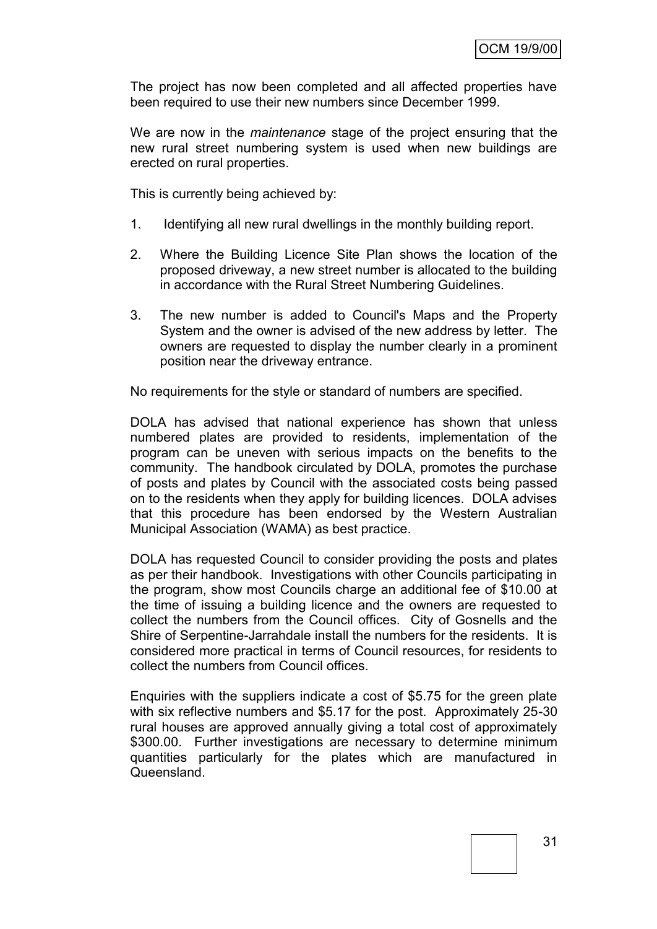The project has now been completed and all affected properties have been required to use their new numbers since December 1999.

We are now in the *maintenance* stage of the project ensuring that the new rural street numbering system is used when new buildings are erected on rural properties.

This is currently being achieved by:

- 1. Identifying all new rural dwellings in the monthly building report.
- 2. Where the Building Licence Site Plan shows the location of the proposed driveway, a new street number is allocated to the building in accordance with the Rural Street Numbering Guidelines.
- 3. The new number is added to Council's Maps and the Property System and the owner is advised of the new address by letter. The owners are requested to display the number clearly in a prominent position near the driveway entrance.

No requirements for the style or standard of numbers are specified.

DOLA has advised that national experience has shown that unless numbered plates are provided to residents, implementation of the program can be uneven with serious impacts on the benefits to the community. The handbook circulated by DOLA, promotes the purchase of posts and plates by Council with the associated costs being passed on to the residents when they apply for building licences. DOLA advises that this procedure has been endorsed by the Western Australian Municipal Association (WAMA) as best practice.

DOLA has requested Council to consider providing the posts and plates as per their handbook. Investigations with other Councils participating in the program, show most Councils charge an additional fee of \$10.00 at the time of issuing a building licence and the owners are requested to collect the numbers from the Council offices. City of Gosnells and the Shire of Serpentine-Jarrahdale install the numbers for the residents. It is considered more practical in terms of Council resources, for residents to collect the numbers from Council offices.

Enquiries with the suppliers indicate a cost of \$5.75 for the green plate with six reflective numbers and \$5.17 for the post. Approximately 25-30 rural houses are approved annually giving a total cost of approximately \$300.00. Further investigations are necessary to determine minimum quantities particularly for the plates which are manufactured in Queensland.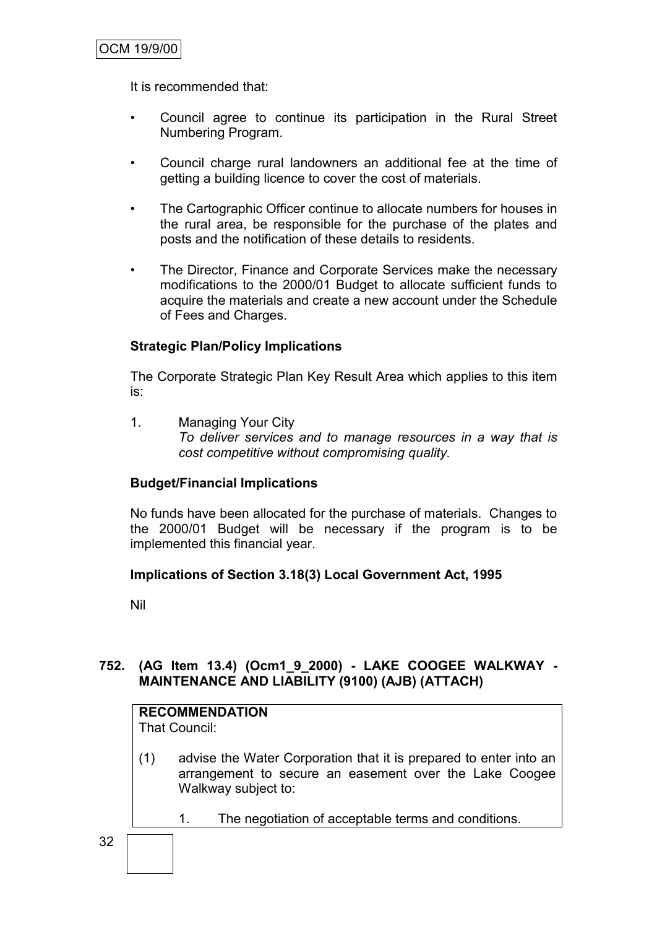It is recommended that:

- Council agree to continue its participation in the Rural Street Numbering Program.
- Council charge rural landowners an additional fee at the time of getting a building licence to cover the cost of materials.
- The Cartographic Officer continue to allocate numbers for houses in the rural area, be responsible for the purchase of the plates and posts and the notification of these details to residents.
- The Director, Finance and Corporate Services make the necessary modifications to the 2000/01 Budget to allocate sufficient funds to acquire the materials and create a new account under the Schedule of Fees and Charges.

#### **Strategic Plan/Policy Implications**

The Corporate Strategic Plan Key Result Area which applies to this item is:

1. Managing Your City *To deliver services and to manage resources in a way that is cost competitive without compromising quality.*

#### **Budget/Financial Implications**

No funds have been allocated for the purchase of materials. Changes to the 2000/01 Budget will be necessary if the program is to be implemented this financial year.

#### **Implications of Section 3.18(3) Local Government Act, 1995**

Nil

32

#### **752. (AG Item 13.4) (Ocm1\_9\_2000) - LAKE COOGEE WALKWAY - MAINTENANCE AND LIABILITY (9100) (AJB) (ATTACH)**

### **RECOMMENDATION**

That Council:

- (1) advise the Water Corporation that it is prepared to enter into an arrangement to secure an easement over the Lake Coogee Walkway subject to:
	- 1. The negotiation of acceptable terms and conditions.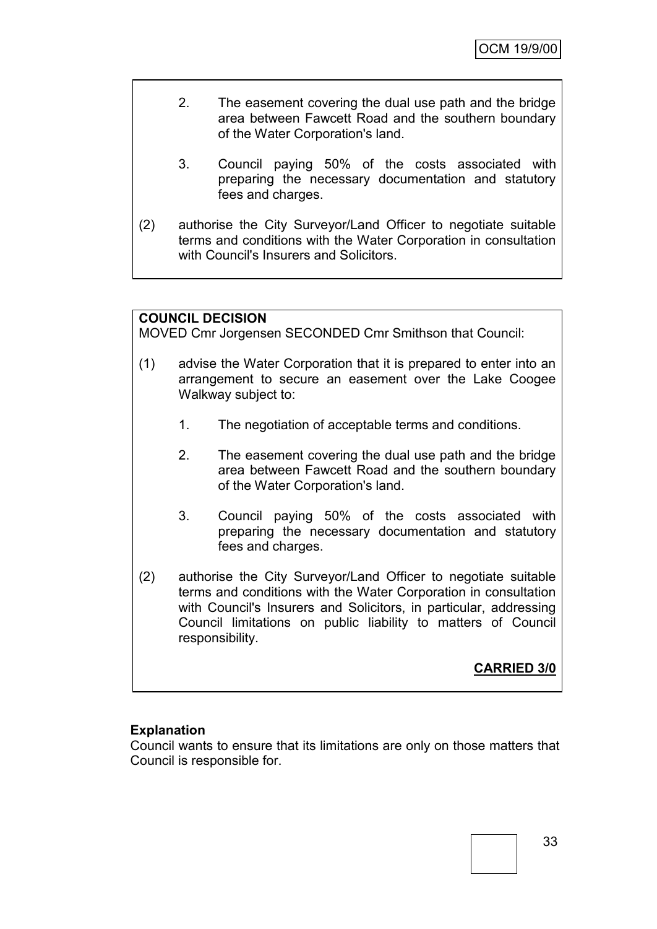- 2. The easement covering the dual use path and the bridge area between Fawcett Road and the southern boundary of the Water Corporation's land.
	- 3. Council paying 50% of the costs associated with preparing the necessary documentation and statutory fees and charges.
- (2) authorise the City Surveyor/Land Officer to negotiate suitable terms and conditions with the Water Corporation in consultation with Council's Insurers and Solicitors.

# **COUNCIL DECISION**

MOVED Cmr Jorgensen SECONDED Cmr Smithson that Council:

- (1) advise the Water Corporation that it is prepared to enter into an arrangement to secure an easement over the Lake Coogee Walkway subject to:
	- 1. The negotiation of acceptable terms and conditions.
	- 2. The easement covering the dual use path and the bridge area between Fawcett Road and the southern boundary of the Water Corporation's land.
	- 3. Council paying 50% of the costs associated with preparing the necessary documentation and statutory fees and charges.
- (2) authorise the City Surveyor/Land Officer to negotiate suitable terms and conditions with the Water Corporation in consultation with Council's Insurers and Solicitors, in particular, addressing Council limitations on public liability to matters of Council responsibility.

**CARRIED 3/0**

# **Explanation**

Council wants to ensure that its limitations are only on those matters that Council is responsible for.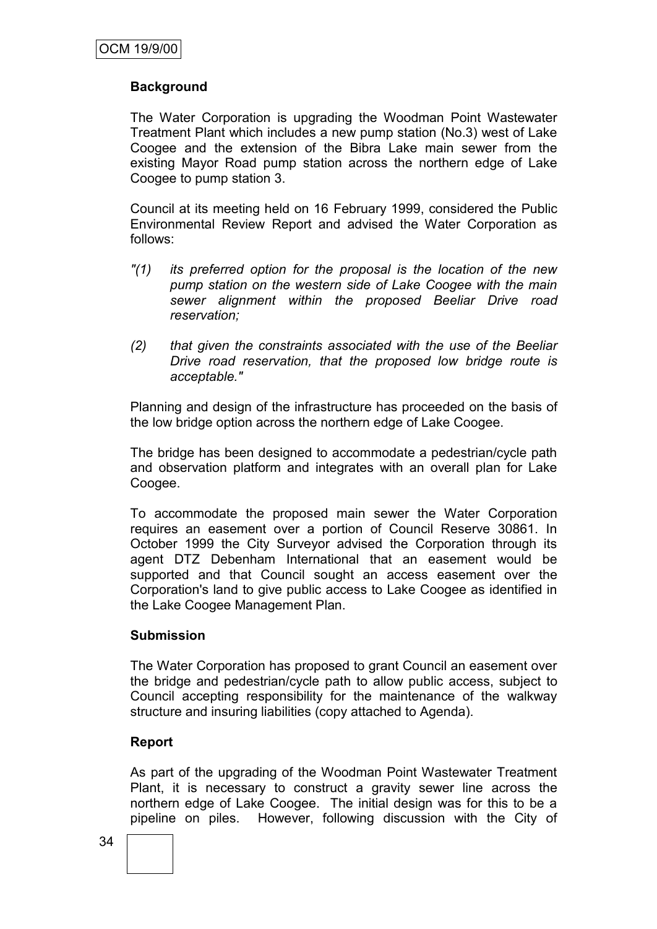# **Background**

The Water Corporation is upgrading the Woodman Point Wastewater Treatment Plant which includes a new pump station (No.3) west of Lake Coogee and the extension of the Bibra Lake main sewer from the existing Mayor Road pump station across the northern edge of Lake Coogee to pump station 3.

Council at its meeting held on 16 February 1999, considered the Public Environmental Review Report and advised the Water Corporation as follows:

- *"(1) its preferred option for the proposal is the location of the new pump station on the western side of Lake Coogee with the main sewer alignment within the proposed Beeliar Drive road reservation;*
- *(2) that given the constraints associated with the use of the Beeliar Drive road reservation, that the proposed low bridge route is acceptable."*

Planning and design of the infrastructure has proceeded on the basis of the low bridge option across the northern edge of Lake Coogee.

The bridge has been designed to accommodate a pedestrian/cycle path and observation platform and integrates with an overall plan for Lake Coogee.

To accommodate the proposed main sewer the Water Corporation requires an easement over a portion of Council Reserve 30861. In October 1999 the City Surveyor advised the Corporation through its agent DTZ Debenham International that an easement would be supported and that Council sought an access easement over the Corporation's land to give public access to Lake Coogee as identified in the Lake Coogee Management Plan.

# **Submission**

The Water Corporation has proposed to grant Council an easement over the bridge and pedestrian/cycle path to allow public access, subject to Council accepting responsibility for the maintenance of the walkway structure and insuring liabilities (copy attached to Agenda).

# **Report**

As part of the upgrading of the Woodman Point Wastewater Treatment Plant, it is necessary to construct a gravity sewer line across the northern edge of Lake Coogee. The initial design was for this to be a pipeline on piles. However, following discussion with the City of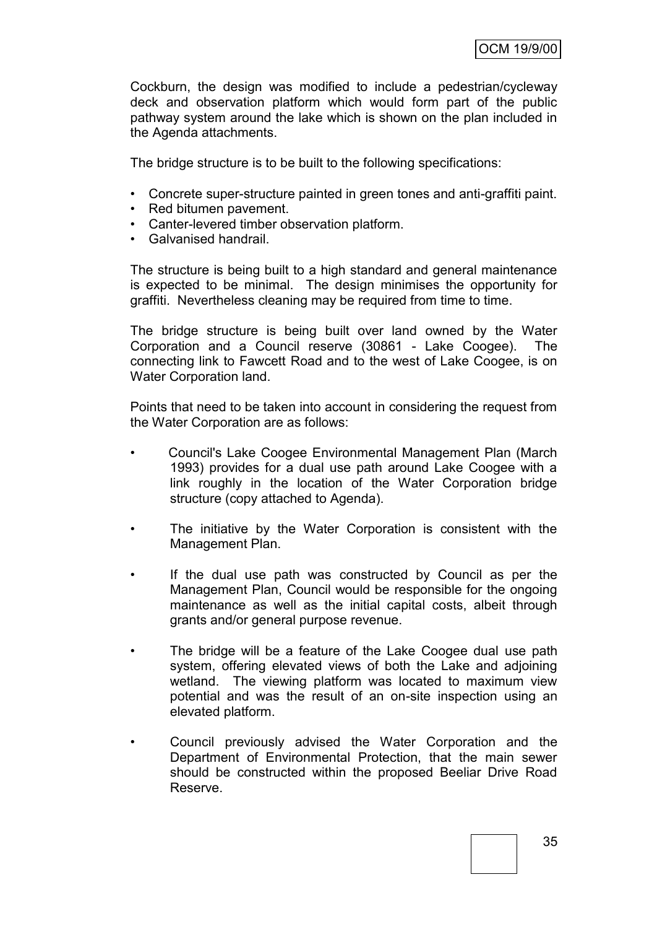Cockburn, the design was modified to include a pedestrian/cycleway deck and observation platform which would form part of the public pathway system around the lake which is shown on the plan included in the Agenda attachments.

The bridge structure is to be built to the following specifications:

- Concrete super-structure painted in green tones and anti-graffiti paint.
- Red bitumen pavement.
- Canter-levered timber observation platform.
- Galvanised handrail.

The structure is being built to a high standard and general maintenance is expected to be minimal. The design minimises the opportunity for graffiti. Nevertheless cleaning may be required from time to time.

The bridge structure is being built over land owned by the Water Corporation and a Council reserve (30861 - Lake Coogee). The connecting link to Fawcett Road and to the west of Lake Coogee, is on Water Corporation land.

Points that need to be taken into account in considering the request from the Water Corporation are as follows:

- Council's Lake Coogee Environmental Management Plan (March 1993) provides for a dual use path around Lake Coogee with a link roughly in the location of the Water Corporation bridge structure (copy attached to Agenda).
- The initiative by the Water Corporation is consistent with the Management Plan.
- If the dual use path was constructed by Council as per the Management Plan, Council would be responsible for the ongoing maintenance as well as the initial capital costs, albeit through grants and/or general purpose revenue.
- The bridge will be a feature of the Lake Coogee dual use path system, offering elevated views of both the Lake and adjoining wetland. The viewing platform was located to maximum view potential and was the result of an on-site inspection using an elevated platform.
- Council previously advised the Water Corporation and the Department of Environmental Protection, that the main sewer should be constructed within the proposed Beeliar Drive Road Reserve.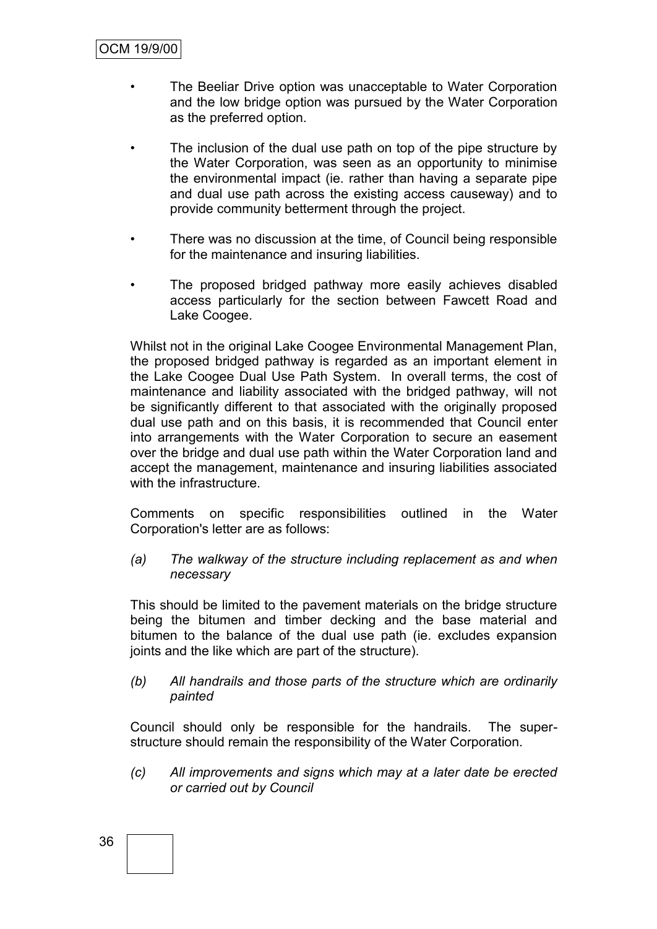- The Beeliar Drive option was unacceptable to Water Corporation and the low bridge option was pursued by the Water Corporation as the preferred option.
- The inclusion of the dual use path on top of the pipe structure by the Water Corporation, was seen as an opportunity to minimise the environmental impact (ie. rather than having a separate pipe and dual use path across the existing access causeway) and to provide community betterment through the project.
- There was no discussion at the time, of Council being responsible for the maintenance and insuring liabilities.
- The proposed bridged pathway more easily achieves disabled access particularly for the section between Fawcett Road and Lake Coogee.

Whilst not in the original Lake Coogee Environmental Management Plan, the proposed bridged pathway is regarded as an important element in the Lake Coogee Dual Use Path System. In overall terms, the cost of maintenance and liability associated with the bridged pathway, will not be significantly different to that associated with the originally proposed dual use path and on this basis, it is recommended that Council enter into arrangements with the Water Corporation to secure an easement over the bridge and dual use path within the Water Corporation land and accept the management, maintenance and insuring liabilities associated with the infrastructure.

Comments on specific responsibilities outlined in the Water Corporation's letter are as follows:

*(a) The walkway of the structure including replacement as and when necessary*

This should be limited to the pavement materials on the bridge structure being the bitumen and timber decking and the base material and bitumen to the balance of the dual use path (ie. excludes expansion joints and the like which are part of the structure).

*(b) All handrails and those parts of the structure which are ordinarily painted*

Council should only be responsible for the handrails. The superstructure should remain the responsibility of the Water Corporation.

*(c) All improvements and signs which may at a later date be erected or carried out by Council*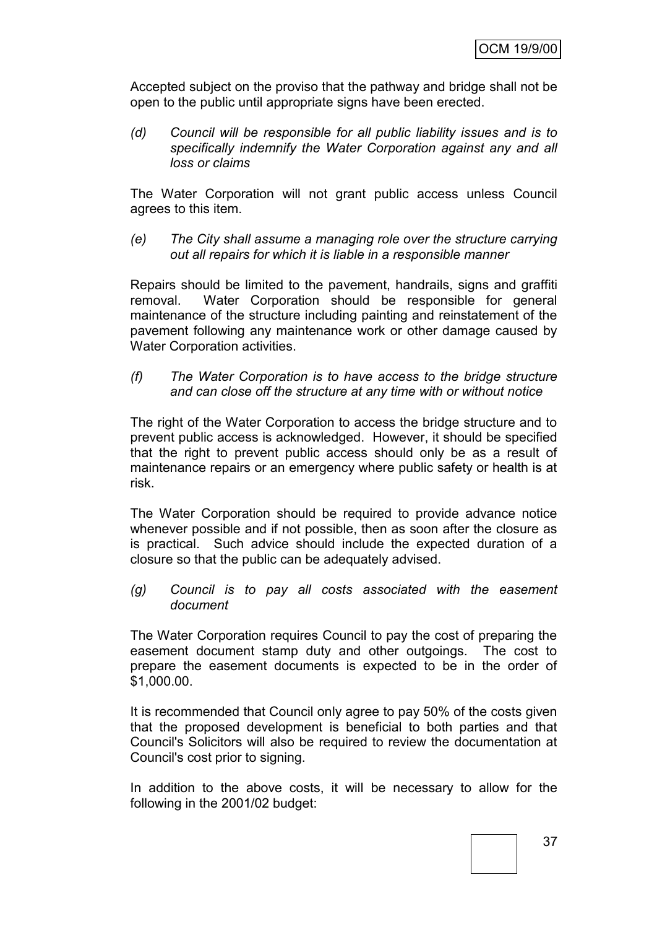Accepted subject on the proviso that the pathway and bridge shall not be open to the public until appropriate signs have been erected.

*(d) Council will be responsible for all public liability issues and is to specifically indemnify the Water Corporation against any and all loss or claims*

The Water Corporation will not grant public access unless Council agrees to this item.

*(e) The City shall assume a managing role over the structure carrying out all repairs for which it is liable in a responsible manner*

Repairs should be limited to the pavement, handrails, signs and graffiti removal. Water Corporation should be responsible for general maintenance of the structure including painting and reinstatement of the pavement following any maintenance work or other damage caused by Water Corporation activities.

*(f) The Water Corporation is to have access to the bridge structure and can close off the structure at any time with or without notice*

The right of the Water Corporation to access the bridge structure and to prevent public access is acknowledged. However, it should be specified that the right to prevent public access should only be as a result of maintenance repairs or an emergency where public safety or health is at risk.

The Water Corporation should be required to provide advance notice whenever possible and if not possible, then as soon after the closure as is practical. Such advice should include the expected duration of a closure so that the public can be adequately advised.

*(g) Council is to pay all costs associated with the easement document*

The Water Corporation requires Council to pay the cost of preparing the easement document stamp duty and other outgoings. The cost to prepare the easement documents is expected to be in the order of \$1,000.00.

It is recommended that Council only agree to pay 50% of the costs given that the proposed development is beneficial to both parties and that Council's Solicitors will also be required to review the documentation at Council's cost prior to signing.

In addition to the above costs, it will be necessary to allow for the following in the 2001/02 budget: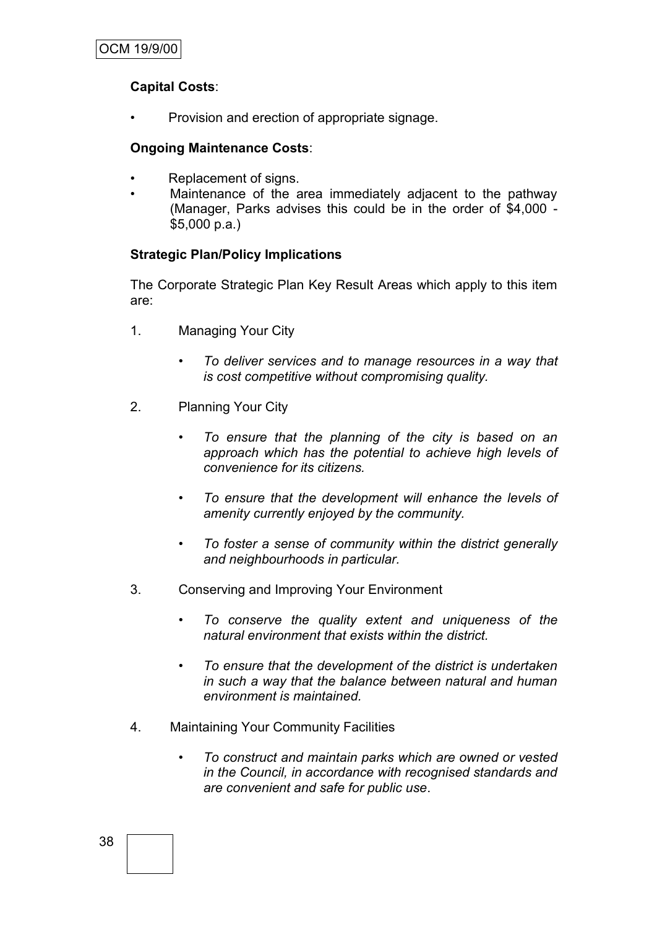# **Capital Costs**:

• Provision and erection of appropriate signage.

# **Ongoing Maintenance Costs**:

- Replacement of signs.
- Maintenance of the area immediately adjacent to the pathway (Manager, Parks advises this could be in the order of \$4,000 - \$5,000 p.a.)

# **Strategic Plan/Policy Implications**

The Corporate Strategic Plan Key Result Areas which apply to this item are:

- 1. Managing Your City
	- *• To deliver services and to manage resources in a way that is cost competitive without compromising quality.*
- 2. Planning Your City
	- *• To ensure that the planning of the city is based on an approach which has the potential to achieve high levels of convenience for its citizens.*
	- *• To ensure that the development will enhance the levels of amenity currently enjoyed by the community.*
	- *• To foster a sense of community within the district generally and neighbourhoods in particular.*
- 3. Conserving and Improving Your Environment
	- *To conserve the quality extent and uniqueness of the natural environment that exists within the district.*
	- *• To ensure that the development of the district is undertaken in such a way that the balance between natural and human environment is maintained.*
- 4. Maintaining Your Community Facilities
	- *To construct and maintain parks which are owned or vested in the Council, in accordance with recognised standards and are convenient and safe for public use*.

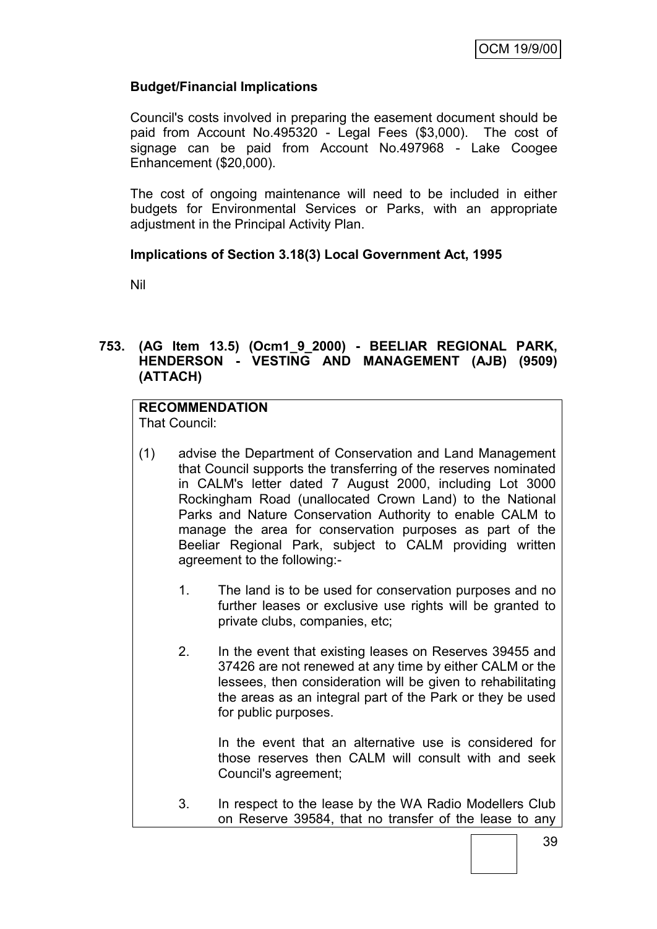# **Budget/Financial Implications**

Council's costs involved in preparing the easement document should be paid from Account No.495320 - Legal Fees (\$3,000). The cost of signage can be paid from Account No.497968 - Lake Coogee Enhancement (\$20,000).

The cost of ongoing maintenance will need to be included in either budgets for Environmental Services or Parks, with an appropriate adjustment in the Principal Activity Plan.

# **Implications of Section 3.18(3) Local Government Act, 1995**

Nil

# **753. (AG Item 13.5) (Ocm1\_9\_2000) - BEELIAR REGIONAL PARK, HENDERSON - VESTING AND MANAGEMENT (AJB) (9509) (ATTACH)**

# **RECOMMENDATION**

That Council:

- (1) advise the Department of Conservation and Land Management that Council supports the transferring of the reserves nominated in CALM's letter dated 7 August 2000, including Lot 3000 Rockingham Road (unallocated Crown Land) to the National Parks and Nature Conservation Authority to enable CALM to manage the area for conservation purposes as part of the Beeliar Regional Park, subject to CALM providing written agreement to the following:-
	- 1. The land is to be used for conservation purposes and no further leases or exclusive use rights will be granted to private clubs, companies, etc;
	- 2. In the event that existing leases on Reserves 39455 and 37426 are not renewed at any time by either CALM or the lessees, then consideration will be given to rehabilitating the areas as an integral part of the Park or they be used for public purposes.

In the event that an alternative use is considered for those reserves then CALM will consult with and seek Council's agreement;

3. In respect to the lease by the WA Radio Modellers Club on Reserve 39584, that no transfer of the lease to any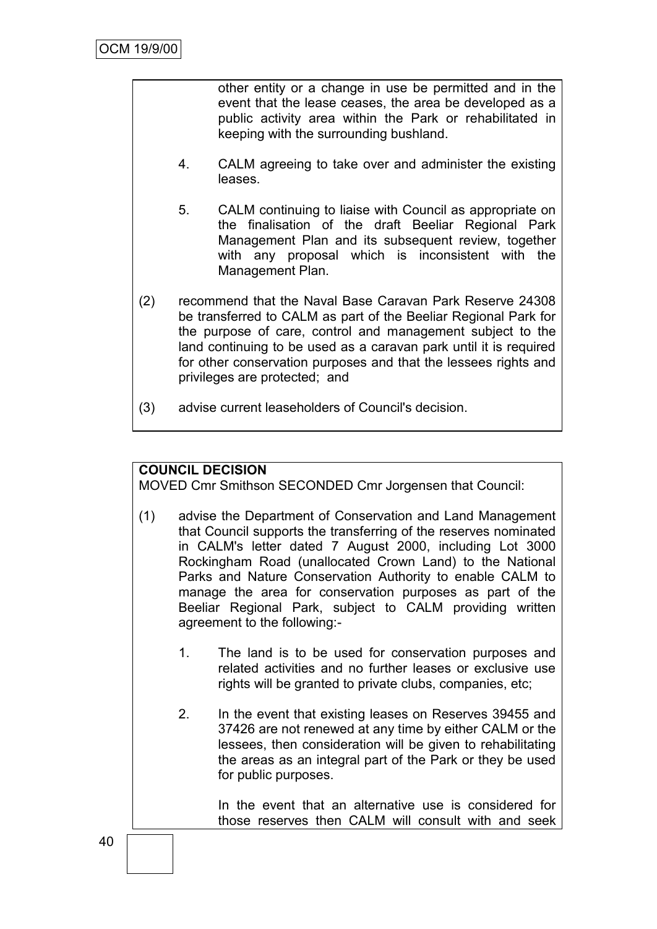other entity or a change in use be permitted and in the event that the lease ceases, the area be developed as a public activity area within the Park or rehabilitated in keeping with the surrounding bushland.

- 4. CALM agreeing to take over and administer the existing leases.
- 5. CALM continuing to liaise with Council as appropriate on the finalisation of the draft Beeliar Regional Park Management Plan and its subsequent review, together with any proposal which is inconsistent with the Management Plan.
- (2) recommend that the Naval Base Caravan Park Reserve 24308 be transferred to CALM as part of the Beeliar Regional Park for the purpose of care, control and management subject to the land continuing to be used as a caravan park until it is required for other conservation purposes and that the lessees rights and privileges are protected; and
- (3) advise current leaseholders of Council's decision.

# **COUNCIL DECISION**

MOVED Cmr Smithson SECONDED Cmr Jorgensen that Council:

- (1) advise the Department of Conservation and Land Management that Council supports the transferring of the reserves nominated in CALM's letter dated 7 August 2000, including Lot 3000 Rockingham Road (unallocated Crown Land) to the National Parks and Nature Conservation Authority to enable CALM to manage the area for conservation purposes as part of the Beeliar Regional Park, subject to CALM providing written agreement to the following:-
	- 1. The land is to be used for conservation purposes and related activities and no further leases or exclusive use rights will be granted to private clubs, companies, etc;
	- 2. In the event that existing leases on Reserves 39455 and 37426 are not renewed at any time by either CALM or the lessees, then consideration will be given to rehabilitating the areas as an integral part of the Park or they be used for public purposes.

In the event that an alternative use is considered for those reserves then CALM will consult with and seek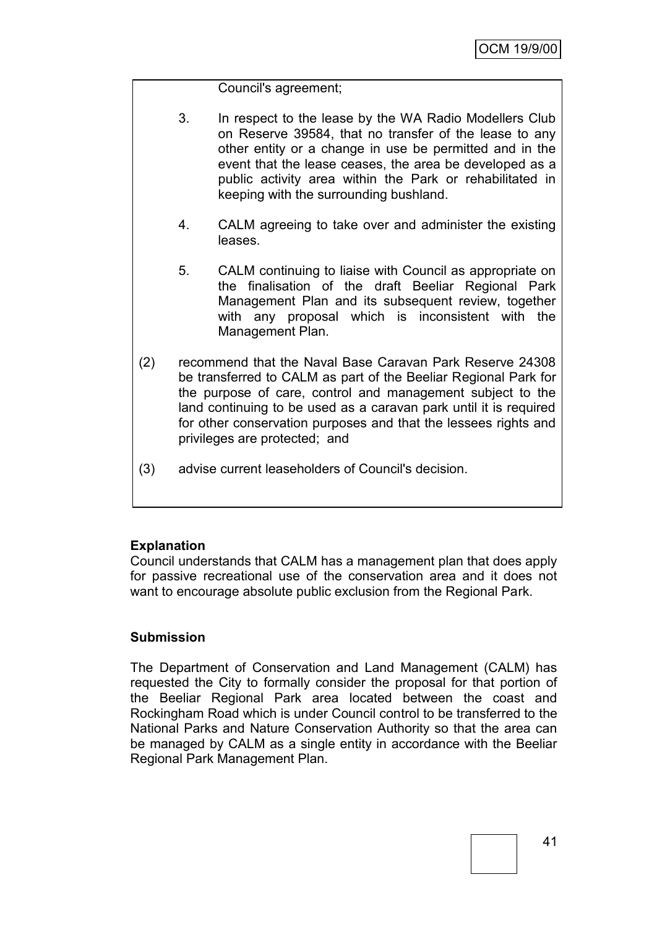# Council's agreement;

- 3. In respect to the lease by the WA Radio Modellers Club on Reserve 39584, that no transfer of the lease to any other entity or a change in use be permitted and in the event that the lease ceases, the area be developed as a public activity area within the Park or rehabilitated in keeping with the surrounding bushland.
- 4. CALM agreeing to take over and administer the existing leases.
- 5. CALM continuing to liaise with Council as appropriate on the finalisation of the draft Beeliar Regional Park Management Plan and its subsequent review, together with any proposal which is inconsistent with the Management Plan.
- (2) recommend that the Naval Base Caravan Park Reserve 24308 be transferred to CALM as part of the Beeliar Regional Park for the purpose of care, control and management subject to the land continuing to be used as a caravan park until it is required for other conservation purposes and that the lessees rights and privileges are protected; and
- (3) advise current leaseholders of Council's decision.

# **Explanation**

Council understands that CALM has a management plan that does apply for passive recreational use of the conservation area and it does not want to encourage absolute public exclusion from the Regional Park.

# **Submission**

The Department of Conservation and Land Management (CALM) has requested the City to formally consider the proposal for that portion of the Beeliar Regional Park area located between the coast and Rockingham Road which is under Council control to be transferred to the National Parks and Nature Conservation Authority so that the area can be managed by CALM as a single entity in accordance with the Beeliar Regional Park Management Plan.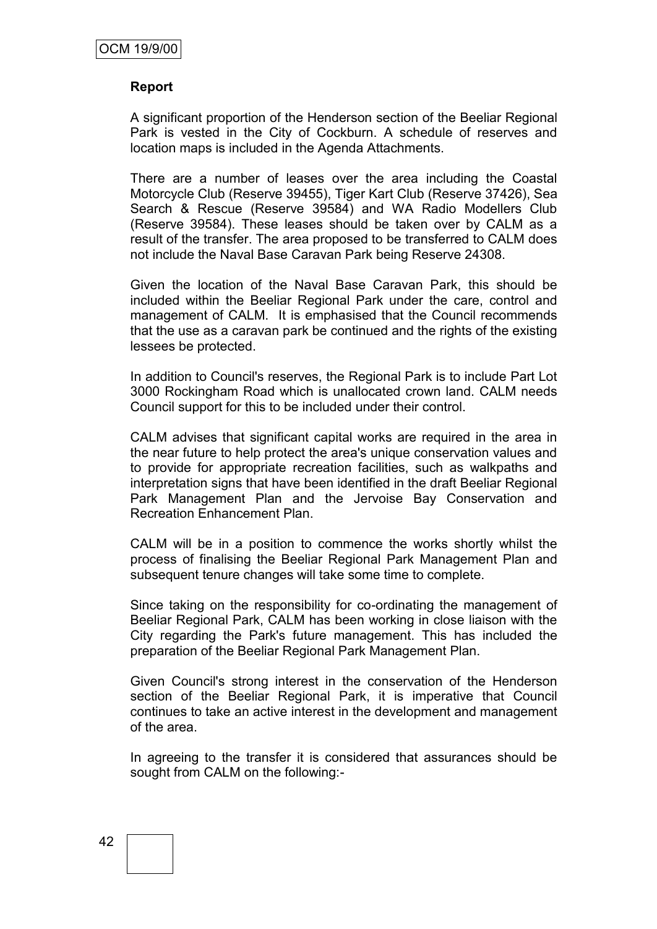#### **Report**

A significant proportion of the Henderson section of the Beeliar Regional Park is vested in the City of Cockburn. A schedule of reserves and location maps is included in the Agenda Attachments.

There are a number of leases over the area including the Coastal Motorcycle Club (Reserve 39455), Tiger Kart Club (Reserve 37426), Sea Search & Rescue (Reserve 39584) and WA Radio Modellers Club (Reserve 39584). These leases should be taken over by CALM as a result of the transfer. The area proposed to be transferred to CALM does not include the Naval Base Caravan Park being Reserve 24308.

Given the location of the Naval Base Caravan Park, this should be included within the Beeliar Regional Park under the care, control and management of CALM. It is emphasised that the Council recommends that the use as a caravan park be continued and the rights of the existing lessees be protected.

In addition to Council's reserves, the Regional Park is to include Part Lot 3000 Rockingham Road which is unallocated crown land. CALM needs Council support for this to be included under their control.

CALM advises that significant capital works are required in the area in the near future to help protect the area's unique conservation values and to provide for appropriate recreation facilities, such as walkpaths and interpretation signs that have been identified in the draft Beeliar Regional Park Management Plan and the Jervoise Bay Conservation and Recreation Enhancement Plan.

CALM will be in a position to commence the works shortly whilst the process of finalising the Beeliar Regional Park Management Plan and subsequent tenure changes will take some time to complete.

Since taking on the responsibility for co-ordinating the management of Beeliar Regional Park, CALM has been working in close liaison with the City regarding the Park's future management. This has included the preparation of the Beeliar Regional Park Management Plan.

Given Council's strong interest in the conservation of the Henderson section of the Beeliar Regional Park, it is imperative that Council continues to take an active interest in the development and management of the area.

In agreeing to the transfer it is considered that assurances should be sought from CALM on the following:-

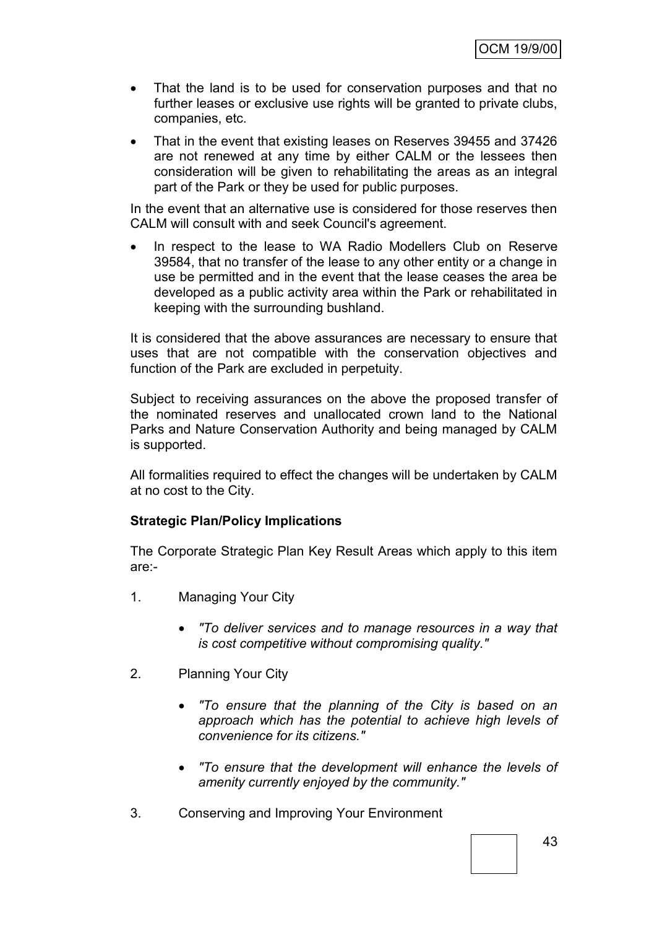- That the land is to be used for conservation purposes and that no further leases or exclusive use rights will be granted to private clubs, companies, etc.
- That in the event that existing leases on Reserves 39455 and 37426 are not renewed at any time by either CALM or the lessees then consideration will be given to rehabilitating the areas as an integral part of the Park or they be used for public purposes.

In the event that an alternative use is considered for those reserves then CALM will consult with and seek Council's agreement.

 In respect to the lease to WA Radio Modellers Club on Reserve 39584, that no transfer of the lease to any other entity or a change in use be permitted and in the event that the lease ceases the area be developed as a public activity area within the Park or rehabilitated in keeping with the surrounding bushland.

It is considered that the above assurances are necessary to ensure that uses that are not compatible with the conservation objectives and function of the Park are excluded in perpetuity.

Subject to receiving assurances on the above the proposed transfer of the nominated reserves and unallocated crown land to the National Parks and Nature Conservation Authority and being managed by CALM is supported.

All formalities required to effect the changes will be undertaken by CALM at no cost to the City.

# **Strategic Plan/Policy Implications**

The Corporate Strategic Plan Key Result Areas which apply to this item are:-

- 1. Managing Your City
	- *"To deliver services and to manage resources in a way that is cost competitive without compromising quality."*
- 2. Planning Your City
	- *"To ensure that the planning of the City is based on an approach which has the potential to achieve high levels of convenience for its citizens."*
	- *"To ensure that the development will enhance the levels of amenity currently enjoyed by the community."*
- 3. Conserving and Improving Your Environment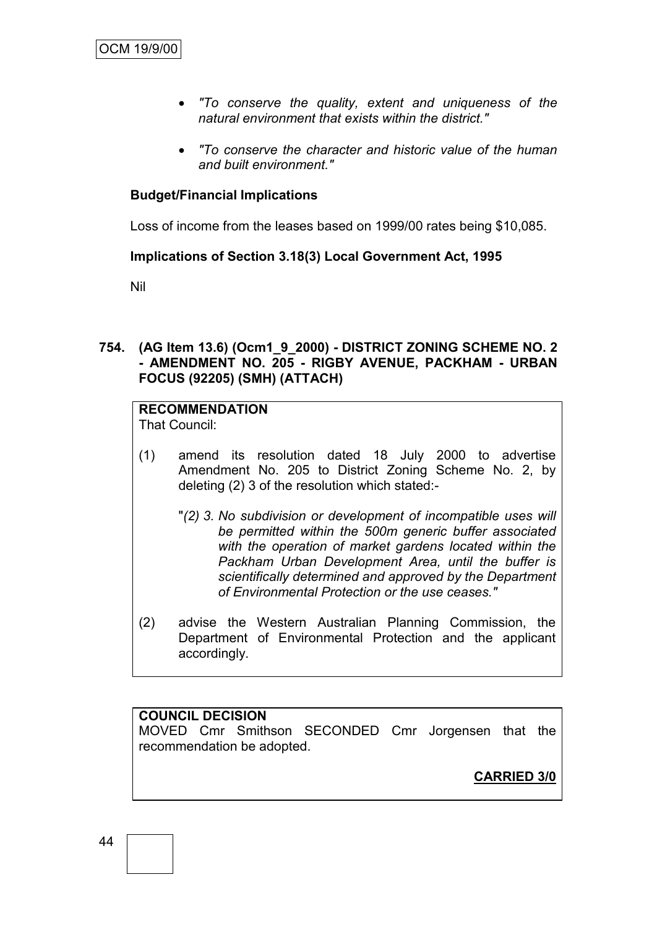- *"To conserve the quality, extent and uniqueness of the natural environment that exists within the district."*
- *"To conserve the character and historic value of the human and built environment."*

# **Budget/Financial Implications**

Loss of income from the leases based on 1999/00 rates being \$10,085.

# **Implications of Section 3.18(3) Local Government Act, 1995**

Nil

# **754. (AG Item 13.6) (Ocm1\_9\_2000) - DISTRICT ZONING SCHEME NO. 2 - AMENDMENT NO. 205 - RIGBY AVENUE, PACKHAM - URBAN FOCUS (92205) (SMH) (ATTACH)**

#### **RECOMMENDATION** That Council:

- (1) amend its resolution dated 18 July 2000 to advertise Amendment No. 205 to District Zoning Scheme No. 2, by deleting (2) 3 of the resolution which stated:-
	- "*(2) 3. No subdivision or development of incompatible uses will be permitted within the 500m generic buffer associated with the operation of market gardens located within the Packham Urban Development Area, until the buffer is scientifically determined and approved by the Department of Environmental Protection or the use ceases."*
- (2) advise the Western Australian Planning Commission, the Department of Environmental Protection and the applicant accordingly.

# **COUNCIL DECISION**

MOVED Cmr Smithson SECONDED Cmr Jorgensen that the recommendation be adopted.

**CARRIED 3/0**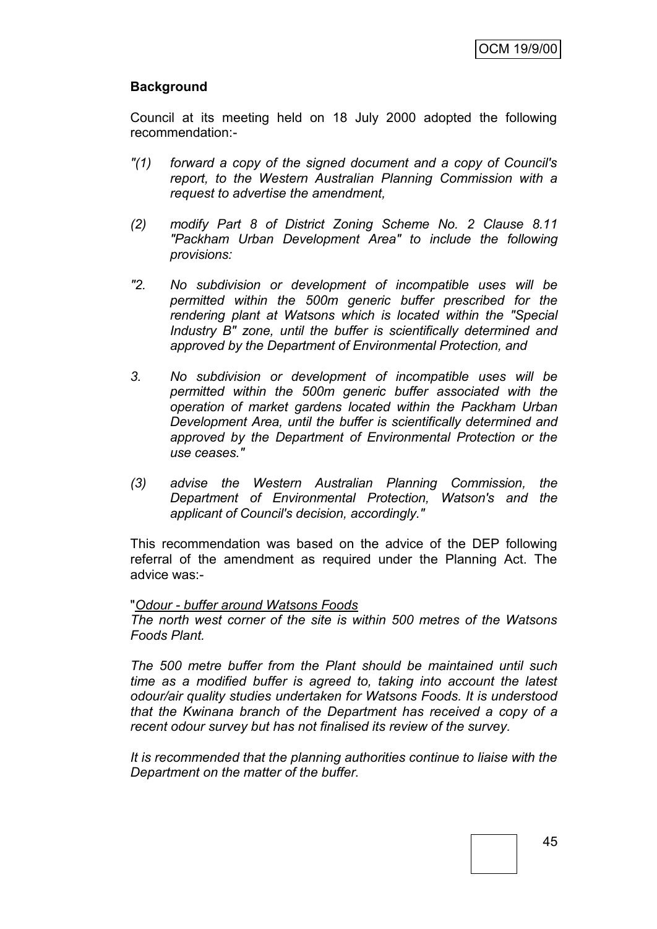# **Background**

Council at its meeting held on 18 July 2000 adopted the following recommendation:-

- *"(1) forward a copy of the signed document and a copy of Council's report, to the Western Australian Planning Commission with a request to advertise the amendment,*
- *(2) modify Part 8 of District Zoning Scheme No. 2 Clause 8.11 "Packham Urban Development Area" to include the following provisions:*
- *"2. No subdivision or development of incompatible uses will be permitted within the 500m generic buffer prescribed for the rendering plant at Watsons which is located within the "Special Industry B" zone, until the buffer is scientifically determined and approved by the Department of Environmental Protection, and*
- *3. No subdivision or development of incompatible uses will be permitted within the 500m generic buffer associated with the operation of market gardens located within the Packham Urban Development Area, until the buffer is scientifically determined and approved by the Department of Environmental Protection or the use ceases."*
- *(3) advise the Western Australian Planning Commission, the Department of Environmental Protection, Watson's and the applicant of Council's decision, accordingly."*

This recommendation was based on the advice of the DEP following referral of the amendment as required under the Planning Act. The advice was:-

#### "*Odour - buffer around Watsons Foods*

*The north west corner of the site is within 500 metres of the Watsons Foods Plant.*

*The 500 metre buffer from the Plant should be maintained until such time as a modified buffer is agreed to, taking into account the latest odour/air quality studies undertaken for Watsons Foods. It is understood that the Kwinana branch of the Department has received a copy of a recent odour survey but has not finalised its review of the survey.*

*It is recommended that the planning authorities continue to liaise with the Department on the matter of the buffer.*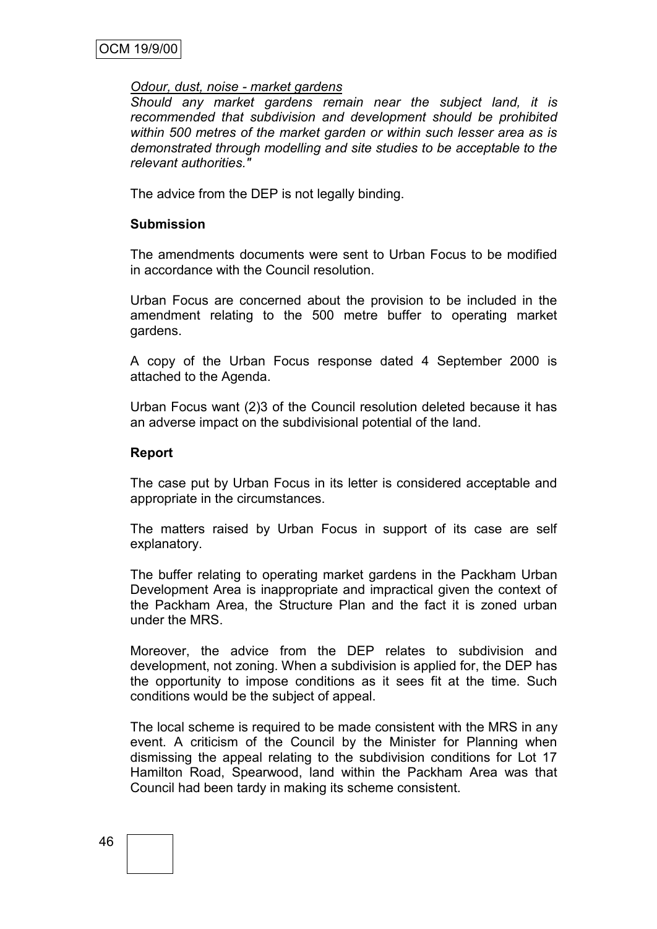#### *Odour, dust, noise - market gardens*

*Should any market gardens remain near the subject land, it is recommended that subdivision and development should be prohibited within 500 metres of the market garden or within such lesser area as is demonstrated through modelling and site studies to be acceptable to the relevant authorities."*

The advice from the DEP is not legally binding.

#### **Submission**

The amendments documents were sent to Urban Focus to be modified in accordance with the Council resolution.

Urban Focus are concerned about the provision to be included in the amendment relating to the 500 metre buffer to operating market gardens.

A copy of the Urban Focus response dated 4 September 2000 is attached to the Agenda.

Urban Focus want (2)3 of the Council resolution deleted because it has an adverse impact on the subdivisional potential of the land.

#### **Report**

The case put by Urban Focus in its letter is considered acceptable and appropriate in the circumstances.

The matters raised by Urban Focus in support of its case are self explanatory.

The buffer relating to operating market gardens in the Packham Urban Development Area is inappropriate and impractical given the context of the Packham Area, the Structure Plan and the fact it is zoned urban under the MRS.

Moreover, the advice from the DEP relates to subdivision and development, not zoning. When a subdivision is applied for, the DEP has the opportunity to impose conditions as it sees fit at the time. Such conditions would be the subject of appeal.

The local scheme is required to be made consistent with the MRS in any event. A criticism of the Council by the Minister for Planning when dismissing the appeal relating to the subdivision conditions for Lot 17 Hamilton Road, Spearwood, land within the Packham Area was that Council had been tardy in making its scheme consistent.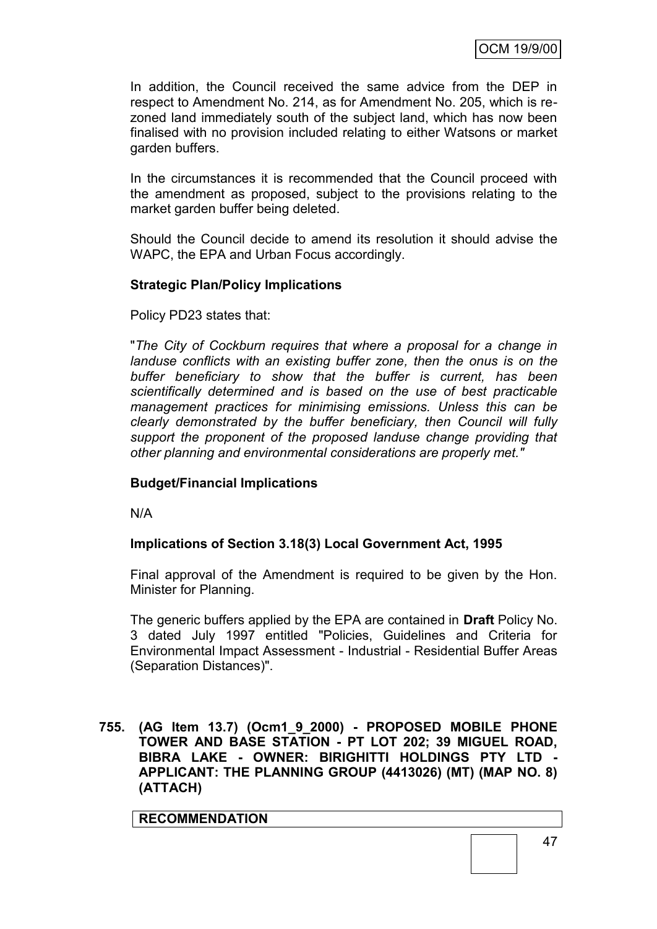In addition, the Council received the same advice from the DEP in respect to Amendment No. 214, as for Amendment No. 205, which is rezoned land immediately south of the subject land, which has now been finalised with no provision included relating to either Watsons or market garden buffers.

In the circumstances it is recommended that the Council proceed with the amendment as proposed, subject to the provisions relating to the market garden buffer being deleted.

Should the Council decide to amend its resolution it should advise the WAPC, the EPA and Urban Focus accordingly.

# **Strategic Plan/Policy Implications**

# Policy PD23 states that:

"*The City of Cockburn requires that where a proposal for a change in landuse conflicts with an existing buffer zone, then the onus is on the buffer beneficiary to show that the buffer is current, has been scientifically determined and is based on the use of best practicable management practices for minimising emissions. Unless this can be clearly demonstrated by the buffer beneficiary, then Council will fully support the proponent of the proposed landuse change providing that other planning and environmental considerations are properly met."*

# **Budget/Financial Implications**

N/A

# **Implications of Section 3.18(3) Local Government Act, 1995**

Final approval of the Amendment is required to be given by the Hon. Minister for Planning.

The generic buffers applied by the EPA are contained in **Draft** Policy No. 3 dated July 1997 entitled "Policies, Guidelines and Criteria for Environmental Impact Assessment - Industrial - Residential Buffer Areas (Separation Distances)".

**755. (AG Item 13.7) (Ocm1\_9\_2000) - PROPOSED MOBILE PHONE TOWER AND BASE STATION - PT LOT 202; 39 MIGUEL ROAD, BIBRA LAKE - OWNER: BIRIGHITTI HOLDINGS PTY LTD - APPLICANT: THE PLANNING GROUP (4413026) (MT) (MAP NO. 8) (ATTACH)**

# **RECOMMENDATION**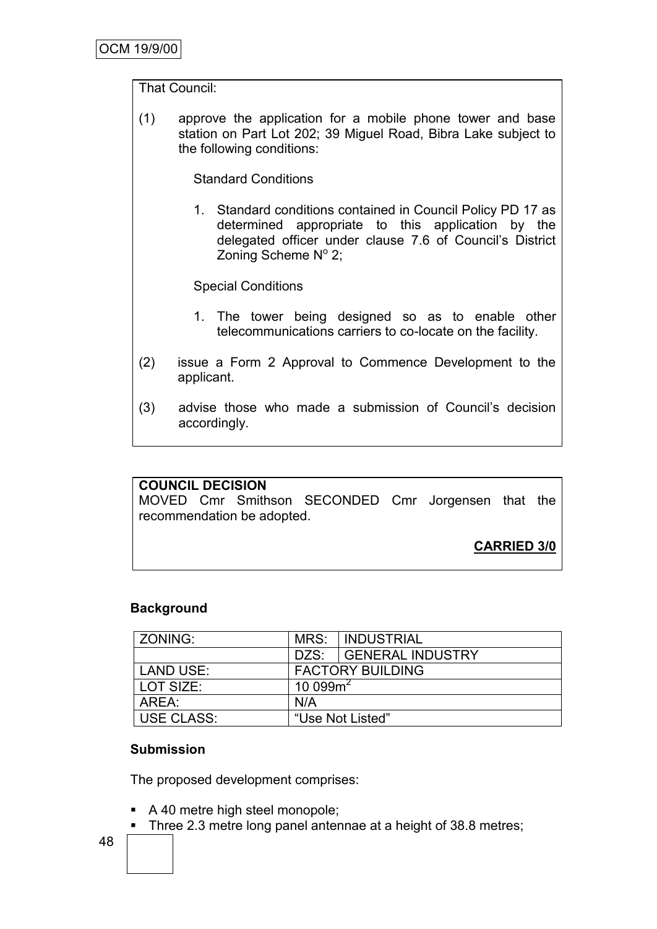### That Council:

(1) approve the application for a mobile phone tower and base station on Part Lot 202; 39 Miguel Road, Bibra Lake subject to the following conditions:

Standard Conditions

1. Standard conditions contained in Council Policy PD 17 as determined appropriate to this application by the delegated officer under clause 7.6 of Council"s District Zoning Scheme Nº 2;

Special Conditions

- 1. The tower being designed so as to enable other telecommunications carriers to co-locate on the facility.
- (2) issue a Form 2 Approval to Commence Development to the applicant.
- (3) advise those who made a submission of Council"s decision accordingly.

#### **COUNCIL DECISION**

MOVED Cmr Smithson SECONDED Cmr Jorgensen that the recommendation be adopted.

**CARRIED 3/0**

# **Background**

| ZONING:           | MRS:                    | <b>INDUSTRIAL</b>     |
|-------------------|-------------------------|-----------------------|
|                   |                         | DZS: GENERAL INDUSTRY |
| <b>LAND USE:</b>  | <b>FACTORY BUILDING</b> |                       |
| LOT SIZE:         | $10099m^2$              |                       |
| AREA:             | N/A                     |                       |
| <b>USE CLASS:</b> | "Use Not Listed"        |                       |

#### **Submission**

The proposed development comprises:

- A 40 metre high steel monopole;
- Three 2.3 metre long panel antennae at a height of 38.8 metres;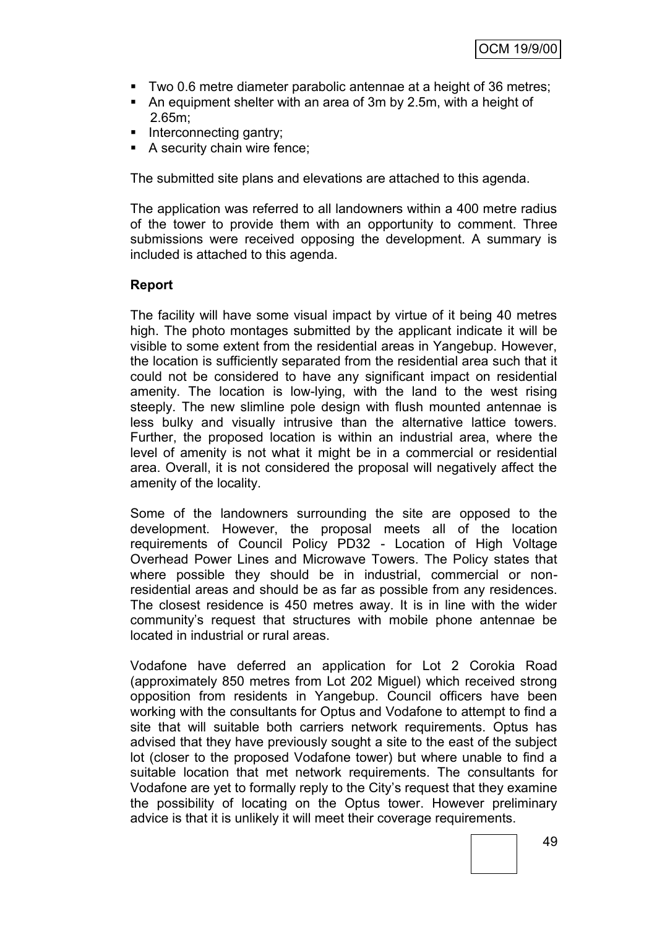- Two 0.6 metre diameter parabolic antennae at a height of 36 metres;
- An equipment shelter with an area of 3m by 2.5m, with a height of 2.65m;
- $\blacksquare$  Interconnecting gantry;
- A security chain wire fence;

The submitted site plans and elevations are attached to this agenda.

The application was referred to all landowners within a 400 metre radius of the tower to provide them with an opportunity to comment. Three submissions were received opposing the development. A summary is included is attached to this agenda.

#### **Report**

The facility will have some visual impact by virtue of it being 40 metres high. The photo montages submitted by the applicant indicate it will be visible to some extent from the residential areas in Yangebup. However, the location is sufficiently separated from the residential area such that it could not be considered to have any significant impact on residential amenity. The location is low-lying, with the land to the west rising steeply. The new slimline pole design with flush mounted antennae is less bulky and visually intrusive than the alternative lattice towers. Further, the proposed location is within an industrial area, where the level of amenity is not what it might be in a commercial or residential area. Overall, it is not considered the proposal will negatively affect the amenity of the locality.

Some of the landowners surrounding the site are opposed to the development. However, the proposal meets all of the location requirements of Council Policy PD32 - Location of High Voltage Overhead Power Lines and Microwave Towers. The Policy states that where possible they should be in industrial, commercial or nonresidential areas and should be as far as possible from any residences. The closest residence is 450 metres away. It is in line with the wider community"s request that structures with mobile phone antennae be located in industrial or rural areas.

Vodafone have deferred an application for Lot 2 Corokia Road (approximately 850 metres from Lot 202 Miguel) which received strong opposition from residents in Yangebup. Council officers have been working with the consultants for Optus and Vodafone to attempt to find a site that will suitable both carriers network requirements. Optus has advised that they have previously sought a site to the east of the subject lot (closer to the proposed Vodafone tower) but where unable to find a suitable location that met network requirements. The consultants for Vodafone are yet to formally reply to the City"s request that they examine the possibility of locating on the Optus tower. However preliminary advice is that it is unlikely it will meet their coverage requirements.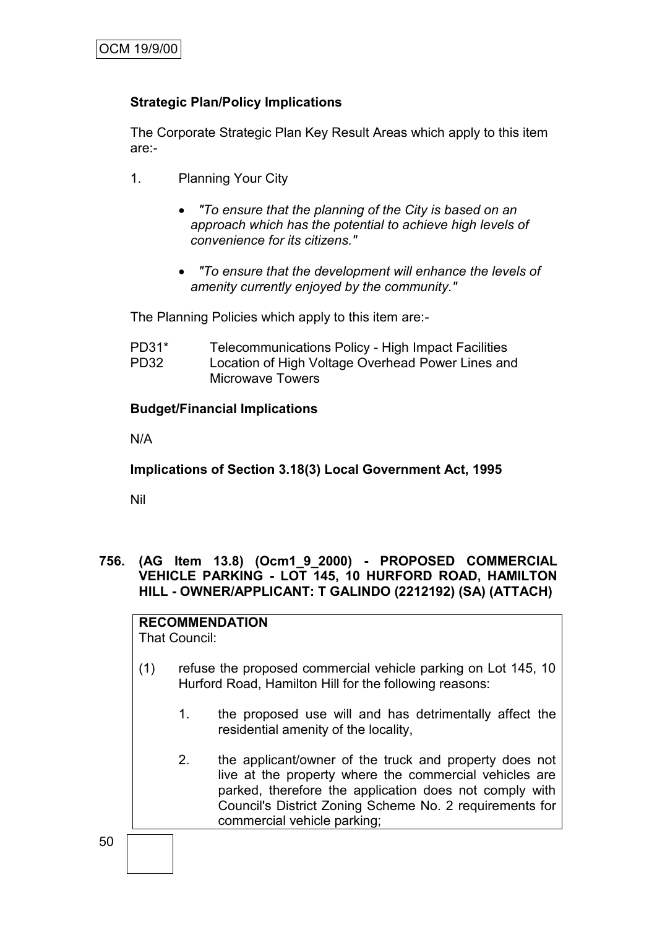# **Strategic Plan/Policy Implications**

The Corporate Strategic Plan Key Result Areas which apply to this item are:-

- 1. Planning Your City
	- *"To ensure that the planning of the City is based on an approach which has the potential to achieve high levels of convenience for its citizens."*
	- *"To ensure that the development will enhance the levels of amenity currently enjoyed by the community."*

The Planning Policies which apply to this item are:-

| PD31* | Telecommunications Policy - High Impact Facilities |
|-------|----------------------------------------------------|
| PD32  | Location of High Voltage Overhead Power Lines and  |
|       | <b>Microwave Towers</b>                            |

# **Budget/Financial Implications**

N/A

**Implications of Section 3.18(3) Local Government Act, 1995**

Nil

# **756. (AG Item 13.8) (Ocm1\_9\_2000) - PROPOSED COMMERCIAL VEHICLE PARKING - LOT 145, 10 HURFORD ROAD, HAMILTON HILL - OWNER/APPLICANT: T GALINDO (2212192) (SA) (ATTACH)**

**RECOMMENDATION**

That Council:

- (1) refuse the proposed commercial vehicle parking on Lot 145, 10 Hurford Road, Hamilton Hill for the following reasons:
	- 1. the proposed use will and has detrimentally affect the residential amenity of the locality,
	- 2. the applicant/owner of the truck and property does not live at the property where the commercial vehicles are parked, therefore the application does not comply with Council's District Zoning Scheme No. 2 requirements for commercial vehicle parking;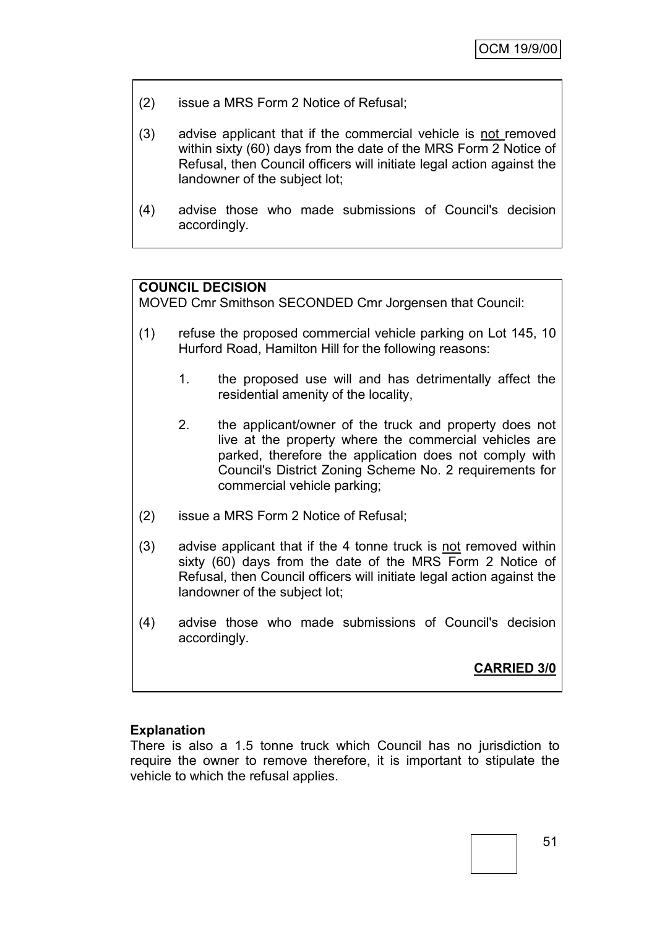- (2) issue a MRS Form 2 Notice of Refusal;
- (3) advise applicant that if the commercial vehicle is not removed within sixty (60) days from the date of the MRS Form 2 Notice of Refusal, then Council officers will initiate legal action against the landowner of the subject lot;
- (4) advise those who made submissions of Council's decision accordingly.

# **COUNCIL DECISION**

MOVED Cmr Smithson SECONDED Cmr Jorgensen that Council:

- (1) refuse the proposed commercial vehicle parking on Lot 145, 10 Hurford Road, Hamilton Hill for the following reasons:
	- 1. the proposed use will and has detrimentally affect the residential amenity of the locality,
	- 2. the applicant/owner of the truck and property does not live at the property where the commercial vehicles are parked, therefore the application does not comply with Council's District Zoning Scheme No. 2 requirements for commercial vehicle parking;
- (2) issue a MRS Form 2 Notice of Refusal;
- (3) advise applicant that if the 4 tonne truck is not removed within sixty (60) days from the date of the MRS Form 2 Notice of Refusal, then Council officers will initiate legal action against the landowner of the subject lot;
- (4) advise those who made submissions of Council's decision accordingly.

# **CARRIED 3/0**

#### **Explanation**

There is also a 1.5 tonne truck which Council has no jurisdiction to require the owner to remove therefore, it is important to stipulate the vehicle to which the refusal applies.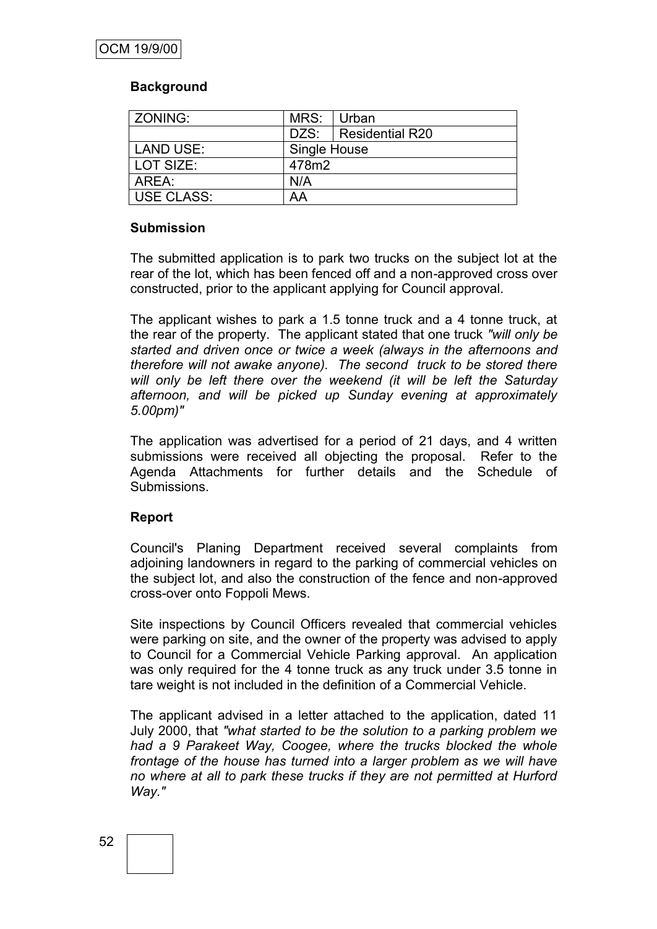# **Background**

| ZONING:           | MRS:         | Urban                  |  |
|-------------------|--------------|------------------------|--|
|                   |              | DZS:   Residential R20 |  |
| <b>LAND USE:</b>  | Single House |                        |  |
| LOT SIZE:         | 478m2        |                        |  |
| AREA:             | N/A          |                        |  |
| <b>USE CLASS:</b> | AA           |                        |  |

#### **Submission**

The submitted application is to park two trucks on the subject lot at the rear of the lot, which has been fenced off and a non-approved cross over constructed, prior to the applicant applying for Council approval.

The applicant wishes to park a 1.5 tonne truck and a 4 tonne truck, at the rear of the property. The applicant stated that one truck *"will only be started and driven once or twice a week (always in the afternoons and therefore will not awake anyone). The second truck to be stored there will only be left there over the weekend (it will be left the Saturday afternoon, and will be picked up Sunday evening at approximately 5.00pm)"* 

The application was advertised for a period of 21 days, and 4 written submissions were received all objecting the proposal. Refer to the Agenda Attachments for further details and the Schedule of Submissions.

# **Report**

Council's Planing Department received several complaints from adjoining landowners in regard to the parking of commercial vehicles on the subject lot, and also the construction of the fence and non-approved cross-over onto Foppoli Mews.

Site inspections by Council Officers revealed that commercial vehicles were parking on site, and the owner of the property was advised to apply to Council for a Commercial Vehicle Parking approval. An application was only required for the 4 tonne truck as any truck under 3.5 tonne in tare weight is not included in the definition of a Commercial Vehicle.

The applicant advised in a letter attached to the application, dated 11 July 2000, that *"what started to be the solution to a parking problem we had a 9 Parakeet Way, Coogee, where the trucks blocked the whole frontage of the house has turned into a larger problem as we will have no where at all to park these trucks if they are not permitted at Hurford Way."*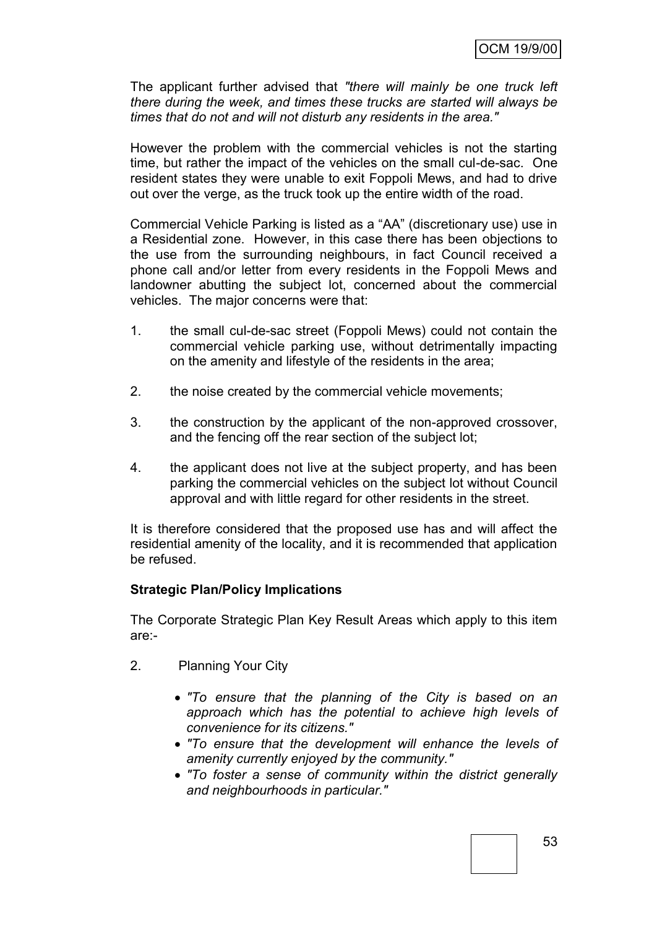The applicant further advised that *"there will mainly be one truck left there during the week, and times these trucks are started will always be times that do not and will not disturb any residents in the area."*

However the problem with the commercial vehicles is not the starting time, but rather the impact of the vehicles on the small cul-de-sac. One resident states they were unable to exit Foppoli Mews, and had to drive out over the verge, as the truck took up the entire width of the road.

Commercial Vehicle Parking is listed as a "AA" (discretionary use) use in a Residential zone. However, in this case there has been objections to the use from the surrounding neighbours, in fact Council received a phone call and/or letter from every residents in the Foppoli Mews and landowner abutting the subject lot, concerned about the commercial vehicles. The major concerns were that:

- 1. the small cul-de-sac street (Foppoli Mews) could not contain the commercial vehicle parking use, without detrimentally impacting on the amenity and lifestyle of the residents in the area;
- 2. the noise created by the commercial vehicle movements;
- 3. the construction by the applicant of the non-approved crossover, and the fencing off the rear section of the subject lot;
- 4. the applicant does not live at the subject property, and has been parking the commercial vehicles on the subject lot without Council approval and with little regard for other residents in the street.

It is therefore considered that the proposed use has and will affect the residential amenity of the locality, and it is recommended that application be refused.

# **Strategic Plan/Policy Implications**

The Corporate Strategic Plan Key Result Areas which apply to this item are:-

- 2. Planning Your City
	- *"To ensure that the planning of the City is based on an approach which has the potential to achieve high levels of convenience for its citizens."*
	- *"To ensure that the development will enhance the levels of amenity currently enjoyed by the community."*
	- *"To foster a sense of community within the district generally and neighbourhoods in particular."*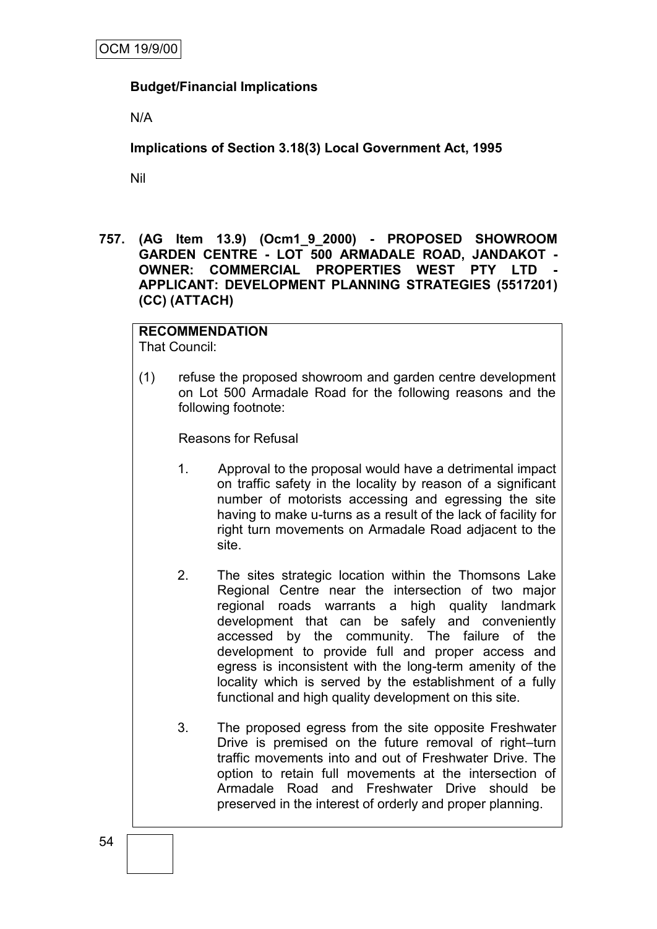# **Budget/Financial Implications**

N/A

**Implications of Section 3.18(3) Local Government Act, 1995**

Nil

**757. (AG Item 13.9) (Ocm1\_9\_2000) - PROPOSED SHOWROOM GARDEN CENTRE - LOT 500 ARMADALE ROAD, JANDAKOT - OWNER: COMMERCIAL PROPERTIES WEST PTY LTD - APPLICANT: DEVELOPMENT PLANNING STRATEGIES (5517201) (CC) (ATTACH)**

**RECOMMENDATION** That Council:

(1) refuse the proposed showroom and garden centre development on Lot 500 Armadale Road for the following reasons and the following footnote:

Reasons for Refusal

- 1. Approval to the proposal would have a detrimental impact on traffic safety in the locality by reason of a significant number of motorists accessing and egressing the site having to make u-turns as a result of the lack of facility for right turn movements on Armadale Road adjacent to the site.
- 2. The sites strategic location within the Thomsons Lake Regional Centre near the intersection of two major regional roads warrants a high quality landmark development that can be safely and conveniently accessed by the community. The failure of the development to provide full and proper access and egress is inconsistent with the long-term amenity of the locality which is served by the establishment of a fully functional and high quality development on this site.
- 3. The proposed egress from the site opposite Freshwater Drive is premised on the future removal of right–turn traffic movements into and out of Freshwater Drive. The option to retain full movements at the intersection of Armadale Road and Freshwater Drive should be preserved in the interest of orderly and proper planning.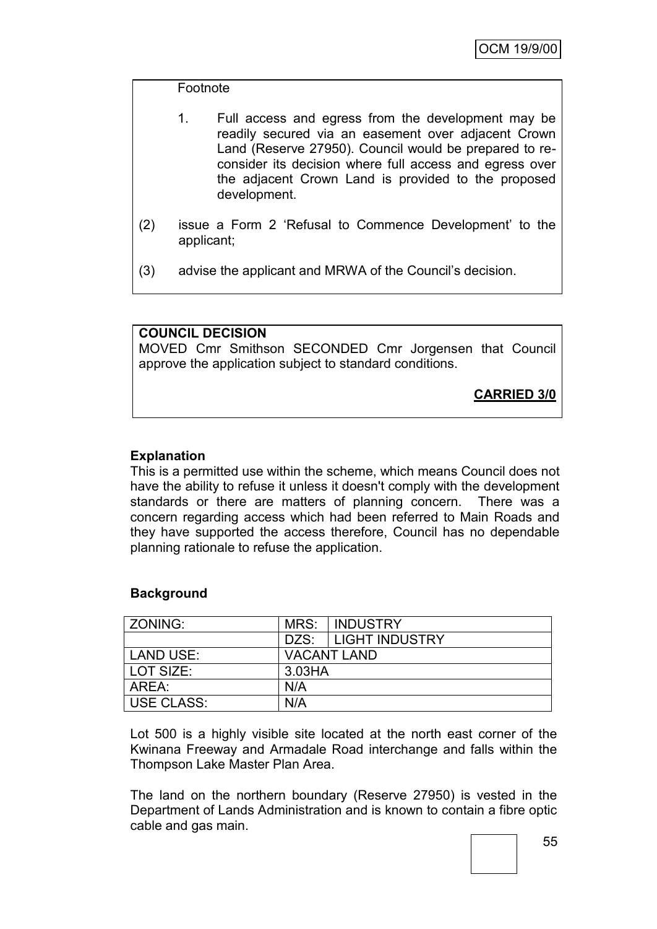#### Footnote

| $1_{-}$ | Full access and egress from the development may be      |
|---------|---------------------------------------------------------|
|         | readily secured via an easement over adjacent Crown     |
|         | Land (Reserve 27950). Council would be prepared to re-  |
|         | consider its decision where full access and egress over |
|         | the adjacent Crown Land is provided to the proposed     |
|         | development.                                            |

- (2) issue a Form 2 "Refusal to Commence Development" to the applicant;
- (3) advise the applicant and MRWA of the Council"s decision.

# **COUNCIL DECISION**

MOVED Cmr Smithson SECONDED Cmr Jorgensen that Council approve the application subject to standard conditions.

**CARRIED 3/0**

# **Explanation**

This is a permitted use within the scheme, which means Council does not have the ability to refuse it unless it doesn't comply with the development standards or there are matters of planning concern. There was a concern regarding access which had been referred to Main Roads and they have supported the access therefore, Council has no dependable planning rationale to refuse the application.

#### **Background**

| ZONING:    | MRS:               | <b>INDUSTRY</b>     |
|------------|--------------------|---------------------|
|            |                    | DZS: LIGHT INDUSTRY |
| LAND USE:  | <b>VACANT LAND</b> |                     |
| LOT SIZE:  | 3.03HA             |                     |
| l AREA:    | N/A                |                     |
| USE CLASS: | N/A                |                     |

Lot 500 is a highly visible site located at the north east corner of the Kwinana Freeway and Armadale Road interchange and falls within the Thompson Lake Master Plan Area.

The land on the northern boundary (Reserve 27950) is vested in the Department of Lands Administration and is known to contain a fibre optic cable and gas main.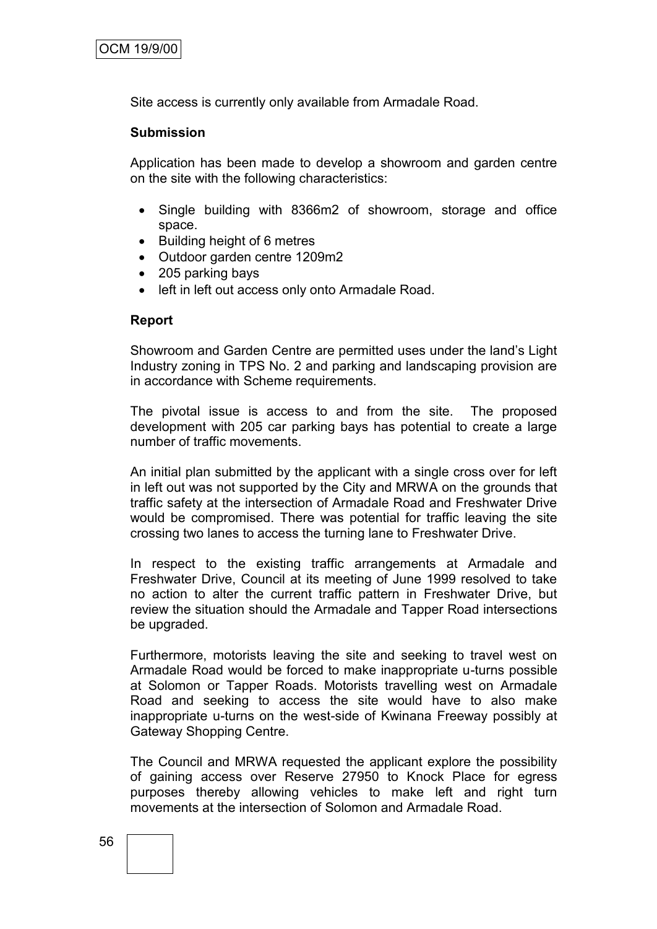Site access is currently only available from Armadale Road.

#### **Submission**

Application has been made to develop a showroom and garden centre on the site with the following characteristics:

- Single building with 8366m2 of showroom, storage and office space.
- Building height of 6 metres
- Outdoor garden centre 1209m2
- 205 parking bays
- left in left out access only onto Armadale Road.

#### **Report**

Showroom and Garden Centre are permitted uses under the land"s Light Industry zoning in TPS No. 2 and parking and landscaping provision are in accordance with Scheme requirements.

The pivotal issue is access to and from the site. The proposed development with 205 car parking bays has potential to create a large number of traffic movements.

An initial plan submitted by the applicant with a single cross over for left in left out was not supported by the City and MRWA on the grounds that traffic safety at the intersection of Armadale Road and Freshwater Drive would be compromised. There was potential for traffic leaving the site crossing two lanes to access the turning lane to Freshwater Drive.

In respect to the existing traffic arrangements at Armadale and Freshwater Drive, Council at its meeting of June 1999 resolved to take no action to alter the current traffic pattern in Freshwater Drive, but review the situation should the Armadale and Tapper Road intersections be upgraded.

Furthermore, motorists leaving the site and seeking to travel west on Armadale Road would be forced to make inappropriate u-turns possible at Solomon or Tapper Roads. Motorists travelling west on Armadale Road and seeking to access the site would have to also make inappropriate u-turns on the west-side of Kwinana Freeway possibly at Gateway Shopping Centre.

The Council and MRWA requested the applicant explore the possibility of gaining access over Reserve 27950 to Knock Place for egress purposes thereby allowing vehicles to make left and right turn movements at the intersection of Solomon and Armadale Road.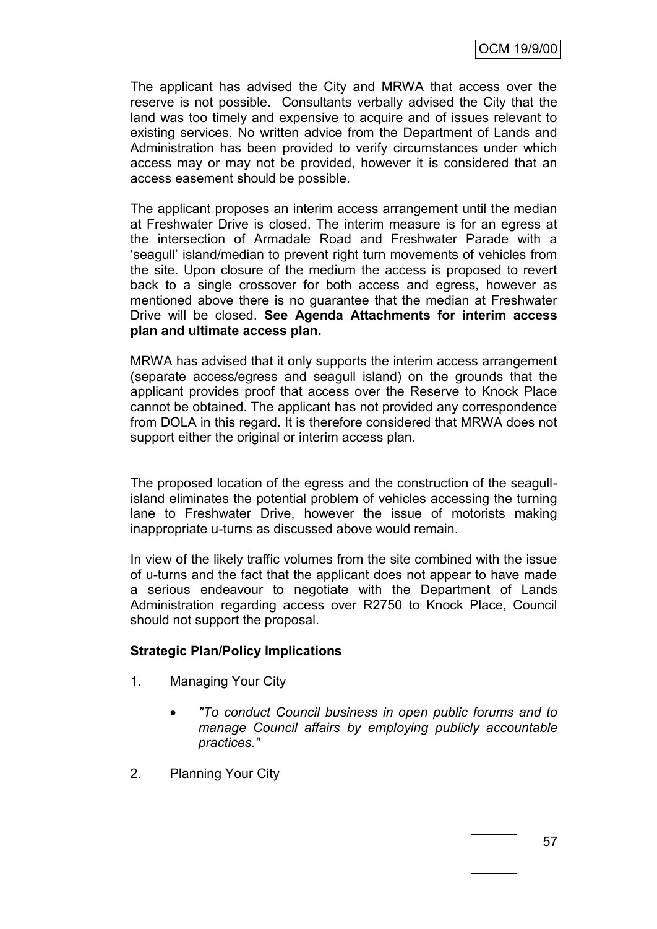The applicant has advised the City and MRWA that access over the reserve is not possible. Consultants verbally advised the City that the land was too timely and expensive to acquire and of issues relevant to existing services. No written advice from the Department of Lands and Administration has been provided to verify circumstances under which access may or may not be provided, however it is considered that an access easement should be possible.

The applicant proposes an interim access arrangement until the median at Freshwater Drive is closed. The interim measure is for an egress at the intersection of Armadale Road and Freshwater Parade with a "seagull" island/median to prevent right turn movements of vehicles from the site. Upon closure of the medium the access is proposed to revert back to a single crossover for both access and egress, however as mentioned above there is no guarantee that the median at Freshwater Drive will be closed. **See Agenda Attachments for interim access plan and ultimate access plan.**

MRWA has advised that it only supports the interim access arrangement (separate access/egress and seagull island) on the grounds that the applicant provides proof that access over the Reserve to Knock Place cannot be obtained. The applicant has not provided any correspondence from DOLA in this regard. It is therefore considered that MRWA does not support either the original or interim access plan.

The proposed location of the egress and the construction of the seagullisland eliminates the potential problem of vehicles accessing the turning lane to Freshwater Drive, however the issue of motorists making inappropriate u-turns as discussed above would remain.

In view of the likely traffic volumes from the site combined with the issue of u-turns and the fact that the applicant does not appear to have made a serious endeavour to negotiate with the Department of Lands Administration regarding access over R2750 to Knock Place, Council should not support the proposal.

# **Strategic Plan/Policy Implications**

- 1. Managing Your City
	- *"To conduct Council business in open public forums and to manage Council affairs by employing publicly accountable practices."*
- 2. Planning Your City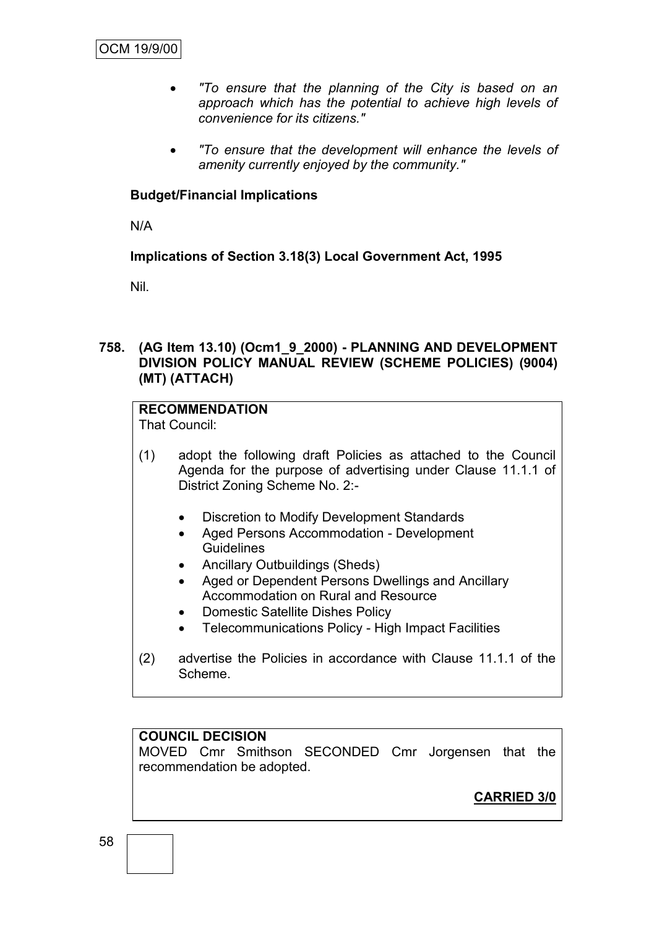- *"To ensure that the planning of the City is based on an approach which has the potential to achieve high levels of convenience for its citizens."*
- *"To ensure that the development will enhance the levels of amenity currently enjoyed by the community."*

# **Budget/Financial Implications**

N/A

# **Implications of Section 3.18(3) Local Government Act, 1995**

Nil.

# **758. (AG Item 13.10) (Ocm1\_9\_2000) - PLANNING AND DEVELOPMENT DIVISION POLICY MANUAL REVIEW (SCHEME POLICIES) (9004) (MT) (ATTACH)**

# **RECOMMENDATION**

That Council:

- (1) adopt the following draft Policies as attached to the Council Agenda for the purpose of advertising under Clause 11.1.1 of District Zoning Scheme No. 2:-
	- Discretion to Modify Development Standards
	- Aged Persons Accommodation Development **Guidelines**
	- Ancillary Outbuildings (Sheds)
	- Aged or Dependent Persons Dwellings and Ancillary Accommodation on Rural and Resource
	- Domestic Satellite Dishes Policy
	- Telecommunications Policy High Impact Facilities
- (2) advertise the Policies in accordance with Clause 11.1.1 of the Scheme.

# **COUNCIL DECISION**

MOVED Cmr Smithson SECONDED Cmr Jorgensen that the recommendation be adopted.

**CARRIED 3/0**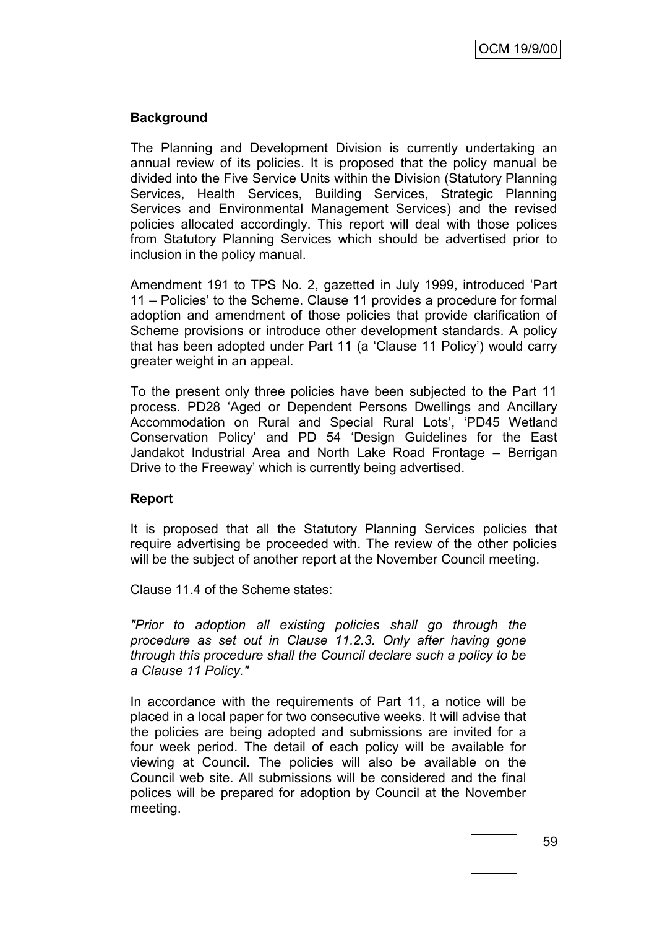# **Background**

The Planning and Development Division is currently undertaking an annual review of its policies. It is proposed that the policy manual be divided into the Five Service Units within the Division (Statutory Planning Services, Health Services, Building Services, Strategic Planning Services and Environmental Management Services) and the revised policies allocated accordingly. This report will deal with those polices from Statutory Planning Services which should be advertised prior to inclusion in the policy manual.

Amendment 191 to TPS No. 2, gazetted in July 1999, introduced "Part 11 – Policies" to the Scheme. Clause 11 provides a procedure for formal adoption and amendment of those policies that provide clarification of Scheme provisions or introduce other development standards. A policy that has been adopted under Part 11 (a "Clause 11 Policy") would carry greater weight in an appeal.

To the present only three policies have been subjected to the Part 11 process. PD28 "Aged or Dependent Persons Dwellings and Ancillary Accommodation on Rural and Special Rural Lots', 'PD45 Wetland Conservation Policy" and PD 54 "Design Guidelines for the East Jandakot Industrial Area and North Lake Road Frontage – Berrigan Drive to the Freeway" which is currently being advertised.

# **Report**

It is proposed that all the Statutory Planning Services policies that require advertising be proceeded with. The review of the other policies will be the subject of another report at the November Council meeting.

Clause 11.4 of the Scheme states:

*"Prior to adoption all existing policies shall go through the procedure as set out in Clause 11.2.3. Only after having gone through this procedure shall the Council declare such a policy to be a Clause 11 Policy."*

In accordance with the requirements of Part 11, a notice will be placed in a local paper for two consecutive weeks. It will advise that the policies are being adopted and submissions are invited for a four week period. The detail of each policy will be available for viewing at Council. The policies will also be available on the Council web site. All submissions will be considered and the final polices will be prepared for adoption by Council at the November meeting.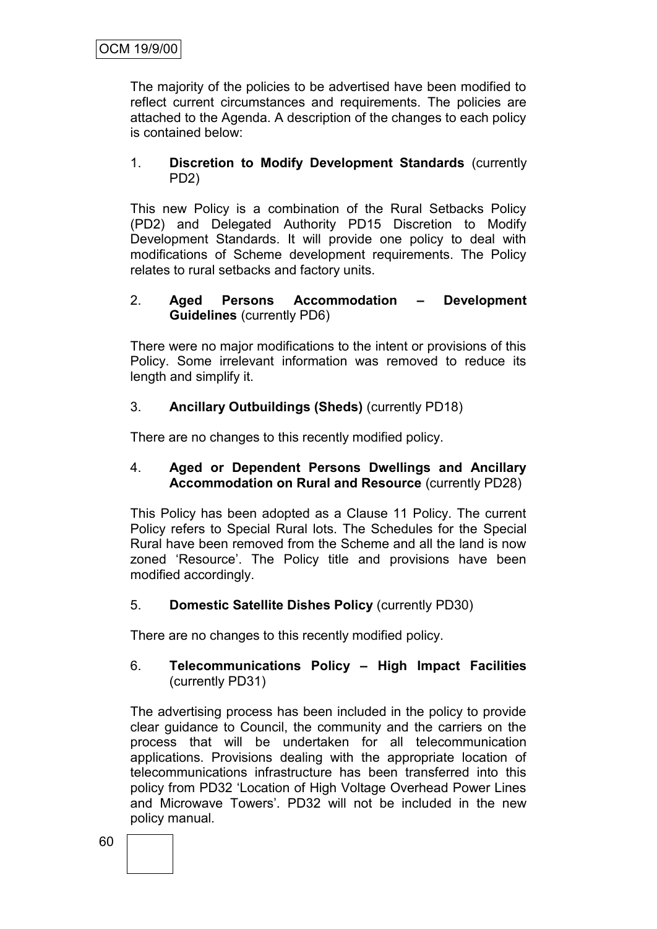The majority of the policies to be advertised have been modified to reflect current circumstances and requirements. The policies are attached to the Agenda. A description of the changes to each policy is contained below:

### 1. **Discretion to Modify Development Standards** (currently PD2)

This new Policy is a combination of the Rural Setbacks Policy (PD2) and Delegated Authority PD15 Discretion to Modify Development Standards. It will provide one policy to deal with modifications of Scheme development requirements. The Policy relates to rural setbacks and factory units.

# 2. **Aged Persons Accommodation – Development Guidelines** (currently PD6)

There were no major modifications to the intent or provisions of this Policy. Some irrelevant information was removed to reduce its length and simplify it.

# 3. **Ancillary Outbuildings (Sheds)** (currently PD18)

There are no changes to this recently modified policy.

# 4. **Aged or Dependent Persons Dwellings and Ancillary Accommodation on Rural and Resource** (currently PD28)

This Policy has been adopted as a Clause 11 Policy. The current Policy refers to Special Rural lots. The Schedules for the Special Rural have been removed from the Scheme and all the land is now zoned "Resource". The Policy title and provisions have been modified accordingly.

# 5. **Domestic Satellite Dishes Policy** (currently PD30)

There are no changes to this recently modified policy.

# 6. **Telecommunications Policy – High Impact Facilities** (currently PD31)

The advertising process has been included in the policy to provide clear guidance to Council, the community and the carriers on the process that will be undertaken for all telecommunication applications. Provisions dealing with the appropriate location of telecommunications infrastructure has been transferred into this policy from PD32 "Location of High Voltage Overhead Power Lines and Microwave Towers'. PD32 will not be included in the new policy manual*.*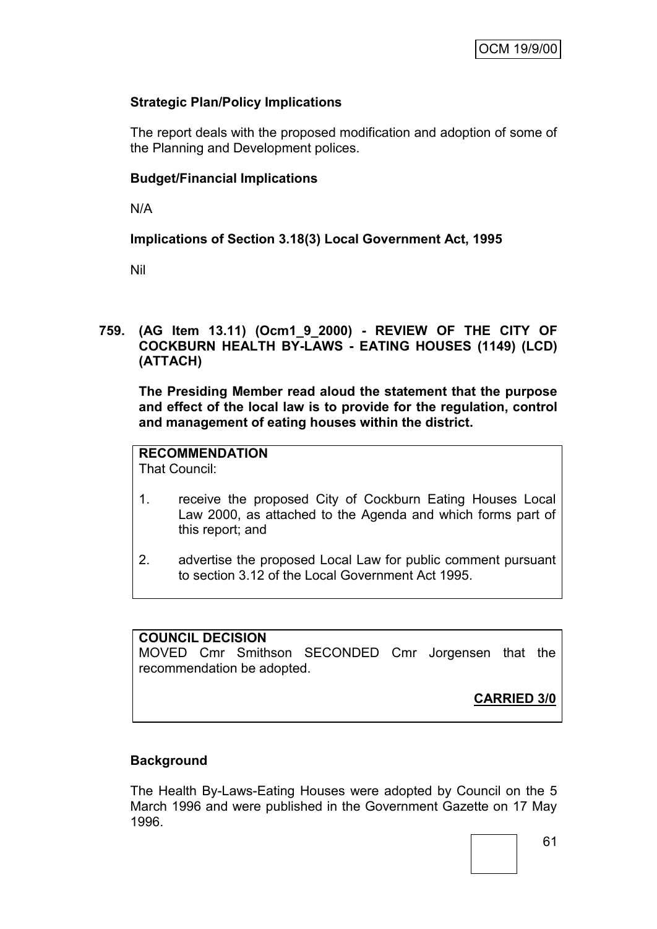# **Strategic Plan/Policy Implications**

The report deals with the proposed modification and adoption of some of the Planning and Development polices.

# **Budget/Financial Implications**

N/A

# **Implications of Section 3.18(3) Local Government Act, 1995**

Nil

# **759. (AG Item 13.11) (Ocm1\_9\_2000) - REVIEW OF THE CITY OF COCKBURN HEALTH BY-LAWS - EATING HOUSES (1149) (LCD) (ATTACH)**

**The Presiding Member read aloud the statement that the purpose and effect of the local law is to provide for the regulation, control and management of eating houses within the district.**

# **RECOMMENDATION**

That Council:

- 1. receive the proposed City of Cockburn Eating Houses Local Law 2000, as attached to the Agenda and which forms part of this report; and
- 2. advertise the proposed Local Law for public comment pursuant to section 3.12 of the Local Government Act 1995.

# **COUNCIL DECISION**

MOVED Cmr Smithson SECONDED Cmr Jorgensen that the recommendation be adopted.

**CARRIED 3/0**

# **Background**

The Health By-Laws-Eating Houses were adopted by Council on the 5 March 1996 and were published in the Government Gazette on 17 May 1996.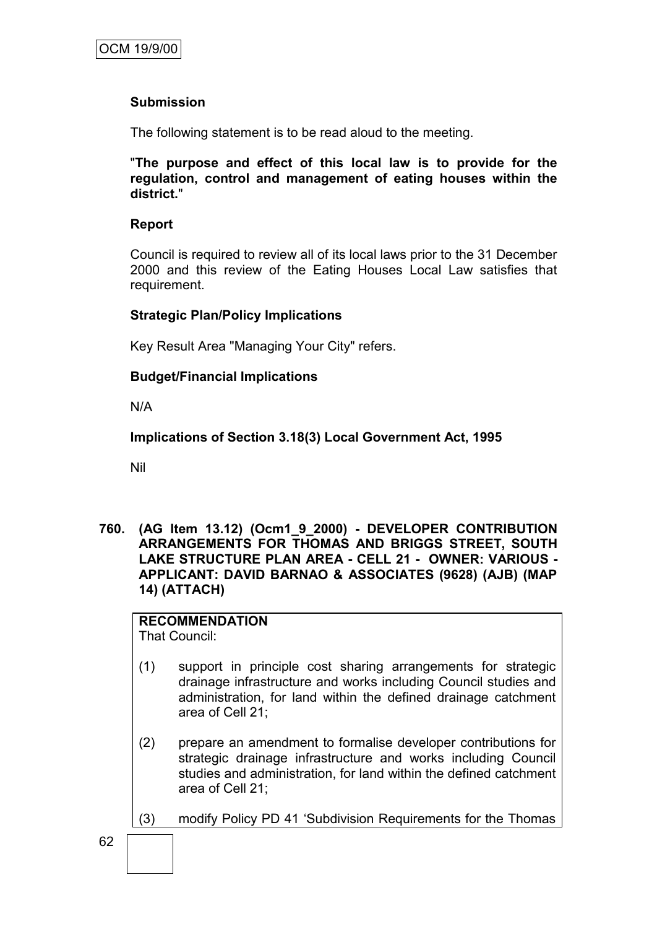# **Submission**

The following statement is to be read aloud to the meeting.

"**The purpose and effect of this local law is to provide for the regulation, control and management of eating houses within the district.**"

#### **Report**

Council is required to review all of its local laws prior to the 31 December 2000 and this review of the Eating Houses Local Law satisfies that requirement.

#### **Strategic Plan/Policy Implications**

Key Result Area "Managing Your City" refers.

# **Budget/Financial Implications**

N/A

**Implications of Section 3.18(3) Local Government Act, 1995**

Nil

**760. (AG Item 13.12) (Ocm1\_9\_2000) - DEVELOPER CONTRIBUTION ARRANGEMENTS FOR THOMAS AND BRIGGS STREET, SOUTH LAKE STRUCTURE PLAN AREA - CELL 21 - OWNER: VARIOUS - APPLICANT: DAVID BARNAO & ASSOCIATES (9628) (AJB) (MAP 14) (ATTACH)**

# **RECOMMENDATION**

That Council:

- (1) support in principle cost sharing arrangements for strategic drainage infrastructure and works including Council studies and administration, for land within the defined drainage catchment area of Cell 21;
- (2) prepare an amendment to formalise developer contributions for strategic drainage infrastructure and works including Council studies and administration, for land within the defined catchment area of Cell 21;
- (3) modify Policy PD 41 "Subdivision Requirements for the Thomas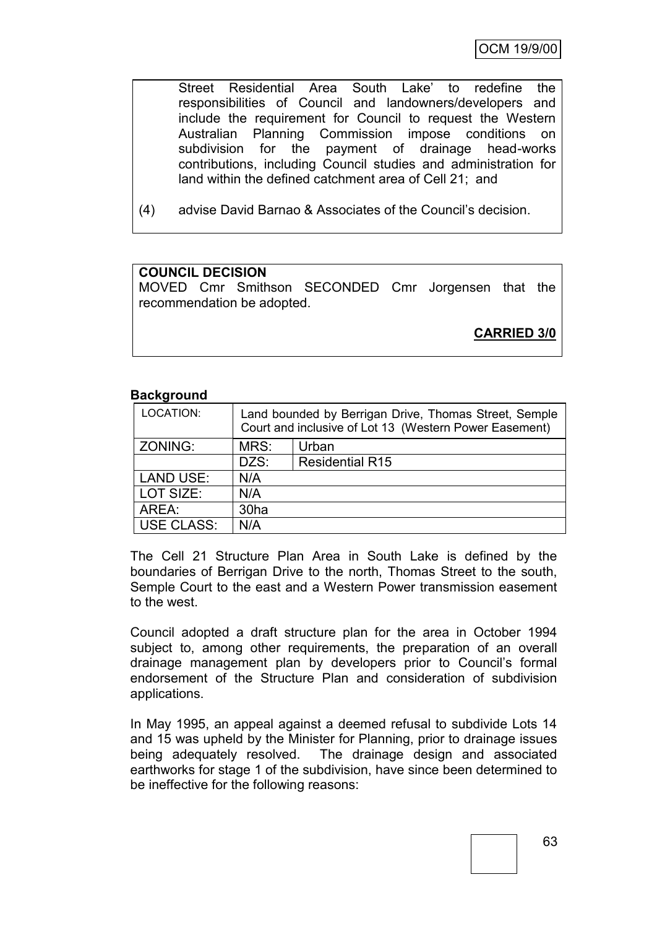Street Residential Area South Lake" to redefine the responsibilities of Council and landowners/developers and include the requirement for Council to request the Western Australian Planning Commission impose conditions on subdivision for the payment of drainage head-works contributions, including Council studies and administration for land within the defined catchment area of Cell 21; and

(4) advise David Barnao & Associates of the Council"s decision.

# **COUNCIL DECISION**

MOVED Cmr Smithson SECONDED Cmr Jorgensen that the recommendation be adopted.

**CARRIED 3/0**

#### **Background**

| LOCATION:         | Land bounded by Berrigan Drive, Thomas Street, Semple<br>Court and inclusive of Lot 13 (Western Power Easement) |                        |  |
|-------------------|-----------------------------------------------------------------------------------------------------------------|------------------------|--|
| ZONING:           | MRS:                                                                                                            | Urban                  |  |
|                   | DZS:                                                                                                            | <b>Residential R15</b> |  |
| LAND USE:         | N/A                                                                                                             |                        |  |
| LOT SIZE:         | N/A                                                                                                             |                        |  |
| AREA:             | 30 <sub>ha</sub>                                                                                                |                        |  |
| <b>USE CLASS:</b> | N/A                                                                                                             |                        |  |

The Cell 21 Structure Plan Area in South Lake is defined by the boundaries of Berrigan Drive to the north, Thomas Street to the south, Semple Court to the east and a Western Power transmission easement to the west.

Council adopted a draft structure plan for the area in October 1994 subject to, among other requirements, the preparation of an overall drainage management plan by developers prior to Council"s formal endorsement of the Structure Plan and consideration of subdivision applications.

In May 1995, an appeal against a deemed refusal to subdivide Lots 14 and 15 was upheld by the Minister for Planning, prior to drainage issues being adequately resolved. The drainage design and associated earthworks for stage 1 of the subdivision, have since been determined to be ineffective for the following reasons: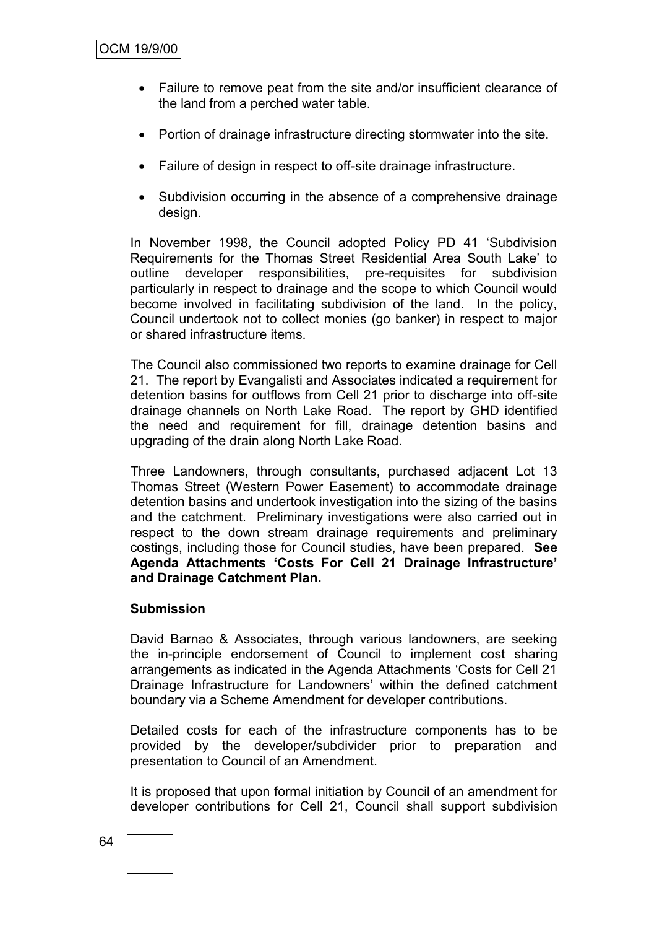- Failure to remove peat from the site and/or insufficient clearance of the land from a perched water table.
- Portion of drainage infrastructure directing stormwater into the site.
- Failure of design in respect to off-site drainage infrastructure.
- Subdivision occurring in the absence of a comprehensive drainage design.

In November 1998, the Council adopted Policy PD 41 "Subdivision Requirements for the Thomas Street Residential Area South Lake" to outline developer responsibilities, pre-requisites for subdivision particularly in respect to drainage and the scope to which Council would become involved in facilitating subdivision of the land. In the policy, Council undertook not to collect monies (go banker) in respect to major or shared infrastructure items.

The Council also commissioned two reports to examine drainage for Cell 21. The report by Evangalisti and Associates indicated a requirement for detention basins for outflows from Cell 21 prior to discharge into off-site drainage channels on North Lake Road. The report by GHD identified the need and requirement for fill, drainage detention basins and upgrading of the drain along North Lake Road.

Three Landowners, through consultants, purchased adjacent Lot 13 Thomas Street (Western Power Easement) to accommodate drainage detention basins and undertook investigation into the sizing of the basins and the catchment. Preliminary investigations were also carried out in respect to the down stream drainage requirements and preliminary costings, including those for Council studies, have been prepared. **See Agenda Attachments 'Costs For Cell 21 Drainage Infrastructure' and Drainage Catchment Plan.**

# **Submission**

David Barnao & Associates, through various landowners, are seeking the in-principle endorsement of Council to implement cost sharing arrangements as indicated in the Agenda Attachments "Costs for Cell 21 Drainage Infrastructure for Landowners' within the defined catchment boundary via a Scheme Amendment for developer contributions.

Detailed costs for each of the infrastructure components has to be provided by the developer/subdivider prior to preparation and presentation to Council of an Amendment.

It is proposed that upon formal initiation by Council of an amendment for developer contributions for Cell 21, Council shall support subdivision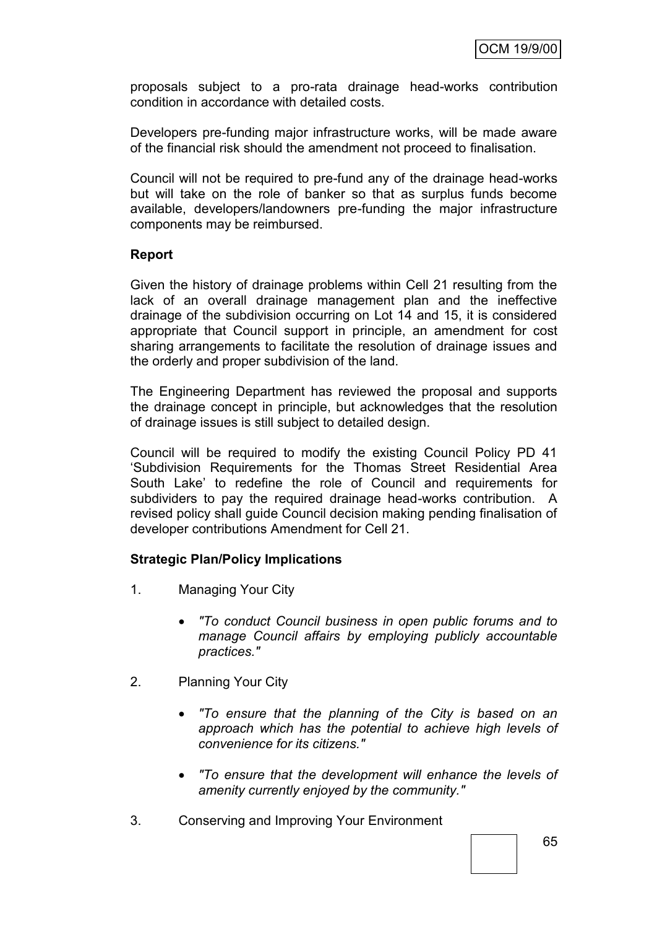proposals subject to a pro-rata drainage head-works contribution condition in accordance with detailed costs.

Developers pre-funding major infrastructure works, will be made aware of the financial risk should the amendment not proceed to finalisation.

Council will not be required to pre-fund any of the drainage head-works but will take on the role of banker so that as surplus funds become available, developers/landowners pre-funding the major infrastructure components may be reimbursed.

#### **Report**

Given the history of drainage problems within Cell 21 resulting from the lack of an overall drainage management plan and the ineffective drainage of the subdivision occurring on Lot 14 and 15, it is considered appropriate that Council support in principle, an amendment for cost sharing arrangements to facilitate the resolution of drainage issues and the orderly and proper subdivision of the land.

The Engineering Department has reviewed the proposal and supports the drainage concept in principle, but acknowledges that the resolution of drainage issues is still subject to detailed design.

Council will be required to modify the existing Council Policy PD 41 "Subdivision Requirements for the Thomas Street Residential Area South Lake" to redefine the role of Council and requirements for subdividers to pay the required drainage head-works contribution. A revised policy shall guide Council decision making pending finalisation of developer contributions Amendment for Cell 21.

#### **Strategic Plan/Policy Implications**

- 1. Managing Your City
	- *"To conduct Council business in open public forums and to manage Council affairs by employing publicly accountable practices."*
- 2. Planning Your City
	- *"To ensure that the planning of the City is based on an approach which has the potential to achieve high levels of convenience for its citizens."*
	- *"To ensure that the development will enhance the levels of amenity currently enjoyed by the community."*
- 3. Conserving and Improving Your Environment

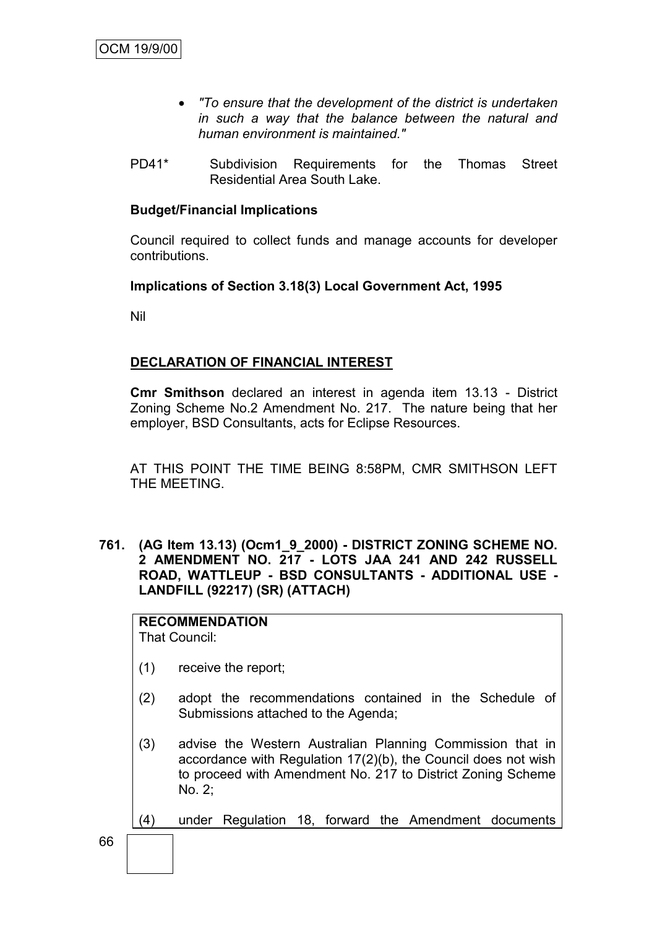- *"To ensure that the development of the district is undertaken in such a way that the balance between the natural and human environment is maintained."*
- PD41\* Subdivision Requirements for the Thomas Street Residential Area South Lake.

### **Budget/Financial Implications**

Council required to collect funds and manage accounts for developer contributions.

**Implications of Section 3.18(3) Local Government Act, 1995**

Nil

# **DECLARATION OF FINANCIAL INTEREST**

**Cmr Smithson** declared an interest in agenda item 13.13 - District Zoning Scheme No.2 Amendment No. 217. The nature being that her employer, BSD Consultants, acts for Eclipse Resources.

AT THIS POINT THE TIME BEING 8:58PM, CMR SMITHSON LEFT THE MEETING.

**761. (AG Item 13.13) (Ocm1\_9\_2000) - DISTRICT ZONING SCHEME NO. 2 AMENDMENT NO. 217 - LOTS JAA 241 AND 242 RUSSELL ROAD, WATTLEUP - BSD CONSULTANTS - ADDITIONAL USE - LANDFILL (92217) (SR) (ATTACH)**

**RECOMMENDATION** That Council:

- (1) receive the report;
- (2) adopt the recommendations contained in the Schedule of Submissions attached to the Agenda;
- (3) advise the Western Australian Planning Commission that in accordance with Regulation 17(2)(b), the Council does not wish to proceed with Amendment No. 217 to District Zoning Scheme No. 2;
- (4) under Regulation 18, forward the Amendment documents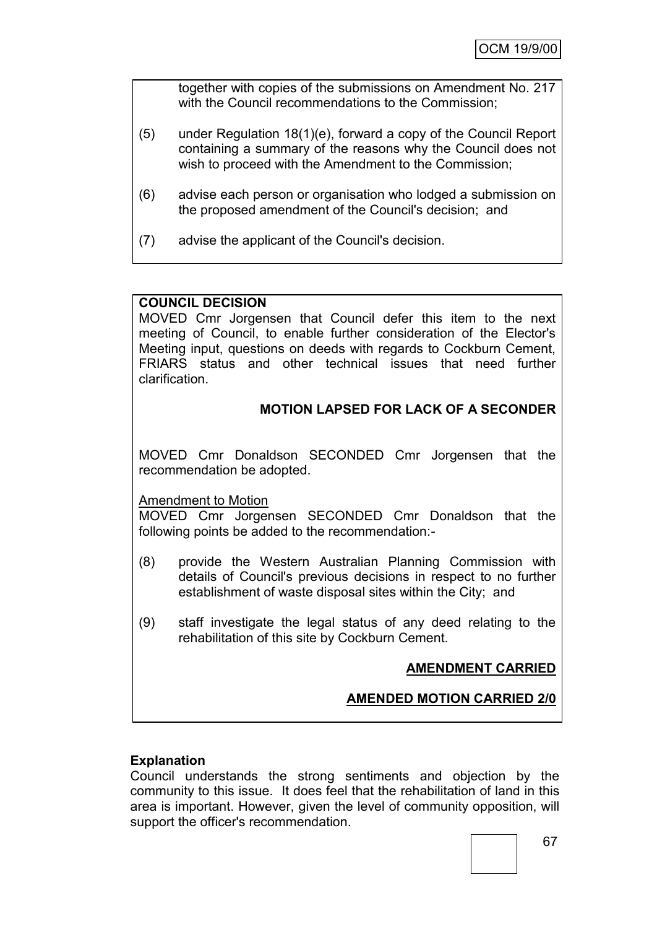together with copies of the submissions on Amendment No. 217 with the Council recommendations to the Commission;

- (5) under Regulation 18(1)(e), forward a copy of the Council Report containing a summary of the reasons why the Council does not wish to proceed with the Amendment to the Commission;
- (6) advise each person or organisation who lodged a submission on the proposed amendment of the Council's decision; and
- (7) advise the applicant of the Council's decision.

# **COUNCIL DECISION**

MOVED Cmr Jorgensen that Council defer this item to the next meeting of Council, to enable further consideration of the Elector's Meeting input, questions on deeds with regards to Cockburn Cement, FRIARS status and other technical issues that need further clarification.

# **MOTION LAPSED FOR LACK OF A SECONDER**

MOVED Cmr Donaldson SECONDED Cmr Jorgensen that the recommendation be adopted.

# Amendment to Motion

MOVED Cmr Jorgensen SECONDED Cmr Donaldson that the following points be added to the recommendation:-

- (8) provide the Western Australian Planning Commission with details of Council's previous decisions in respect to no further establishment of waste disposal sites within the City; and
- (9) staff investigate the legal status of any deed relating to the rehabilitation of this site by Cockburn Cement.

# **AMENDMENT CARRIED**

# **AMENDED MOTION CARRIED 2/0**

# **Explanation**

Council understands the strong sentiments and objection by the community to this issue. It does feel that the rehabilitation of land in this area is important. However, given the level of community opposition, will support the officer's recommendation.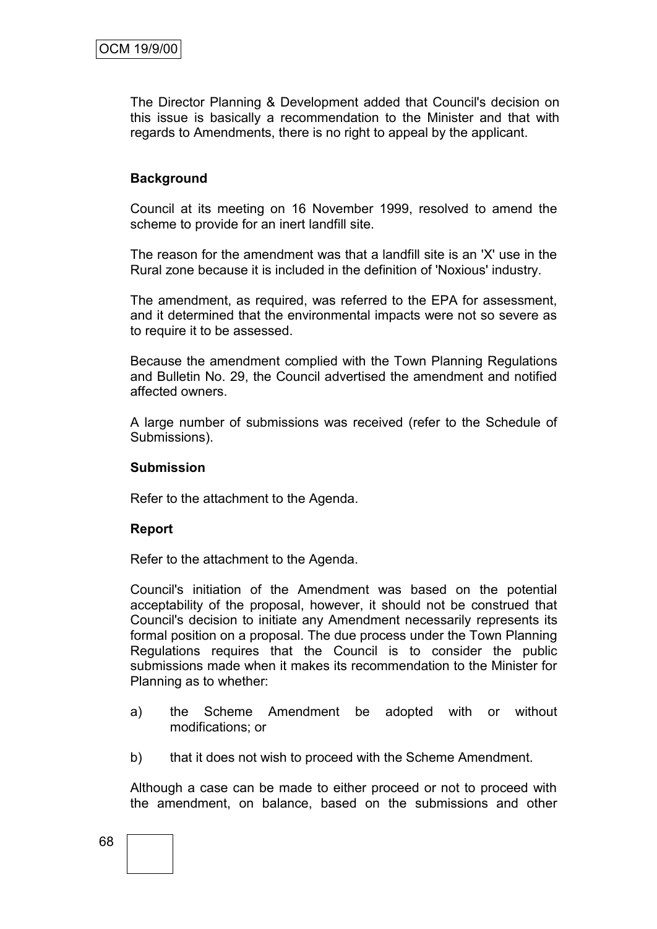The Director Planning & Development added that Council's decision on this issue is basically a recommendation to the Minister and that with regards to Amendments, there is no right to appeal by the applicant.

# **Background**

Council at its meeting on 16 November 1999, resolved to amend the scheme to provide for an inert landfill site.

The reason for the amendment was that a landfill site is an 'X' use in the Rural zone because it is included in the definition of 'Noxious' industry.

The amendment, as required, was referred to the EPA for assessment, and it determined that the environmental impacts were not so severe as to require it to be assessed.

Because the amendment complied with the Town Planning Regulations and Bulletin No. 29, the Council advertised the amendment and notified affected owners.

A large number of submissions was received (refer to the Schedule of Submissions).

# **Submission**

Refer to the attachment to the Agenda.

# **Report**

Refer to the attachment to the Agenda.

Council's initiation of the Amendment was based on the potential acceptability of the proposal, however, it should not be construed that Council's decision to initiate any Amendment necessarily represents its formal position on a proposal. The due process under the Town Planning Regulations requires that the Council is to consider the public submissions made when it makes its recommendation to the Minister for Planning as to whether:

- a) the Scheme Amendment be adopted with or without modifications; or
- b) that it does not wish to proceed with the Scheme Amendment.

Although a case can be made to either proceed or not to proceed with the amendment, on balance, based on the submissions and other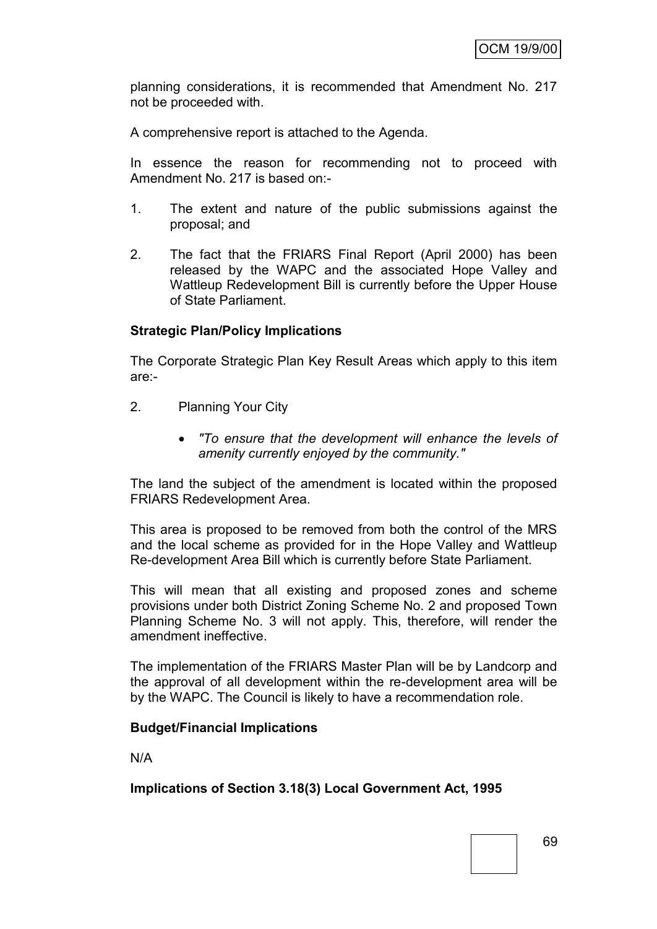planning considerations, it is recommended that Amendment No. 217 not be proceeded with.

A comprehensive report is attached to the Agenda.

In essence the reason for recommending not to proceed with Amendment No. 217 is based on:-

- 1. The extent and nature of the public submissions against the proposal; and
- 2. The fact that the FRIARS Final Report (April 2000) has been released by the WAPC and the associated Hope Valley and Wattleup Redevelopment Bill is currently before the Upper House of State Parliament.

### **Strategic Plan/Policy Implications**

The Corporate Strategic Plan Key Result Areas which apply to this item are:-

- 2. Planning Your City
	- *"To ensure that the development will enhance the levels of amenity currently enjoyed by the community."*

The land the subject of the amendment is located within the proposed FRIARS Redevelopment Area.

This area is proposed to be removed from both the control of the MRS and the local scheme as provided for in the Hope Valley and Wattleup Re-development Area Bill which is currently before State Parliament.

This will mean that all existing and proposed zones and scheme provisions under both District Zoning Scheme No. 2 and proposed Town Planning Scheme No. 3 will not apply. This, therefore, will render the amendment ineffective.

The implementation of the FRIARS Master Plan will be by Landcorp and the approval of all development within the re-development area will be by the WAPC. The Council is likely to have a recommendation role.

#### **Budget/Financial Implications**

N/A

**Implications of Section 3.18(3) Local Government Act, 1995**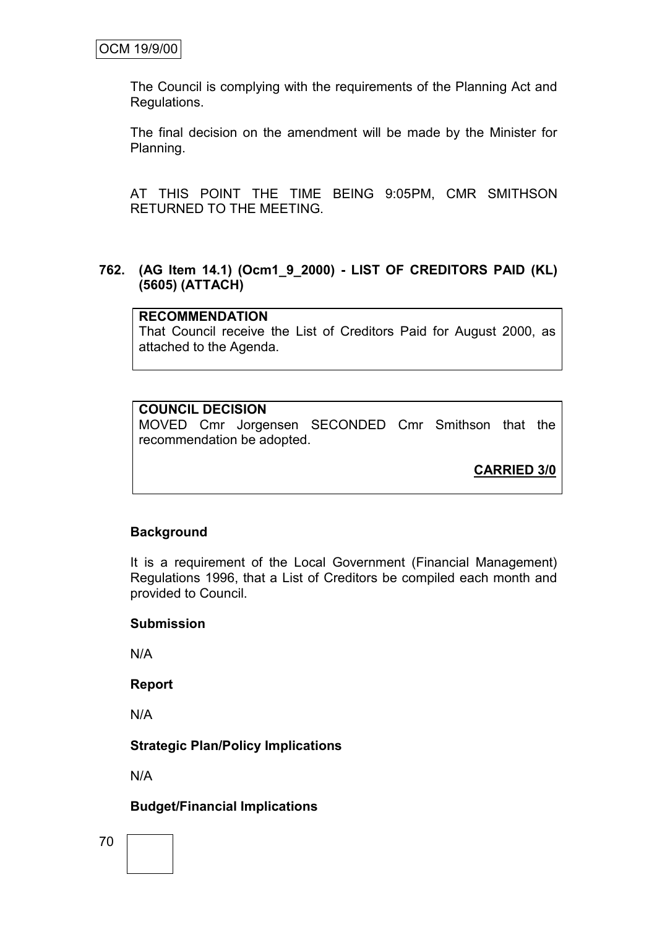The Council is complying with the requirements of the Planning Act and Regulations.

The final decision on the amendment will be made by the Minister for Planning.

AT THIS POINT THE TIME BEING 9:05PM, CMR SMITHSON RETURNED TO THE MEETING.

#### **762. (AG Item 14.1) (Ocm1\_9\_2000) - LIST OF CREDITORS PAID (KL) (5605) (ATTACH)**

#### **RECOMMENDATION**

That Council receive the List of Creditors Paid for August 2000, as attached to the Agenda.

# **COUNCIL DECISION**

MOVED Cmr Jorgensen SECONDED Cmr Smithson that the recommendation be adopted.

**CARRIED 3/0**

### **Background**

It is a requirement of the Local Government (Financial Management) Regulations 1996, that a List of Creditors be compiled each month and provided to Council.

#### **Submission**

N/A

**Report**

N/A

### **Strategic Plan/Policy Implications**

N/A

### **Budget/Financial Implications**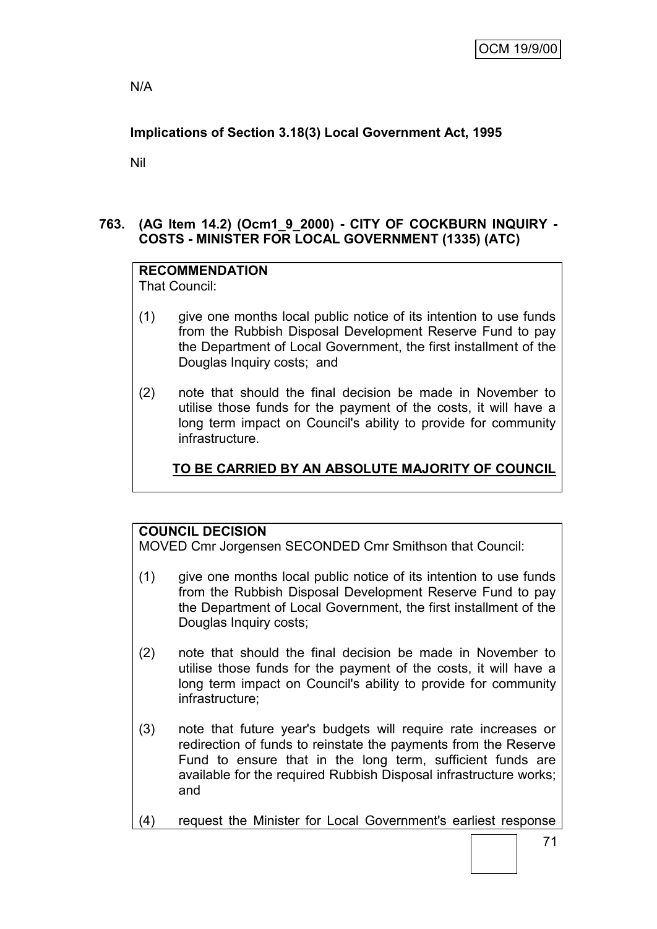N/A

# **Implications of Section 3.18(3) Local Government Act, 1995**

Nil

# **763. (AG Item 14.2) (Ocm1\_9\_2000) - CITY OF COCKBURN INQUIRY - COSTS - MINISTER FOR LOCAL GOVERNMENT (1335) (ATC)**

#### **RECOMMENDATION** That Council:

- (1) give one months local public notice of its intention to use funds from the Rubbish Disposal Development Reserve Fund to pay the Department of Local Government, the first installment of the Douglas Inquiry costs; and
- (2) note that should the final decision be made in November to utilise those funds for the payment of the costs, it will have a long term impact on Council's ability to provide for community infrastructure.

# **TO BE CARRIED BY AN ABSOLUTE MAJORITY OF COUNCIL**

# **COUNCIL DECISION**

MOVED Cmr Jorgensen SECONDED Cmr Smithson that Council:

- (1) give one months local public notice of its intention to use funds from the Rubbish Disposal Development Reserve Fund to pay the Department of Local Government, the first installment of the Douglas Inquiry costs;
- (2) note that should the final decision be made in November to utilise those funds for the payment of the costs, it will have a long term impact on Council's ability to provide for community infrastructure;
- (3) note that future year's budgets will require rate increases or redirection of funds to reinstate the payments from the Reserve Fund to ensure that in the long term, sufficient funds are available for the required Rubbish Disposal infrastructure works; and
- (4) request the Minister for Local Government's earliest response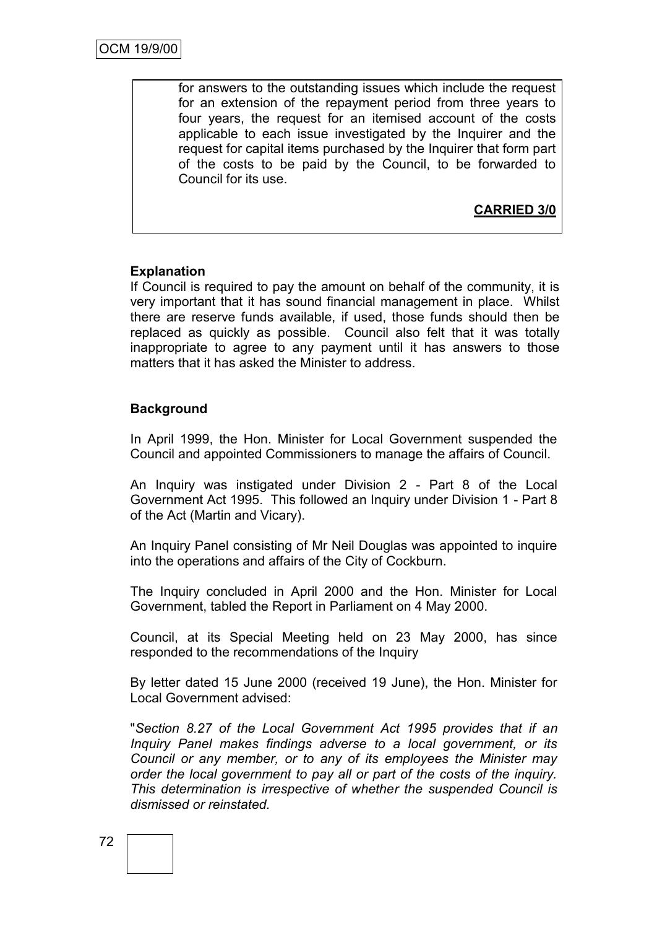for answers to the outstanding issues which include the request for an extension of the repayment period from three years to four years, the request for an itemised account of the costs applicable to each issue investigated by the Inquirer and the request for capital items purchased by the Inquirer that form part of the costs to be paid by the Council, to be forwarded to Council for its use.

**CARRIED 3/0**

# **Explanation**

If Council is required to pay the amount on behalf of the community, it is very important that it has sound financial management in place. Whilst there are reserve funds available, if used, those funds should then be replaced as quickly as possible. Council also felt that it was totally inappropriate to agree to any payment until it has answers to those matters that it has asked the Minister to address.

### **Background**

In April 1999, the Hon. Minister for Local Government suspended the Council and appointed Commissioners to manage the affairs of Council.

An Inquiry was instigated under Division 2 - Part 8 of the Local Government Act 1995. This followed an Inquiry under Division 1 - Part 8 of the Act (Martin and Vicary).

An Inquiry Panel consisting of Mr Neil Douglas was appointed to inquire into the operations and affairs of the City of Cockburn.

The Inquiry concluded in April 2000 and the Hon. Minister for Local Government, tabled the Report in Parliament on 4 May 2000.

Council, at its Special Meeting held on 23 May 2000, has since responded to the recommendations of the Inquiry

By letter dated 15 June 2000 (received 19 June), the Hon. Minister for Local Government advised:

"*Section 8.27 of the Local Government Act 1995 provides that if an Inquiry Panel makes findings adverse to a local government, or its Council or any member, or to any of its employees the Minister may order the local government to pay all or part of the costs of the inquiry. This determination is irrespective of whether the suspended Council is dismissed or reinstated.*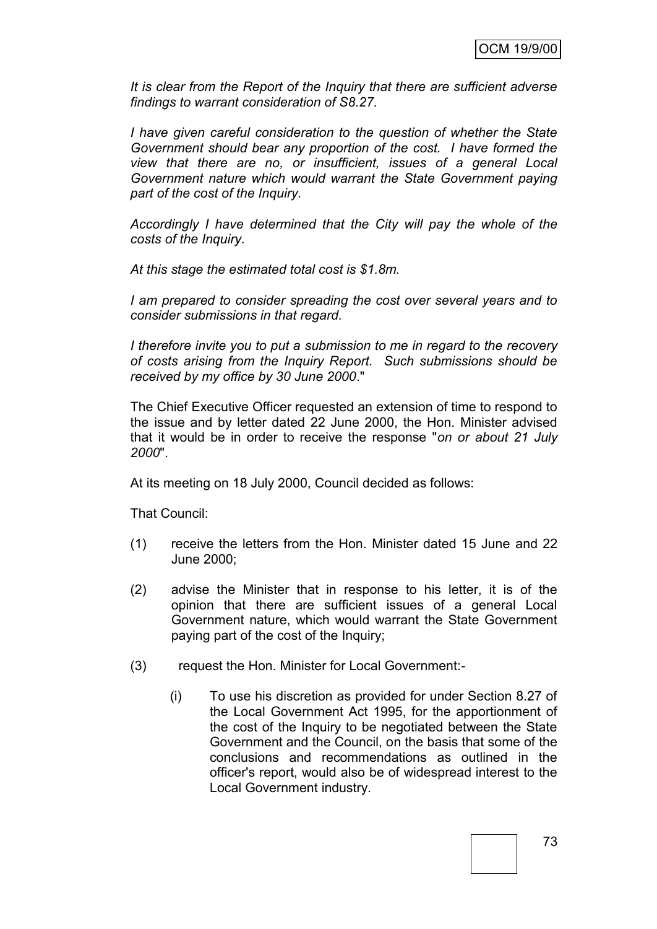*It is clear from the Report of the Inquiry that there are sufficient adverse findings to warrant consideration of S8.27.*

*I have given careful consideration to the question of whether the State Government should bear any proportion of the cost. I have formed the view that there are no, or insufficient, issues of a general Local Government nature which would warrant the State Government paying part of the cost of the Inquiry.*

*Accordingly I have determined that the City will pay the whole of the costs of the Inquiry.*

*At this stage the estimated total cost is \$1.8m.*

*I am prepared to consider spreading the cost over several years and to consider submissions in that regard.*

*I therefore invite you to put a submission to me in regard to the recovery of costs arising from the Inquiry Report. Such submissions should be received by my office by 30 June 2000*."

The Chief Executive Officer requested an extension of time to respond to the issue and by letter dated 22 June 2000, the Hon. Minister advised that it would be in order to receive the response "*on or about 21 July 2000*".

At its meeting on 18 July 2000, Council decided as follows:

That Council:

- (1) receive the letters from the Hon. Minister dated 15 June and 22 June 2000;
- (2) advise the Minister that in response to his letter, it is of the opinion that there are sufficient issues of a general Local Government nature, which would warrant the State Government paying part of the cost of the Inquiry;
- (3) request the Hon. Minister for Local Government:-
	- (i) To use his discretion as provided for under Section 8.27 of the Local Government Act 1995, for the apportionment of the cost of the Inquiry to be negotiated between the State Government and the Council, on the basis that some of the conclusions and recommendations as outlined in the officer's report, would also be of widespread interest to the Local Government industry.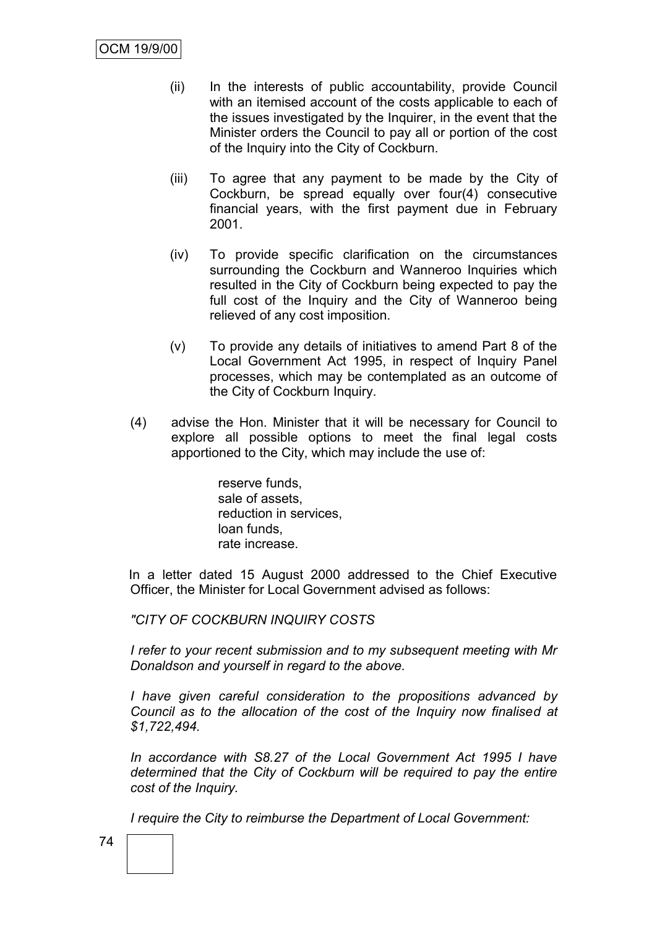- (ii) In the interests of public accountability, provide Council with an itemised account of the costs applicable to each of the issues investigated by the Inquirer, in the event that the Minister orders the Council to pay all or portion of the cost of the Inquiry into the City of Cockburn.
- (iii) To agree that any payment to be made by the City of Cockburn, be spread equally over four(4) consecutive financial years, with the first payment due in February 2001.
- (iv) To provide specific clarification on the circumstances surrounding the Cockburn and Wanneroo Inquiries which resulted in the City of Cockburn being expected to pay the full cost of the Inquiry and the City of Wanneroo being relieved of any cost imposition.
- (v) To provide any details of initiatives to amend Part 8 of the Local Government Act 1995, in respect of Inquiry Panel processes, which may be contemplated as an outcome of the City of Cockburn Inquiry.
- (4) advise the Hon. Minister that it will be necessary for Council to explore all possible options to meet the final legal costs apportioned to the City, which may include the use of:

reserve funds, sale of assets, reduction in services, loan funds, rate increase.

In a letter dated 15 August 2000 addressed to the Chief Executive Officer, the Minister for Local Government advised as follows:

*"CITY OF COCKBURN INQUIRY COSTS*

*I refer to your recent submission and to my subsequent meeting with Mr Donaldson and yourself in regard to the above.*

*I have given careful consideration to the propositions advanced by Council as to the allocation of the cost of the Inquiry now finalised at \$1,722,494.*

*In accordance with S8.27 of the Local Government Act 1995 I have determined that the City of Cockburn will be required to pay the entire cost of the Inquiry.*

*I require the City to reimburse the Department of Local Government:*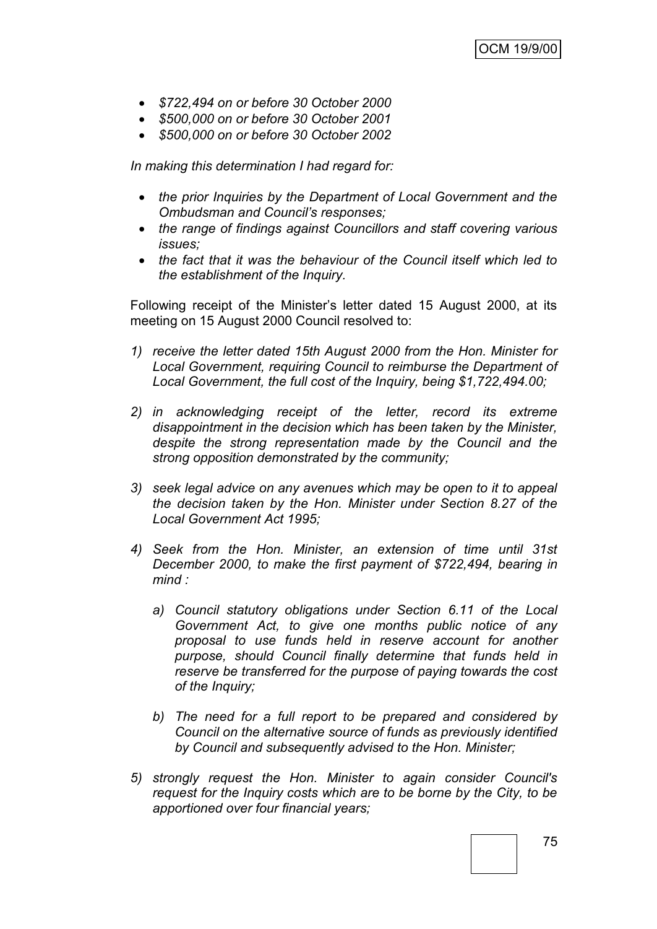- *\$722,494 on or before 30 October 2000*
- *\$500,000 on or before 30 October 2001*
- *\$500,000 on or before 30 October 2002*

*In making this determination I had regard for:*

- *the prior Inquiries by the Department of Local Government and the Ombudsman and Council"s responses;*
- *the range of findings against Councillors and staff covering various issues;*
- *the fact that it was the behaviour of the Council itself which led to the establishment of the Inquiry.*

Following receipt of the Minister"s letter dated 15 August 2000, at its meeting on 15 August 2000 Council resolved to:

- *1) receive the letter dated 15th August 2000 from the Hon. Minister for Local Government, requiring Council to reimburse the Department of Local Government, the full cost of the Inquiry, being \$1,722,494.00;*
- *2) in acknowledging receipt of the letter, record its extreme disappointment in the decision which has been taken by the Minister, despite the strong representation made by the Council and the strong opposition demonstrated by the community;*
- *3) seek legal advice on any avenues which may be open to it to appeal the decision taken by the Hon. Minister under Section 8.27 of the Local Government Act 1995;*
- *4) Seek from the Hon. Minister, an extension of time until 31st December 2000, to make the first payment of \$722,494, bearing in mind :*
	- *a) Council statutory obligations under Section 6.11 of the Local Government Act, to give one months public notice of any proposal to use funds held in reserve account for another purpose, should Council finally determine that funds held in reserve be transferred for the purpose of paying towards the cost of the Inquiry;*
	- *b) The need for a full report to be prepared and considered by Council on the alternative source of funds as previously identified by Council and subsequently advised to the Hon. Minister;*
- *5) strongly request the Hon. Minister to again consider Council's request for the Inquiry costs which are to be borne by the City, to be apportioned over four financial years;*

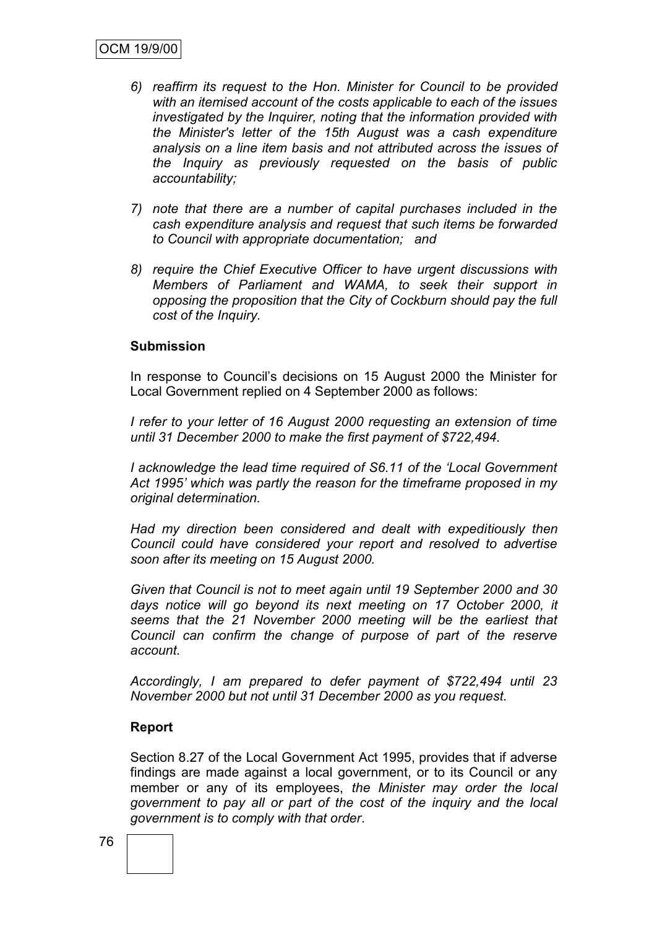- *6) reaffirm its request to the Hon. Minister for Council to be provided with an itemised account of the costs applicable to each of the issues investigated by the Inquirer, noting that the information provided with the Minister's letter of the 15th August was a cash expenditure analysis on a line item basis and not attributed across the issues of the Inquiry as previously requested on the basis of public accountability;*
- *7) note that there are a number of capital purchases included in the cash expenditure analysis and request that such items be forwarded to Council with appropriate documentation; and*
- *8) require the Chief Executive Officer to have urgent discussions with Members of Parliament and WAMA, to seek their support in opposing the proposition that the City of Cockburn should pay the full cost of the Inquiry.*

#### **Submission**

In response to Council"s decisions on 15 August 2000 the Minister for Local Government replied on 4 September 2000 as follows:

*I refer to your letter of 16 August 2000 requesting an extension of time until 31 December 2000 to make the first payment of \$722,494.*

*I acknowledge the lead time required of S6.11 of the "Local Government Act 1995" which was partly the reason for the timeframe proposed in my original determination.*

*Had my direction been considered and dealt with expeditiously then Council could have considered your report and resolved to advertise soon after its meeting on 15 August 2000.*

*Given that Council is not to meet again until 19 September 2000 and 30 days notice will go beyond its next meeting on 17 October 2000, it seems that the 21 November 2000 meeting will be the earliest that Council can confirm the change of purpose of part of the reserve account.*

*Accordingly, I am prepared to defer payment of \$722,494 until 23 November 2000 but not until 31 December 2000 as you request.*

#### **Report**

Section 8.27 of the Local Government Act 1995, provides that if adverse findings are made against a local government, or to its Council or any member or any of its employees, *the Minister may order the local government to pay all or part of the cost of the inquiry and the local government is to comply with that order*.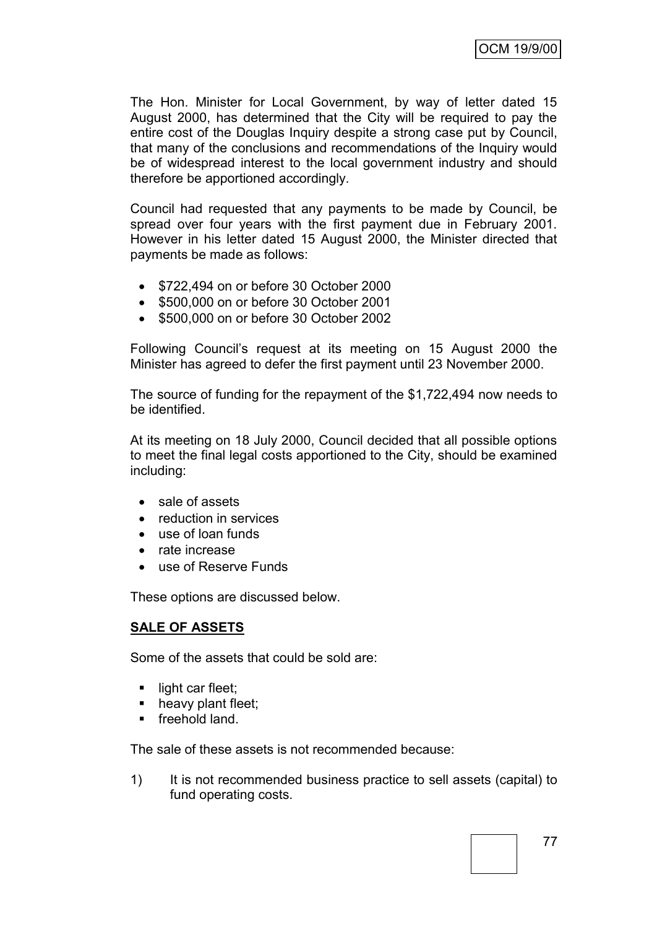The Hon. Minister for Local Government, by way of letter dated 15 August 2000, has determined that the City will be required to pay the entire cost of the Douglas Inquiry despite a strong case put by Council, that many of the conclusions and recommendations of the Inquiry would be of widespread interest to the local government industry and should therefore be apportioned accordingly.

Council had requested that any payments to be made by Council, be spread over four years with the first payment due in February 2001. However in his letter dated 15 August 2000, the Minister directed that payments be made as follows:

- $\bullet$  \$722,494 on or before 30 October 2000
- \$500,000 on or before 30 October 2001
- **\$500,000 on or before 30 October 2002**

Following Council"s request at its meeting on 15 August 2000 the Minister has agreed to defer the first payment until 23 November 2000.

The source of funding for the repayment of the \$1,722,494 now needs to be identified.

At its meeting on 18 July 2000, Council decided that all possible options to meet the final legal costs apportioned to the City, should be examined including:

- sale of assets
- reduction in services
- use of loan funds
- rate increase
- use of Reserve Funds

These options are discussed below.

### **SALE OF ASSETS**

Some of the assets that could be sold are:

- $\blacksquare$  light car fleet;
- heavy plant fleet;
- **freehold land.**

The sale of these assets is not recommended because:

1) It is not recommended business practice to sell assets (capital) to fund operating costs.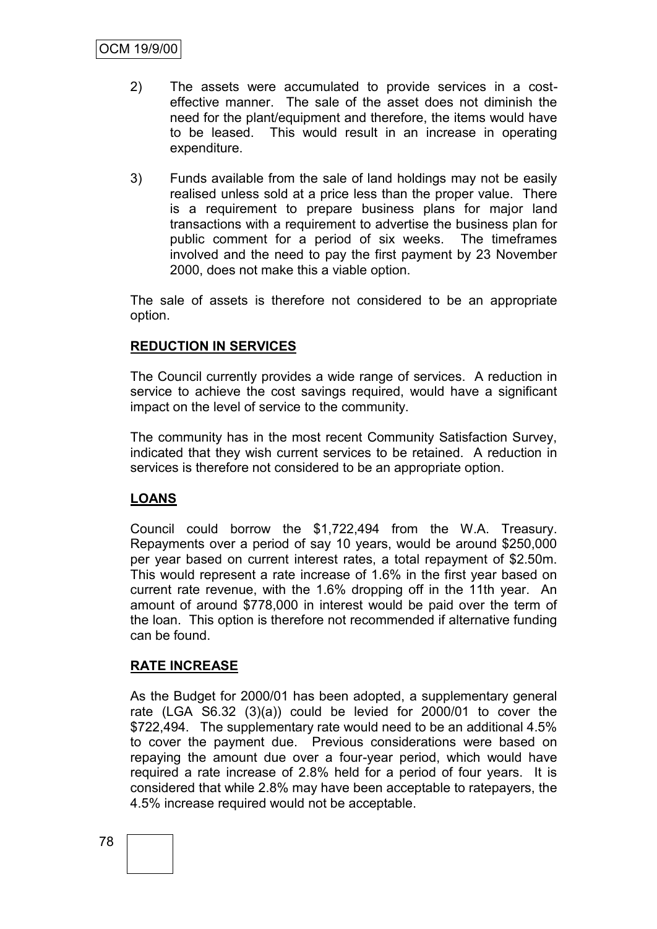- 2) The assets were accumulated to provide services in a costeffective manner. The sale of the asset does not diminish the need for the plant/equipment and therefore, the items would have to be leased. This would result in an increase in operating expenditure.
- 3) Funds available from the sale of land holdings may not be easily realised unless sold at a price less than the proper value. There is a requirement to prepare business plans for major land transactions with a requirement to advertise the business plan for public comment for a period of six weeks. The timeframes involved and the need to pay the first payment by 23 November 2000, does not make this a viable option.

The sale of assets is therefore not considered to be an appropriate option.

# **REDUCTION IN SERVICES**

The Council currently provides a wide range of services. A reduction in service to achieve the cost savings required, would have a significant impact on the level of service to the community.

The community has in the most recent Community Satisfaction Survey, indicated that they wish current services to be retained. A reduction in services is therefore not considered to be an appropriate option.

# **LOANS**

Council could borrow the \$1,722,494 from the W.A. Treasury. Repayments over a period of say 10 years, would be around \$250,000 per year based on current interest rates, a total repayment of \$2.50m. This would represent a rate increase of 1.6% in the first year based on current rate revenue, with the 1.6% dropping off in the 11th year. An amount of around \$778,000 in interest would be paid over the term of the loan. This option is therefore not recommended if alternative funding can be found.

### **RATE INCREASE**

As the Budget for 2000/01 has been adopted, a supplementary general rate (LGA S6.32 (3)(a)) could be levied for 2000/01 to cover the \$722,494. The supplementary rate would need to be an additional 4.5% to cover the payment due. Previous considerations were based on repaying the amount due over a four-year period, which would have required a rate increase of 2.8% held for a period of four years. It is considered that while 2.8% may have been acceptable to ratepayers, the 4.5% increase required would not be acceptable.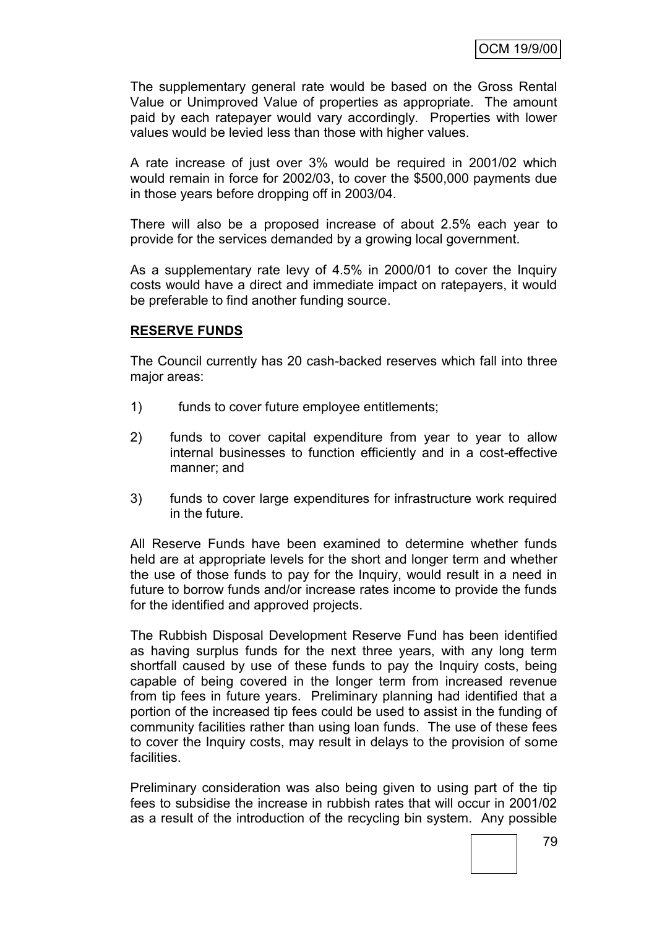The supplementary general rate would be based on the Gross Rental Value or Unimproved Value of properties as appropriate. The amount paid by each ratepayer would vary accordingly. Properties with lower values would be levied less than those with higher values.

A rate increase of just over 3% would be required in 2001/02 which would remain in force for 2002/03, to cover the \$500,000 payments due in those years before dropping off in 2003/04.

There will also be a proposed increase of about 2.5% each year to provide for the services demanded by a growing local government.

As a supplementary rate levy of 4.5% in 2000/01 to cover the Inquiry costs would have a direct and immediate impact on ratepayers, it would be preferable to find another funding source.

### **RESERVE FUNDS**

The Council currently has 20 cash-backed reserves which fall into three major areas:

- 1) funds to cover future employee entitlements;
- 2) funds to cover capital expenditure from year to year to allow internal businesses to function efficiently and in a cost-effective manner; and
- 3) funds to cover large expenditures for infrastructure work required in the future.

All Reserve Funds have been examined to determine whether funds held are at appropriate levels for the short and longer term and whether the use of those funds to pay for the Inquiry, would result in a need in future to borrow funds and/or increase rates income to provide the funds for the identified and approved projects.

The Rubbish Disposal Development Reserve Fund has been identified as having surplus funds for the next three years, with any long term shortfall caused by use of these funds to pay the Inquiry costs, being capable of being covered in the longer term from increased revenue from tip fees in future years. Preliminary planning had identified that a portion of the increased tip fees could be used to assist in the funding of community facilities rather than using loan funds. The use of these fees to cover the Inquiry costs, may result in delays to the provision of some facilities.

Preliminary consideration was also being given to using part of the tip fees to subsidise the increase in rubbish rates that will occur in 2001/02 as a result of the introduction of the recycling bin system. Any possible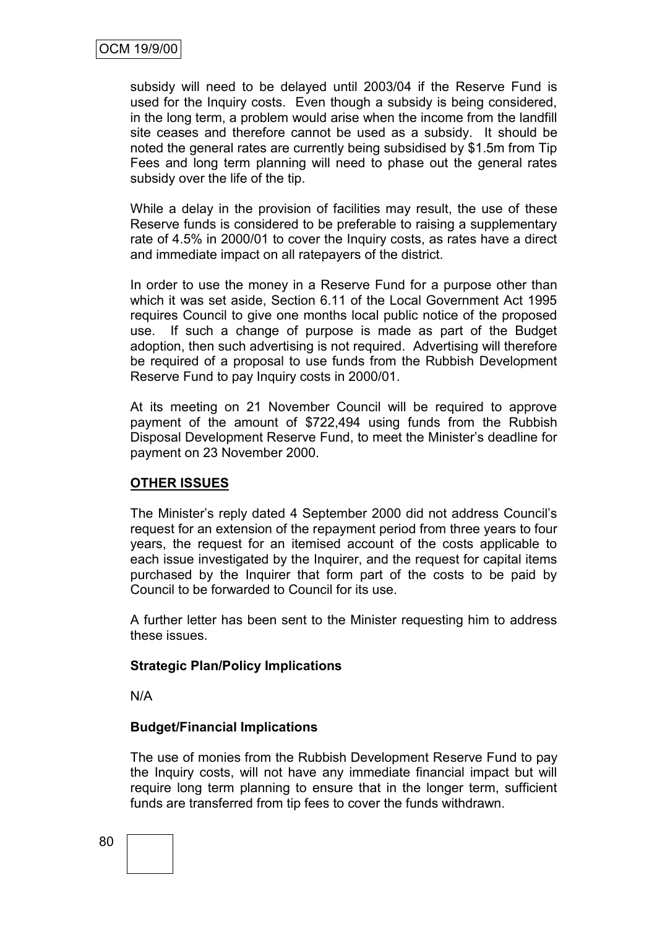subsidy will need to be delayed until 2003/04 if the Reserve Fund is used for the Inquiry costs. Even though a subsidy is being considered, in the long term, a problem would arise when the income from the landfill site ceases and therefore cannot be used as a subsidy. It should be noted the general rates are currently being subsidised by \$1.5m from Tip Fees and long term planning will need to phase out the general rates subsidy over the life of the tip.

While a delay in the provision of facilities may result, the use of these Reserve funds is considered to be preferable to raising a supplementary rate of 4.5% in 2000/01 to cover the Inquiry costs, as rates have a direct and immediate impact on all ratepayers of the district.

In order to use the money in a Reserve Fund for a purpose other than which it was set aside, Section 6.11 of the Local Government Act 1995 requires Council to give one months local public notice of the proposed use. If such a change of purpose is made as part of the Budget adoption, then such advertising is not required. Advertising will therefore be required of a proposal to use funds from the Rubbish Development Reserve Fund to pay Inquiry costs in 2000/01.

At its meeting on 21 November Council will be required to approve payment of the amount of \$722,494 using funds from the Rubbish Disposal Development Reserve Fund, to meet the Minister's deadline for payment on 23 November 2000.

# **OTHER ISSUES**

The Minister"s reply dated 4 September 2000 did not address Council"s request for an extension of the repayment period from three years to four years, the request for an itemised account of the costs applicable to each issue investigated by the Inquirer, and the request for capital items purchased by the Inquirer that form part of the costs to be paid by Council to be forwarded to Council for its use.

A further letter has been sent to the Minister requesting him to address these issues.

### **Strategic Plan/Policy Implications**

N/A

### **Budget/Financial Implications**

The use of monies from the Rubbish Development Reserve Fund to pay the Inquiry costs, will not have any immediate financial impact but will require long term planning to ensure that in the longer term, sufficient funds are transferred from tip fees to cover the funds withdrawn.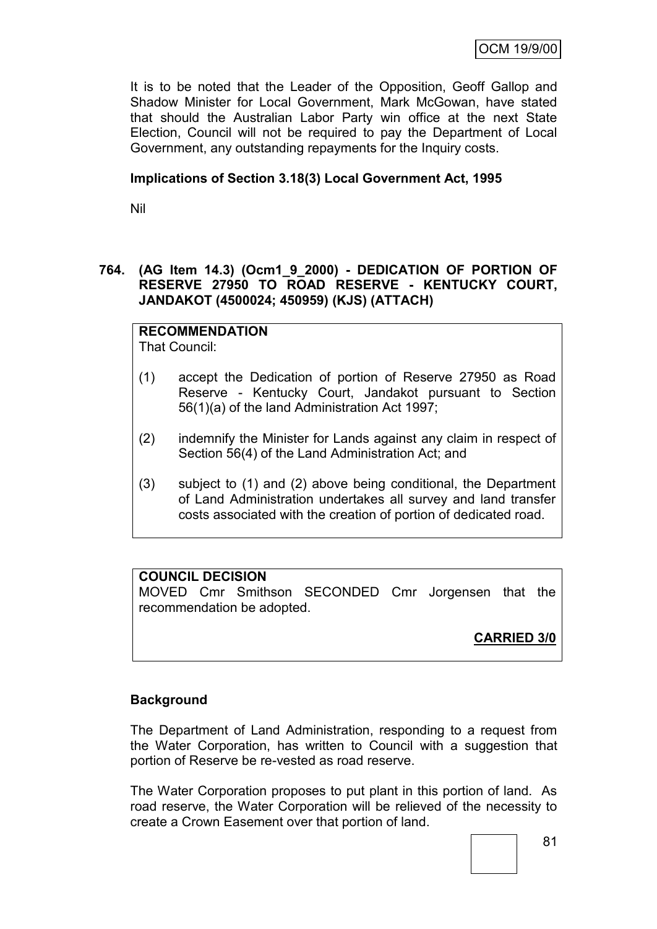It is to be noted that the Leader of the Opposition, Geoff Gallop and Shadow Minister for Local Government, Mark McGowan, have stated that should the Australian Labor Party win office at the next State Election, Council will not be required to pay the Department of Local Government, any outstanding repayments for the Inquiry costs.

### **Implications of Section 3.18(3) Local Government Act, 1995**

Nil

# **764. (AG Item 14.3) (Ocm1\_9\_2000) - DEDICATION OF PORTION OF RESERVE 27950 TO ROAD RESERVE - KENTUCKY COURT, JANDAKOT (4500024; 450959) (KJS) (ATTACH)**

**RECOMMENDATION** That Council:

- (1) accept the Dedication of portion of Reserve 27950 as Road Reserve - Kentucky Court, Jandakot pursuant to Section 56(1)(a) of the land Administration Act 1997;
- (2) indemnify the Minister for Lands against any claim in respect of Section 56(4) of the Land Administration Act; and
- (3) subject to (1) and (2) above being conditional, the Department of Land Administration undertakes all survey and land transfer costs associated with the creation of portion of dedicated road.

# **COUNCIL DECISION**

MOVED Cmr Smithson SECONDED Cmr Jorgensen that the recommendation be adopted.

**CARRIED 3/0**

### **Background**

The Department of Land Administration, responding to a request from the Water Corporation, has written to Council with a suggestion that portion of Reserve be re-vested as road reserve.

The Water Corporation proposes to put plant in this portion of land. As road reserve, the Water Corporation will be relieved of the necessity to create a Crown Easement over that portion of land.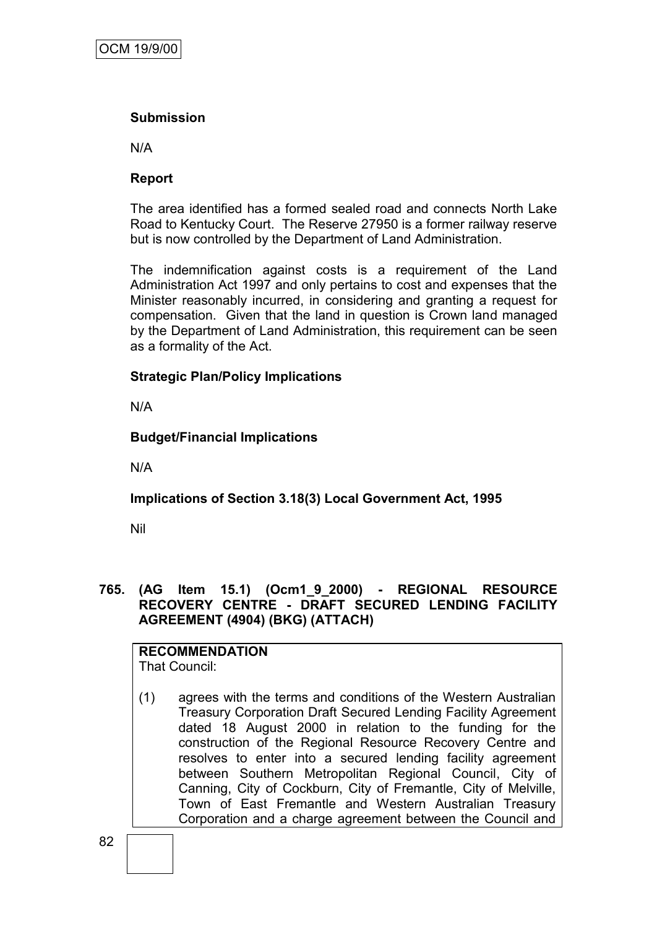# **Submission**

N/A

# **Report**

The area identified has a formed sealed road and connects North Lake Road to Kentucky Court. The Reserve 27950 is a former railway reserve but is now controlled by the Department of Land Administration.

The indemnification against costs is a requirement of the Land Administration Act 1997 and only pertains to cost and expenses that the Minister reasonably incurred, in considering and granting a request for compensation. Given that the land in question is Crown land managed by the Department of Land Administration, this requirement can be seen as a formality of the Act.

# **Strategic Plan/Policy Implications**

N/A

# **Budget/Financial Implications**

N/A

# **Implications of Section 3.18(3) Local Government Act, 1995**

Nil

# **765. (AG Item 15.1) (Ocm1\_9\_2000) - REGIONAL RESOURCE RECOVERY CENTRE - DRAFT SECURED LENDING FACILITY AGREEMENT (4904) (BKG) (ATTACH)**

# **RECOMMENDATION**

That Council:

(1) agrees with the terms and conditions of the Western Australian Treasury Corporation Draft Secured Lending Facility Agreement dated 18 August 2000 in relation to the funding for the construction of the Regional Resource Recovery Centre and resolves to enter into a secured lending facility agreement between Southern Metropolitan Regional Council, City of Canning, City of Cockburn, City of Fremantle, City of Melville, Town of East Fremantle and Western Australian Treasury Corporation and a charge agreement between the Council and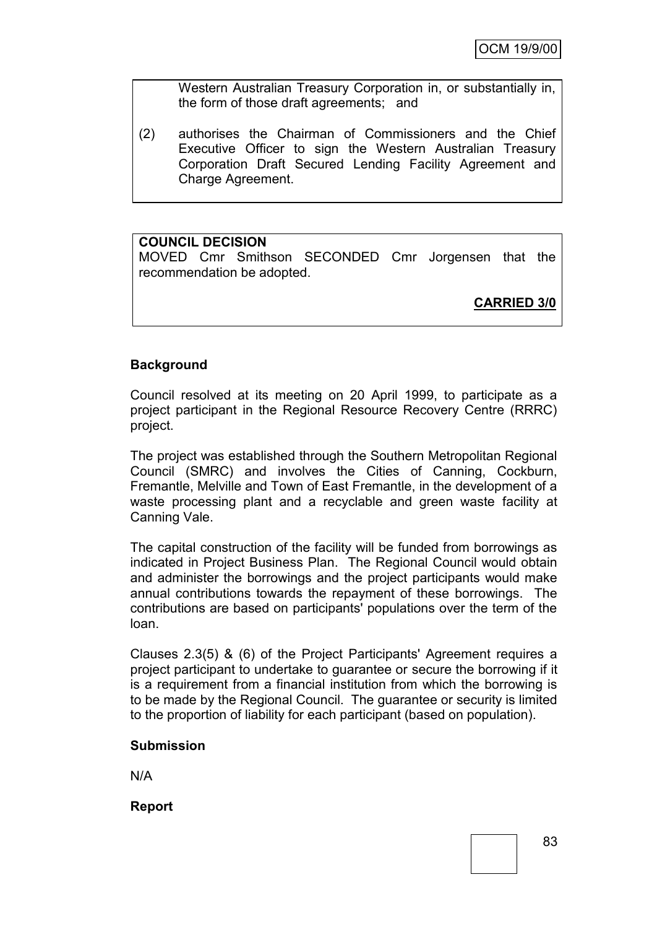Western Australian Treasury Corporation in, or substantially in, the form of those draft agreements; and

(2) authorises the Chairman of Commissioners and the Chief Executive Officer to sign the Western Australian Treasury Corporation Draft Secured Lending Facility Agreement and Charge Agreement.

# **COUNCIL DECISION**

MOVED Cmr Smithson SECONDED Cmr Jorgensen that the recommendation be adopted.

**CARRIED 3/0**

### **Background**

Council resolved at its meeting on 20 April 1999, to participate as a project participant in the Regional Resource Recovery Centre (RRRC) project.

The project was established through the Southern Metropolitan Regional Council (SMRC) and involves the Cities of Canning, Cockburn, Fremantle, Melville and Town of East Fremantle, in the development of a waste processing plant and a recyclable and green waste facility at Canning Vale.

The capital construction of the facility will be funded from borrowings as indicated in Project Business Plan. The Regional Council would obtain and administer the borrowings and the project participants would make annual contributions towards the repayment of these borrowings. The contributions are based on participants' populations over the term of the loan.

Clauses 2.3(5) & (6) of the Project Participants' Agreement requires a project participant to undertake to guarantee or secure the borrowing if it is a requirement from a financial institution from which the borrowing is to be made by the Regional Council. The guarantee or security is limited to the proportion of liability for each participant (based on population).

### **Submission**

N/A

**Report**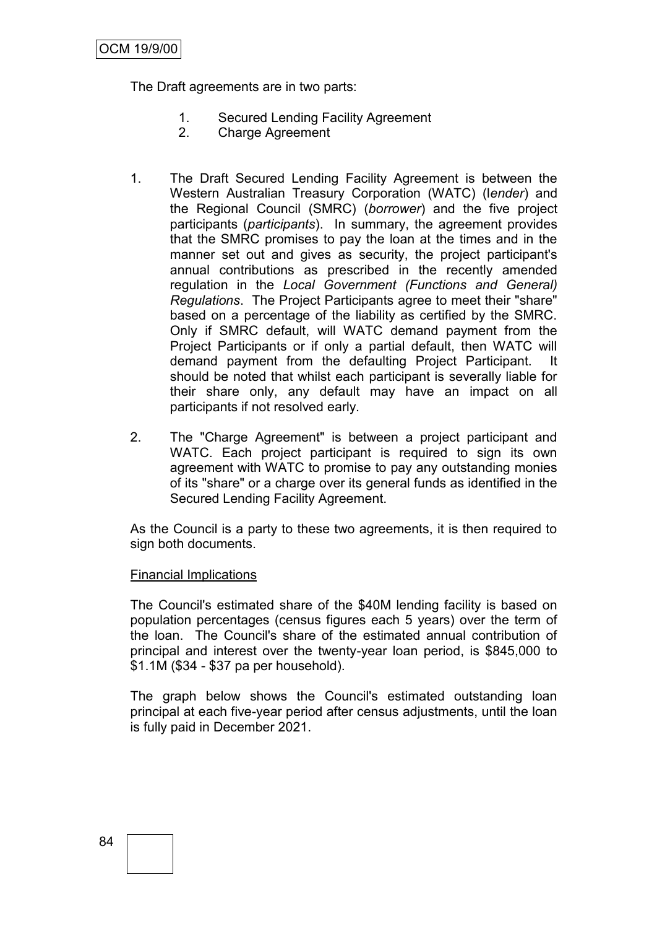The Draft agreements are in two parts:

- 1. Secured Lending Facility Agreement
- 2. Charge Agreement
- 1. The Draft Secured Lending Facility Agreement is between the Western Australian Treasury Corporation (WATC) (l*ender*) and the Regional Council (SMRC) (*borrower*) and the five project participants (*participants*). In summary, the agreement provides that the SMRC promises to pay the loan at the times and in the manner set out and gives as security, the project participant's annual contributions as prescribed in the recently amended regulation in the *Local Government (Functions and General) Regulations*. The Project Participants agree to meet their "share" based on a percentage of the liability as certified by the SMRC. Only if SMRC default, will WATC demand payment from the Project Participants or if only a partial default, then WATC will demand payment from the defaulting Project Participant. It should be noted that whilst each participant is severally liable for their share only, any default may have an impact on all participants if not resolved early.
- 2. The "Charge Agreement" is between a project participant and WATC. Each project participant is required to sign its own agreement with WATC to promise to pay any outstanding monies of its "share" or a charge over its general funds as identified in the Secured Lending Facility Agreement.

As the Council is a party to these two agreements, it is then required to sign both documents.

### Financial Implications

The Council's estimated share of the \$40M lending facility is based on population percentages (census figures each 5 years) over the term of the loan. The Council's share of the estimated annual contribution of principal and interest over the twenty-year loan period, is \$845,000 to \$1.1M (\$34 - \$37 pa per household).

The graph below shows the Council's estimated outstanding loan principal at each five-year period after census adjustments, until the loan is fully paid in December 2021.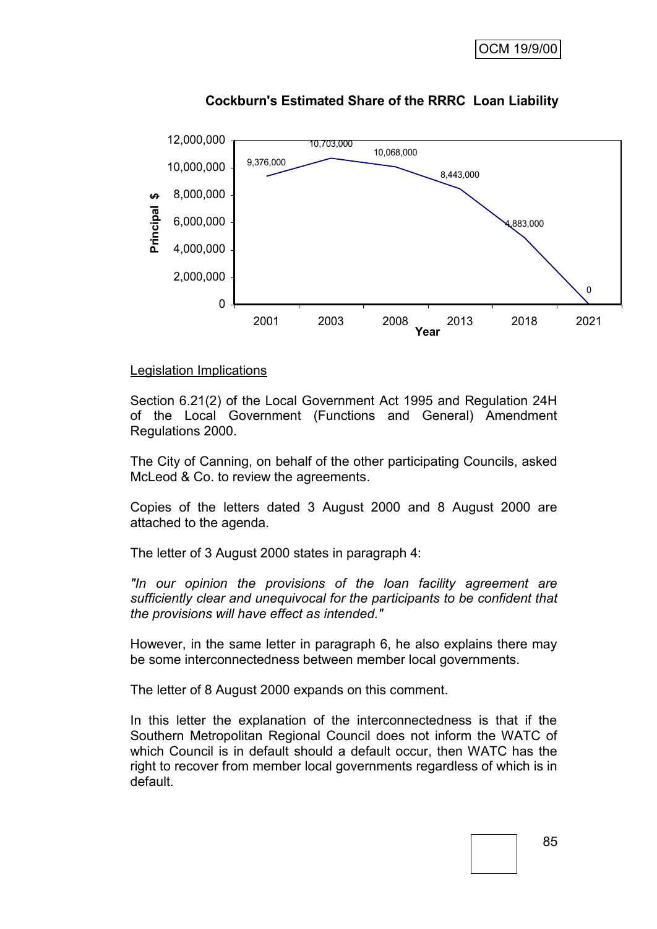

# **Cockburn's Estimated Share of the RRRC Loan Liability**

#### Legislation Implications

Section 6.21(2) of the Local Government Act 1995 and Regulation 24H of the Local Government (Functions and General) Amendment Regulations 2000.

The City of Canning, on behalf of the other participating Councils, asked McLeod & Co. to review the agreements.

Copies of the letters dated 3 August 2000 and 8 August 2000 are attached to the agenda.

The letter of 3 August 2000 states in paragraph 4:

*"In our opinion the provisions of the loan facility agreement are sufficiently clear and unequivocal for the participants to be confident that the provisions will have effect as intended."*

However, in the same letter in paragraph 6, he also explains there may be some interconnectedness between member local governments.

The letter of 8 August 2000 expands on this comment.

In this letter the explanation of the interconnectedness is that if the Southern Metropolitan Regional Council does not inform the WATC of which Council is in default should a default occur, then WATC has the right to recover from member local governments regardless of which is in default.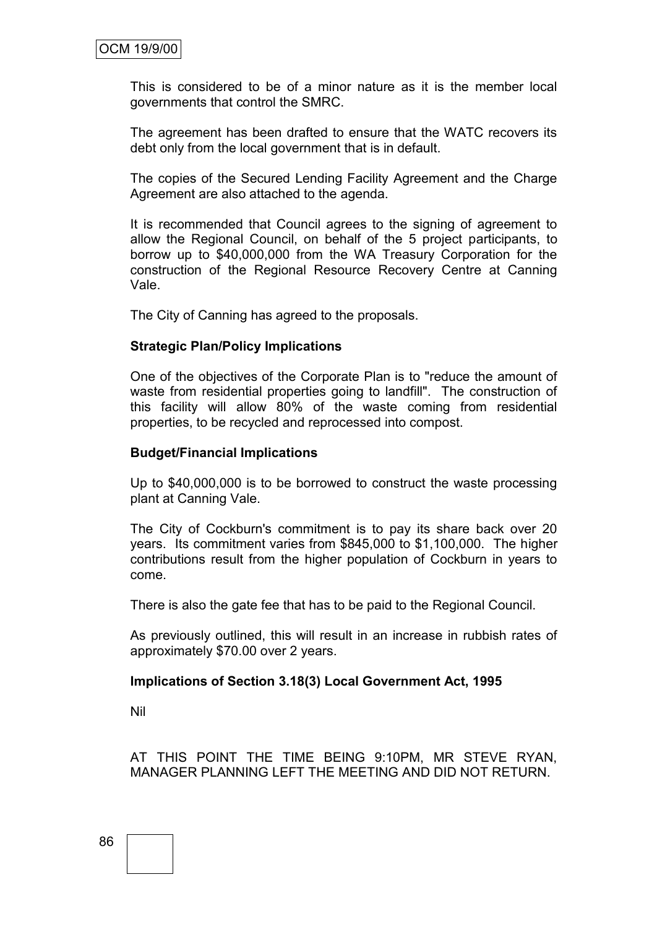This is considered to be of a minor nature as it is the member local governments that control the SMRC.

The agreement has been drafted to ensure that the WATC recovers its debt only from the local government that is in default.

The copies of the Secured Lending Facility Agreement and the Charge Agreement are also attached to the agenda.

It is recommended that Council agrees to the signing of agreement to allow the Regional Council, on behalf of the 5 project participants, to borrow up to \$40,000,000 from the WA Treasury Corporation for the construction of the Regional Resource Recovery Centre at Canning Vale.

The City of Canning has agreed to the proposals.

#### **Strategic Plan/Policy Implications**

One of the objectives of the Corporate Plan is to "reduce the amount of waste from residential properties going to landfill". The construction of this facility will allow 80% of the waste coming from residential properties, to be recycled and reprocessed into compost.

#### **Budget/Financial Implications**

Up to \$40,000,000 is to be borrowed to construct the waste processing plant at Canning Vale.

The City of Cockburn's commitment is to pay its share back over 20 years. Its commitment varies from \$845,000 to \$1,100,000. The higher contributions result from the higher population of Cockburn in years to come.

There is also the gate fee that has to be paid to the Regional Council.

As previously outlined, this will result in an increase in rubbish rates of approximately \$70.00 over 2 years.

#### **Implications of Section 3.18(3) Local Government Act, 1995**

Nil

AT THIS POINT THE TIME BEING 9:10PM, MR STEVE RYAN, MANAGER PLANNING LEFT THE MEETING AND DID NOT RETURN.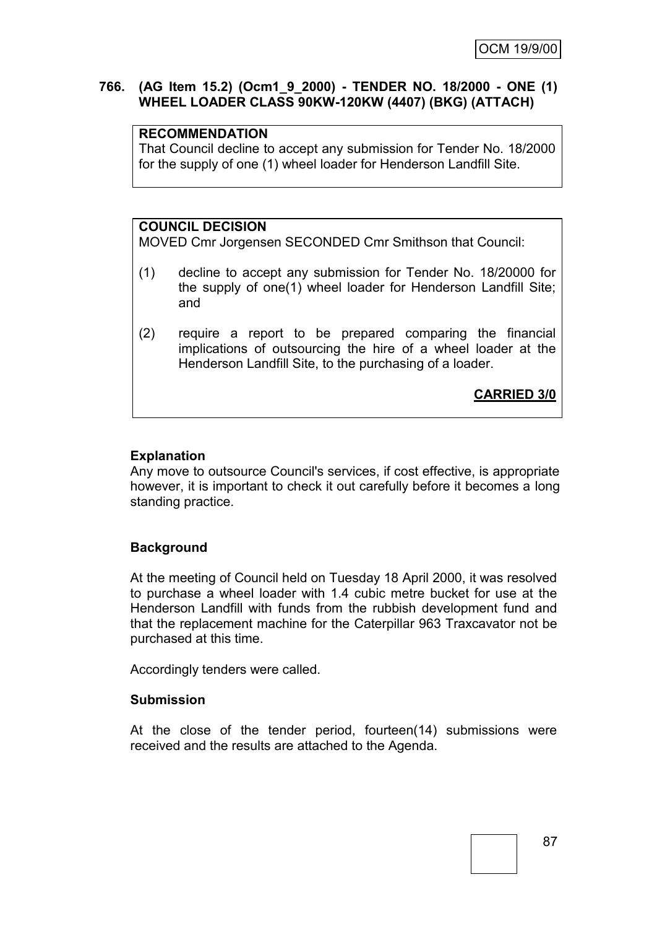### **766. (AG Item 15.2) (Ocm1\_9\_2000) - TENDER NO. 18/2000 - ONE (1) WHEEL LOADER CLASS 90KW-120KW (4407) (BKG) (ATTACH)**

### **RECOMMENDATION**

That Council decline to accept any submission for Tender No. 18/2000 for the supply of one (1) wheel loader for Henderson Landfill Site.

# **COUNCIL DECISION**

MOVED Cmr Jorgensen SECONDED Cmr Smithson that Council:

- (1) decline to accept any submission for Tender No. 18/20000 for the supply of one(1) wheel loader for Henderson Landfill Site; and
- (2) require a report to be prepared comparing the financial implications of outsourcing the hire of a wheel loader at the Henderson Landfill Site, to the purchasing of a loader.

**CARRIED 3/0**

# **Explanation**

Any move to outsource Council's services, if cost effective, is appropriate however, it is important to check it out carefully before it becomes a long standing practice.

# **Background**

At the meeting of Council held on Tuesday 18 April 2000, it was resolved to purchase a wheel loader with 1.4 cubic metre bucket for use at the Henderson Landfill with funds from the rubbish development fund and that the replacement machine for the Caterpillar 963 Traxcavator not be purchased at this time.

Accordingly tenders were called.

### **Submission**

At the close of the tender period, fourteen(14) submissions were received and the results are attached to the Agenda.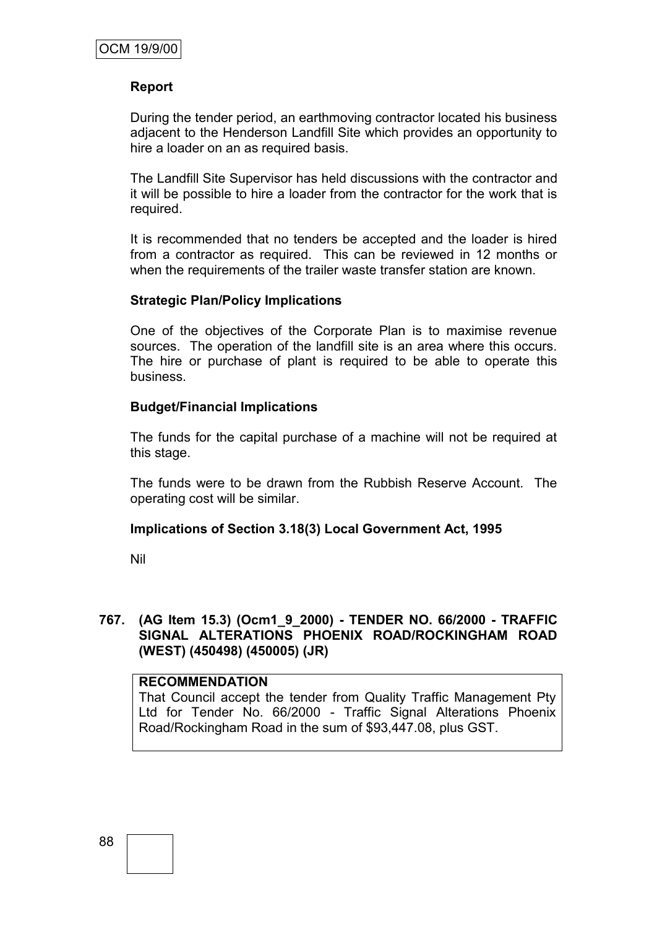### **Report**

During the tender period, an earthmoving contractor located his business adjacent to the Henderson Landfill Site which provides an opportunity to hire a loader on an as required basis.

The Landfill Site Supervisor has held discussions with the contractor and it will be possible to hire a loader from the contractor for the work that is required.

It is recommended that no tenders be accepted and the loader is hired from a contractor as required. This can be reviewed in 12 months or when the requirements of the trailer waste transfer station are known.

#### **Strategic Plan/Policy Implications**

One of the objectives of the Corporate Plan is to maximise revenue sources. The operation of the landfill site is an area where this occurs. The hire or purchase of plant is required to be able to operate this business.

#### **Budget/Financial Implications**

The funds for the capital purchase of a machine will not be required at this stage.

The funds were to be drawn from the Rubbish Reserve Account. The operating cost will be similar.

### **Implications of Section 3.18(3) Local Government Act, 1995**

Nil

#### **767. (AG Item 15.3) (Ocm1\_9\_2000) - TENDER NO. 66/2000 - TRAFFIC SIGNAL ALTERATIONS PHOENIX ROAD/ROCKINGHAM ROAD (WEST) (450498) (450005) (JR)**

#### **RECOMMENDATION**

That Council accept the tender from Quality Traffic Management Pty Ltd for Tender No. 66/2000 - Traffic Signal Alterations Phoenix Road/Rockingham Road in the sum of \$93,447.08, plus GST.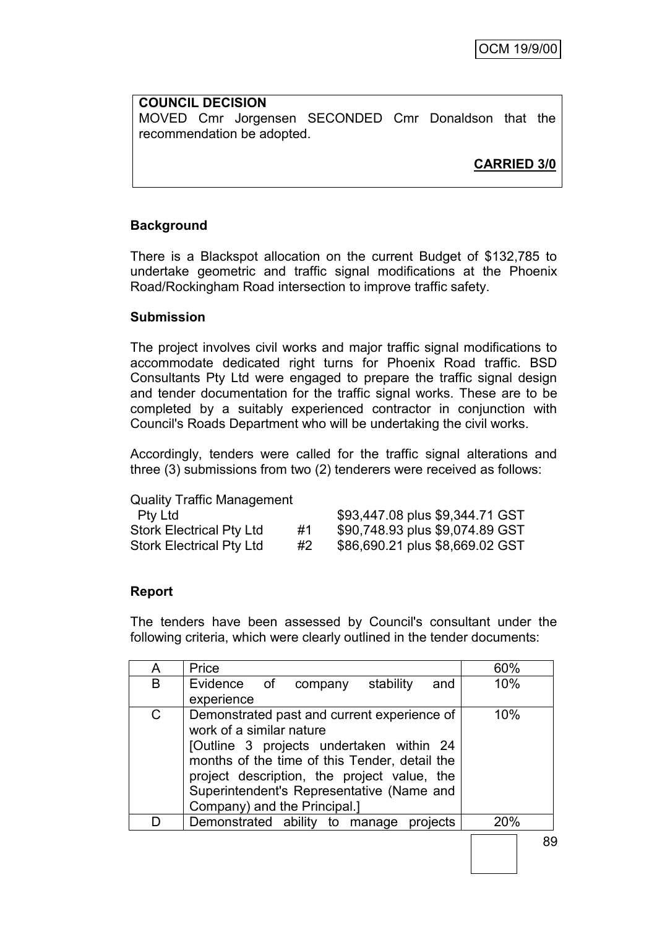**COUNCIL DECISION** MOVED Cmr Jorgensen SECONDED Cmr Donaldson that the recommendation be adopted.

**CARRIED 3/0**

# **Background**

There is a Blackspot allocation on the current Budget of \$132,785 to undertake geometric and traffic signal modifications at the Phoenix Road/Rockingham Road intersection to improve traffic safety.

#### **Submission**

The project involves civil works and major traffic signal modifications to accommodate dedicated right turns for Phoenix Road traffic. BSD Consultants Pty Ltd were engaged to prepare the traffic signal design and tender documentation for the traffic signal works. These are to be completed by a suitably experienced contractor in conjunction with Council's Roads Department who will be undertaking the civil works.

Accordingly, tenders were called for the traffic signal alterations and three (3) submissions from two (2) tenderers were received as follows:

Quality Traffic Management

| Pty Ltd                         |    | \$93,447.08 plus \$9,344.71 GST |
|---------------------------------|----|---------------------------------|
| <b>Stork Electrical Pty Ltd</b> | #1 | \$90,748.93 plus \$9,074.89 GST |
| <b>Stork Electrical Pty Ltd</b> | #2 | \$86,690.21 plus \$8,669.02 GST |

### **Report**

The tenders have been assessed by Council's consultant under the following criteria, which were clearly outlined in the tender documents:

| A | Price                                         | 60% |
|---|-----------------------------------------------|-----|
| B | Evidence of company<br>stability<br>and       | 10% |
|   | experience                                    |     |
| C | Demonstrated past and current experience of   | 10% |
|   | work of a similar nature                      |     |
|   | [Outline 3 projects undertaken within 24      |     |
|   | months of the time of this Tender, detail the |     |
|   | project description, the project value, the   |     |
|   |                                               |     |
|   | Superintendent's Representative (Name and     |     |
|   | Company) and the Principal.]                  |     |
|   | Demonstrated ability to manage projects       | 20% |
|   |                                               |     |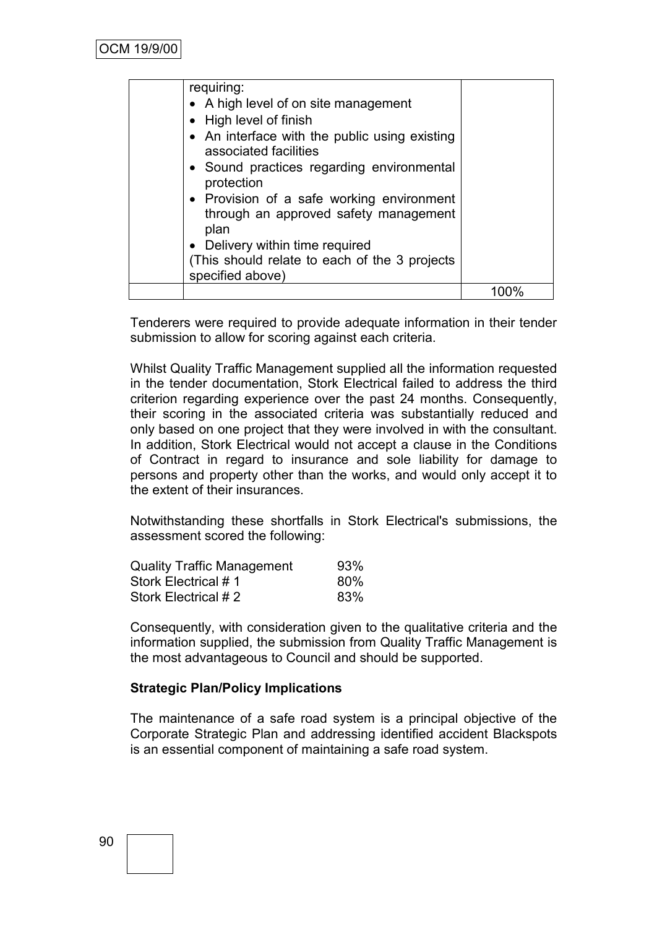| requiring:                                                                                 |  |
|--------------------------------------------------------------------------------------------|--|
| • A high level of on site management                                                       |  |
| • High level of finish                                                                     |  |
| • An interface with the public using existing<br>associated facilities                     |  |
| • Sound practices regarding environmental<br>protection                                    |  |
| • Provision of a safe working environment<br>through an approved safety management<br>plan |  |
| • Delivery within time required                                                            |  |
| (This should relate to each of the 3 projects)<br>specified above)                         |  |
|                                                                                            |  |

Tenderers were required to provide adequate information in their tender submission to allow for scoring against each criteria.

Whilst Quality Traffic Management supplied all the information requested in the tender documentation, Stork Electrical failed to address the third criterion regarding experience over the past 24 months. Consequently, their scoring in the associated criteria was substantially reduced and only based on one project that they were involved in with the consultant. In addition, Stork Electrical would not accept a clause in the Conditions of Contract in regard to insurance and sole liability for damage to persons and property other than the works, and would only accept it to the extent of their insurances.

Notwithstanding these shortfalls in Stork Electrical's submissions, the assessment scored the following:

| <b>Quality Traffic Management</b> | 93% |
|-----------------------------------|-----|
| Stork Electrical #1               | 80% |
| Stork Electrical # 2              | 83% |

Consequently, with consideration given to the qualitative criteria and the information supplied, the submission from Quality Traffic Management is the most advantageous to Council and should be supported.

### **Strategic Plan/Policy Implications**

The maintenance of a safe road system is a principal objective of the Corporate Strategic Plan and addressing identified accident Blackspots is an essential component of maintaining a safe road system.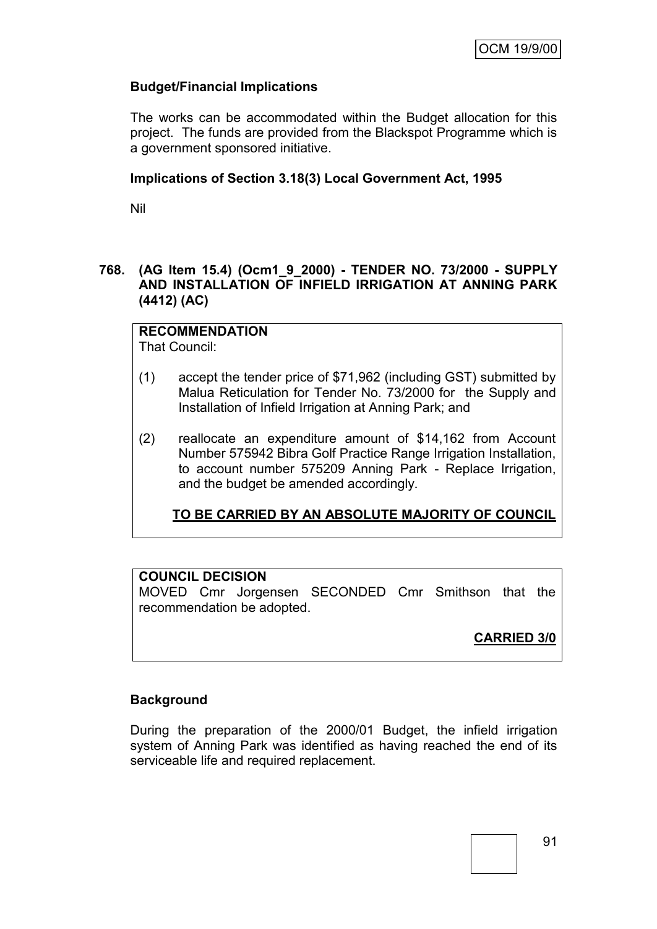# **Budget/Financial Implications**

The works can be accommodated within the Budget allocation for this project. The funds are provided from the Blackspot Programme which is a government sponsored initiative.

### **Implications of Section 3.18(3) Local Government Act, 1995**

Nil

# **768. (AG Item 15.4) (Ocm1\_9\_2000) - TENDER NO. 73/2000 - SUPPLY AND INSTALLATION OF INFIELD IRRIGATION AT ANNING PARK (4412) (AC)**

**RECOMMENDATION** That Council:

- (1) accept the tender price of \$71,962 (including GST) submitted by Malua Reticulation for Tender No. 73/2000 for the Supply and Installation of Infield Irrigation at Anning Park; and
- (2) reallocate an expenditure amount of \$14,162 from Account Number 575942 Bibra Golf Practice Range Irrigation Installation, to account number 575209 Anning Park - Replace Irrigation, and the budget be amended accordingly.

**TO BE CARRIED BY AN ABSOLUTE MAJORITY OF COUNCIL**

# **COUNCIL DECISION**

MOVED Cmr Jorgensen SECONDED Cmr Smithson that the recommendation be adopted.

**CARRIED 3/0**

### **Background**

During the preparation of the 2000/01 Budget, the infield irrigation system of Anning Park was identified as having reached the end of its serviceable life and required replacement.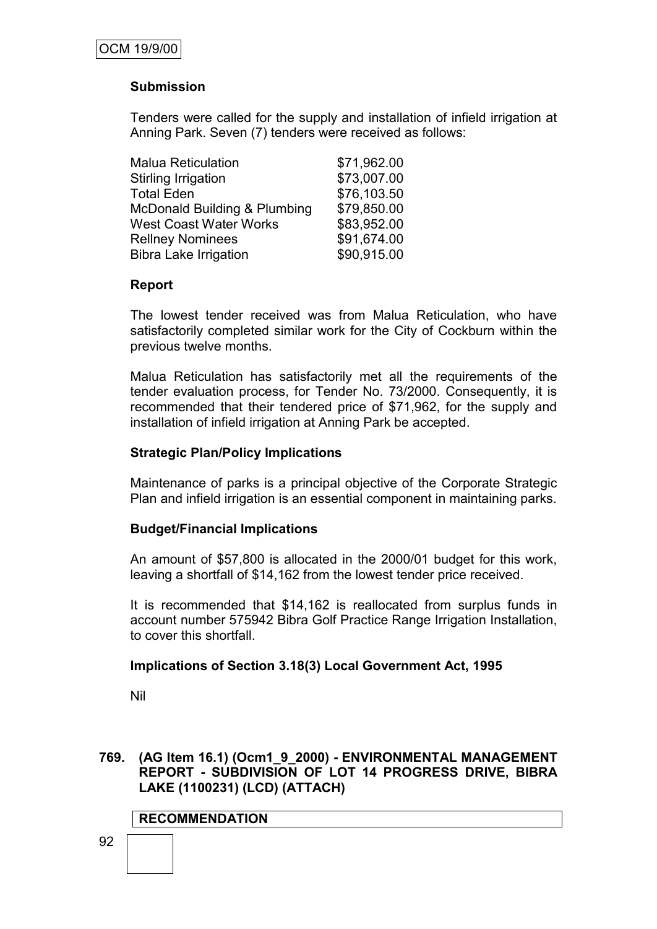# **Submission**

Tenders were called for the supply and installation of infield irrigation at Anning Park. Seven (7) tenders were received as follows:

| \$71,962.00 |
|-------------|
| \$73,007.00 |
| \$76,103.50 |
| \$79,850.00 |
| \$83,952.00 |
| \$91,674.00 |
| \$90,915.00 |
|             |

### **Report**

The lowest tender received was from Malua Reticulation, who have satisfactorily completed similar work for the City of Cockburn within the previous twelve months.

Malua Reticulation has satisfactorily met all the requirements of the tender evaluation process, for Tender No. 73/2000. Consequently, it is recommended that their tendered price of \$71,962, for the supply and installation of infield irrigation at Anning Park be accepted.

#### **Strategic Plan/Policy Implications**

Maintenance of parks is a principal objective of the Corporate Strategic Plan and infield irrigation is an essential component in maintaining parks.

### **Budget/Financial Implications**

An amount of \$57,800 is allocated in the 2000/01 budget for this work, leaving a shortfall of \$14,162 from the lowest tender price received.

It is recommended that \$14,162 is reallocated from surplus funds in account number 575942 Bibra Golf Practice Range Irrigation Installation, to cover this shortfall.

#### **Implications of Section 3.18(3) Local Government Act, 1995**

Nil

#### **769. (AG Item 16.1) (Ocm1\_9\_2000) - ENVIRONMENTAL MANAGEMENT REPORT - SUBDIVISION OF LOT 14 PROGRESS DRIVE, BIBRA LAKE (1100231) (LCD) (ATTACH)**

### **RECOMMENDATION**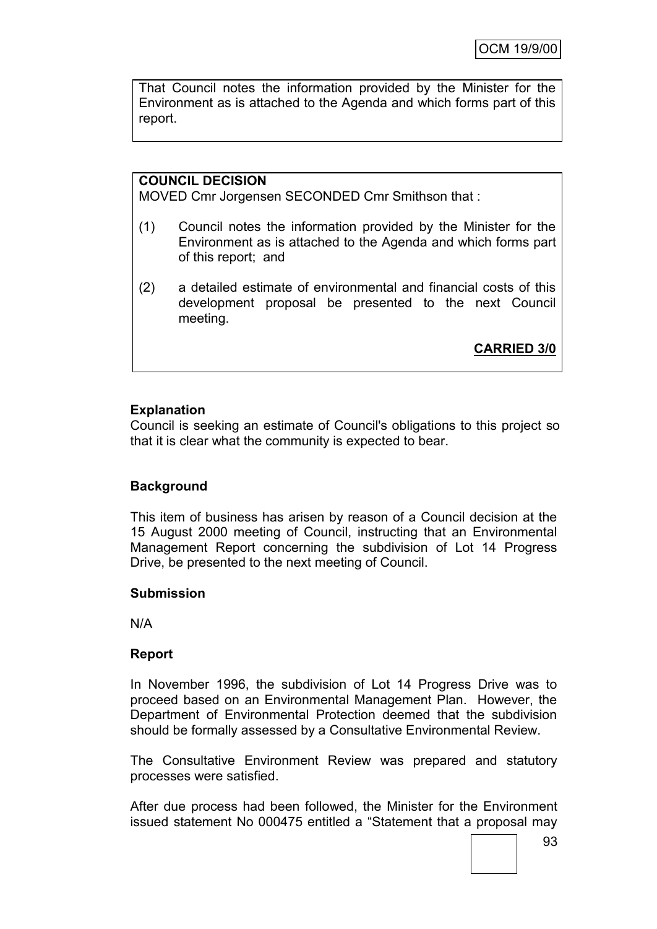That Council notes the information provided by the Minister for the Environment as is attached to the Agenda and which forms part of this report.

# **COUNCIL DECISION**

MOVED Cmr Jorgensen SECONDED Cmr Smithson that :

- (1) Council notes the information provided by the Minister for the Environment as is attached to the Agenda and which forms part of this report; and
- (2) a detailed estimate of environmental and financial costs of this development proposal be presented to the next Council meeting.

**CARRIED 3/0**

### **Explanation**

Council is seeking an estimate of Council's obligations to this project so that it is clear what the community is expected to bear.

### **Background**

This item of business has arisen by reason of a Council decision at the 15 August 2000 meeting of Council, instructing that an Environmental Management Report concerning the subdivision of Lot 14 Progress Drive, be presented to the next meeting of Council.

#### **Submission**

N/A

#### **Report**

In November 1996, the subdivision of Lot 14 Progress Drive was to proceed based on an Environmental Management Plan. However, the Department of Environmental Protection deemed that the subdivision should be formally assessed by a Consultative Environmental Review.

The Consultative Environment Review was prepared and statutory processes were satisfied.

After due process had been followed, the Minister for the Environment issued statement No 000475 entitled a "Statement that a proposal may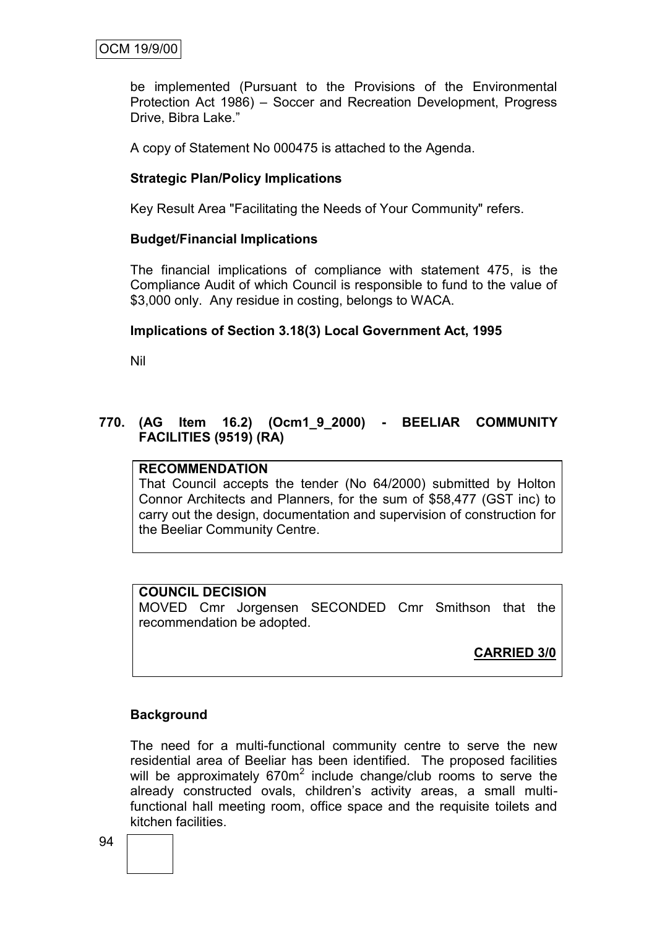be implemented (Pursuant to the Provisions of the Environmental Protection Act 1986) – Soccer and Recreation Development, Progress Drive, Bibra Lake."

A copy of Statement No 000475 is attached to the Agenda.

### **Strategic Plan/Policy Implications**

Key Result Area "Facilitating the Needs of Your Community" refers.

#### **Budget/Financial Implications**

The financial implications of compliance with statement 475, is the Compliance Audit of which Council is responsible to fund to the value of \$3,000 only. Any residue in costing, belongs to WACA.

#### **Implications of Section 3.18(3) Local Government Act, 1995**

Nil

### **770. (AG Item 16.2) (Ocm1\_9\_2000) - BEELIAR COMMUNITY FACILITIES (9519) (RA)**

#### **RECOMMENDATION**

That Council accepts the tender (No 64/2000) submitted by Holton Connor Architects and Planners, for the sum of \$58,477 (GST inc) to carry out the design, documentation and supervision of construction for the Beeliar Community Centre.

#### **COUNCIL DECISION**

MOVED Cmr Jorgensen SECONDED Cmr Smithson that the recommendation be adopted.

**CARRIED 3/0**

### **Background**

The need for a multi-functional community centre to serve the new residential area of Beeliar has been identified. The proposed facilities will be approximately  $670m^2$  include change/club rooms to serve the already constructed ovals, children's activity areas, a small multifunctional hall meeting room, office space and the requisite toilets and kitchen facilities.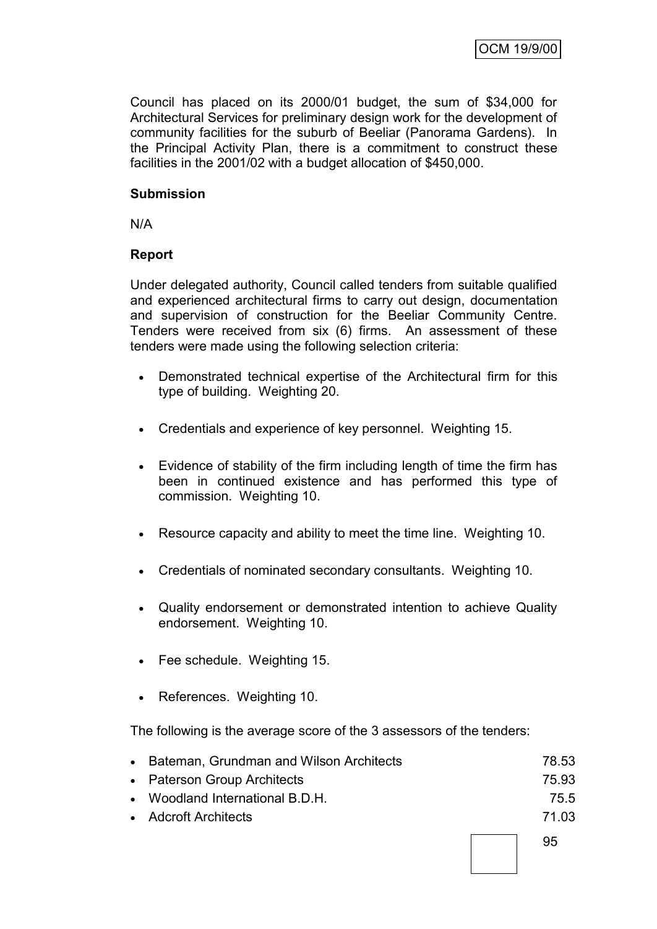Council has placed on its 2000/01 budget, the sum of \$34,000 for Architectural Services for preliminary design work for the development of community facilities for the suburb of Beeliar (Panorama Gardens). In the Principal Activity Plan, there is a commitment to construct these facilities in the 2001/02 with a budget allocation of \$450,000.

# **Submission**

N/A

# **Report**

Under delegated authority, Council called tenders from suitable qualified and experienced architectural firms to carry out design, documentation and supervision of construction for the Beeliar Community Centre. Tenders were received from six (6) firms. An assessment of these tenders were made using the following selection criteria:

- Demonstrated technical expertise of the Architectural firm for this type of building. Weighting 20.
- Credentials and experience of key personnel. Weighting 15.
- Evidence of stability of the firm including length of time the firm has been in continued existence and has performed this type of commission. Weighting 10.
- Resource capacity and ability to meet the time line. Weighting 10.
- Credentials of nominated secondary consultants. Weighting 10.
- Quality endorsement or demonstrated intention to achieve Quality endorsement. Weighting 10.
- Fee schedule. Weighting 15.
- References. Weighting 10.

The following is the average score of the 3 assessors of the tenders:

| • Bateman, Grundman and Wilson Architects | 78.53 |
|-------------------------------------------|-------|
| • Paterson Group Architects               | 75.93 |
| • Woodland International B.D.H.           | 75.5  |
| • Adcroft Architects                      | 71 03 |
|                                           |       |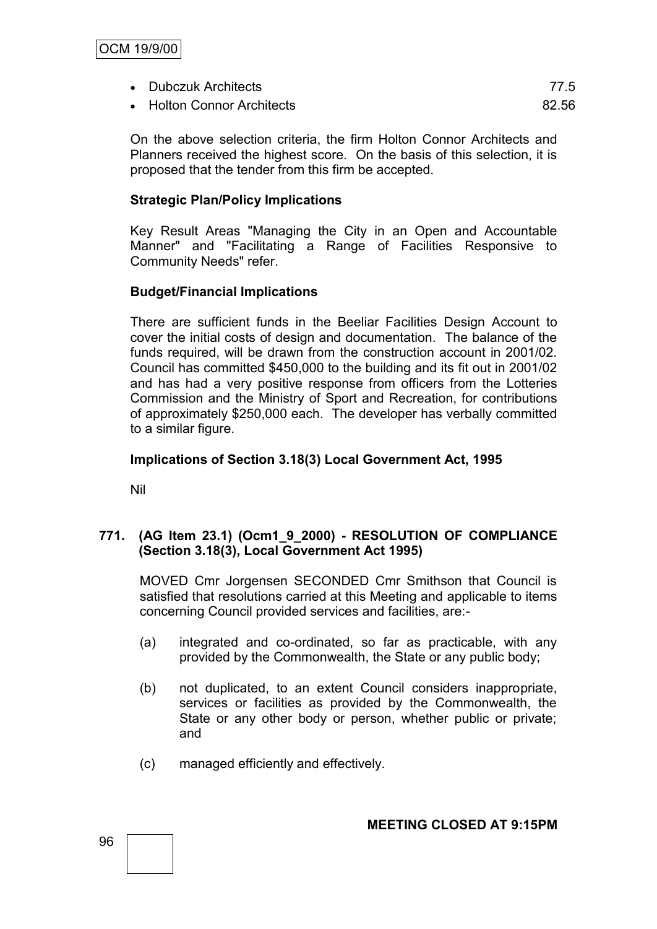- Dubczuk Architects 77.5
- Holton Connor Architects 82.56

On the above selection criteria, the firm Holton Connor Architects and Planners received the highest score. On the basis of this selection, it is proposed that the tender from this firm be accepted.

# **Strategic Plan/Policy Implications**

Key Result Areas "Managing the City in an Open and Accountable Manner" and "Facilitating a Range of Facilities Responsive to Community Needs" refer.

# **Budget/Financial Implications**

There are sufficient funds in the Beeliar Facilities Design Account to cover the initial costs of design and documentation. The balance of the funds required, will be drawn from the construction account in 2001/02. Council has committed \$450,000 to the building and its fit out in 2001/02 and has had a very positive response from officers from the Lotteries Commission and the Ministry of Sport and Recreation, for contributions of approximately \$250,000 each. The developer has verbally committed to a similar figure.

### **Implications of Section 3.18(3) Local Government Act, 1995**

Nil

# **771. (AG Item 23.1) (Ocm1\_9\_2000) - RESOLUTION OF COMPLIANCE (Section 3.18(3), Local Government Act 1995)**

MOVED Cmr Jorgensen SECONDED Cmr Smithson that Council is satisfied that resolutions carried at this Meeting and applicable to items concerning Council provided services and facilities, are:-

- (a) integrated and co-ordinated, so far as practicable, with any provided by the Commonwealth, the State or any public body;
- (b) not duplicated, to an extent Council considers inappropriate, services or facilities as provided by the Commonwealth, the State or any other body or person, whether public or private; and
- (c) managed efficiently and effectively.